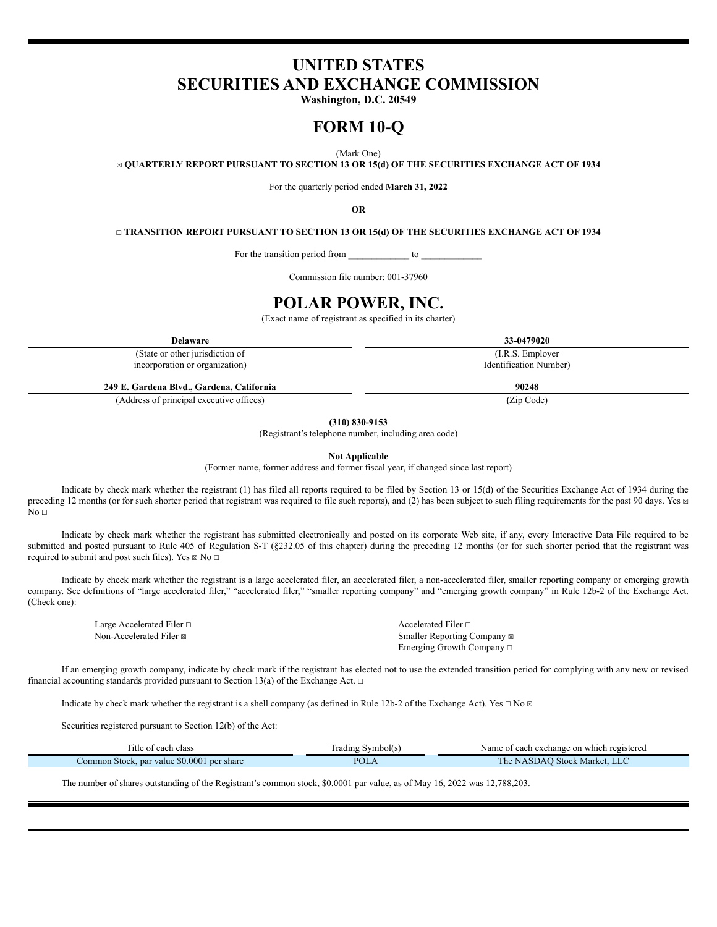# **UNITED STATES SECURITIES AND EXCHANGE COMMISSION**

**Washington, D.C. 20549**

# **FORM 10-Q**

(Mark One)

☒ **QUARTERLY REPORT PURSUANT TO SECTION 13 OR 15(d) OF THE SECURITIES EXCHANGE ACT OF 1934**

For the quarterly period ended **March 31, 2022**

**OR**

☐ **TRANSITION REPORT PURSUANT TO SECTION 13 OR 15(d) OF THE SECURITIES EXCHANGE ACT OF 1934**

For the transition period from  $\frac{1}{\sqrt{2\pi}}$  to  $\frac{1}{\sqrt{2\pi}}$ 

Commission file number: 001-37960

# **POLAR POWER, INC.**

(Exact name of registrant as specified in its charter)

**Delaware 33-0479020**

(State or other jurisdiction of incorporation or organization)

**249 E. Gardena Blvd., Gardena, California 90248**

(Address of principal executive offices) **(**Zip Code)

**(310) 830-9153**

(Registrant's telephone number, including area code)

**Not Applicable**

(Former name, former address and former fiscal year, if changed since last report)

Indicate by check mark whether the registrant (1) has filed all reports required to be filed by Section 13 or 15(d) of the Securities Exchange Act of 1934 during the preceding 12 months (or for such shorter period that registrant was required to file such reports), and (2) has been subject to such filing requirements for the past 90 days. Yes  $\boxtimes$  $No<sub>□</sub>$ 

Indicate by check mark whether the registrant has submitted electronically and posted on its corporate Web site, if any, every Interactive Data File required to be submitted and posted pursuant to Rule 405 of Regulation S-T (§232.05 of this chapter) during the preceding 12 months (or for such shorter period that the registrant was required to submit and post such files). Yes  $\boxtimes$  No  $\Box$ 

Indicate by check mark whether the registrant is a large accelerated filer, an accelerated filer, a non-accelerated filer, smaller reporting company or emerging growth company. See definitions of "large accelerated filer," "accelerated filer," "smaller reporting company" and "emerging growth company" in Rule 12b-2 of the Exchange Act. (Check one):

Large Accelerated Filer □ and settled Filer □ and Accelerated Filer □

Non-Accelerated Filer ⊠ Smaller Reporting Company ⊠ Emerging Growth Company ☐

If an emerging growth company, indicate by check mark if the registrant has elected not to use the extended transition period for complying with any new or revised financial accounting standards provided pursuant to Section 13(a) of the Exchange Act.  $□$ 

Indicate by check mark whether the registrant is a shell company (as defined in Rule 12b-2 of the Exchange Act). Yes  $\Box$  No  $\Box$ 

Securities registered pursuant to Section 12(b) of the Act:

| litle of<br>clas:<br><b>Cacil</b>                       | company of<br>rading<br>Symbol(s | which registered<br>: on<br>Name<br>each<br>a exchange |
|---------------------------------------------------------|----------------------------------|--------------------------------------------------------|
| \$0,0001<br>per share<br>ommon<br>. par value<br>Stock. | POL                              | l he<br>Market.<br><b>Stock</b><br>NASDAU              |

The number of shares outstanding of the Registrant's common stock, \$0.0001 par value, as of May 16, 2022 was 12,788,203.

(I.R.S. Employer Identification Number)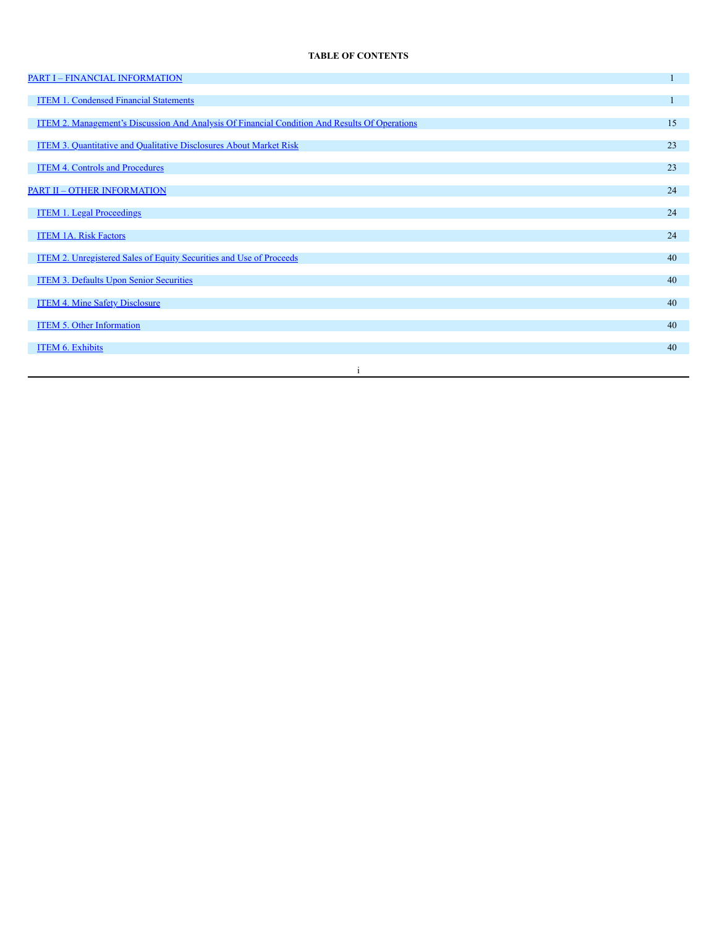# **TABLE OF CONTENTS**

| <b>PART I - FINANCIAL INFORMATION</b>                                                         |    |
|-----------------------------------------------------------------------------------------------|----|
|                                                                                               |    |
| <b>ITEM 1. Condensed Financial Statements</b>                                                 |    |
| ITEM 2. Management's Discussion And Analysis Of Financial Condition And Results Of Operations | 15 |
|                                                                                               |    |
| <b>ITEM 3. Quantitative and Qualitative Disclosures About Market Risk</b>                     | 23 |
| <b>ITEM 4. Controls and Procedures</b>                                                        | 23 |
|                                                                                               |    |
| <b>PART II - OTHER INFORMATION</b>                                                            | 24 |
| <b>ITEM 1. Legal Proceedings</b>                                                              | 24 |
| <b>ITEM 1A. Risk Factors</b>                                                                  | 24 |
|                                                                                               |    |
| <b>ITEM 2. Unregistered Sales of Equity Securities and Use of Proceeds</b>                    | 40 |
| <b>ITEM 3. Defaults Upon Senior Securities</b>                                                | 40 |
| <b>ITEM 4. Mine Safety Disclosure</b>                                                         | 40 |
|                                                                                               |    |
| <b>ITEM 5. Other Information</b>                                                              | 40 |
| <b>ITEM 6. Exhibits</b>                                                                       | 40 |
|                                                                                               |    |
| 1                                                                                             |    |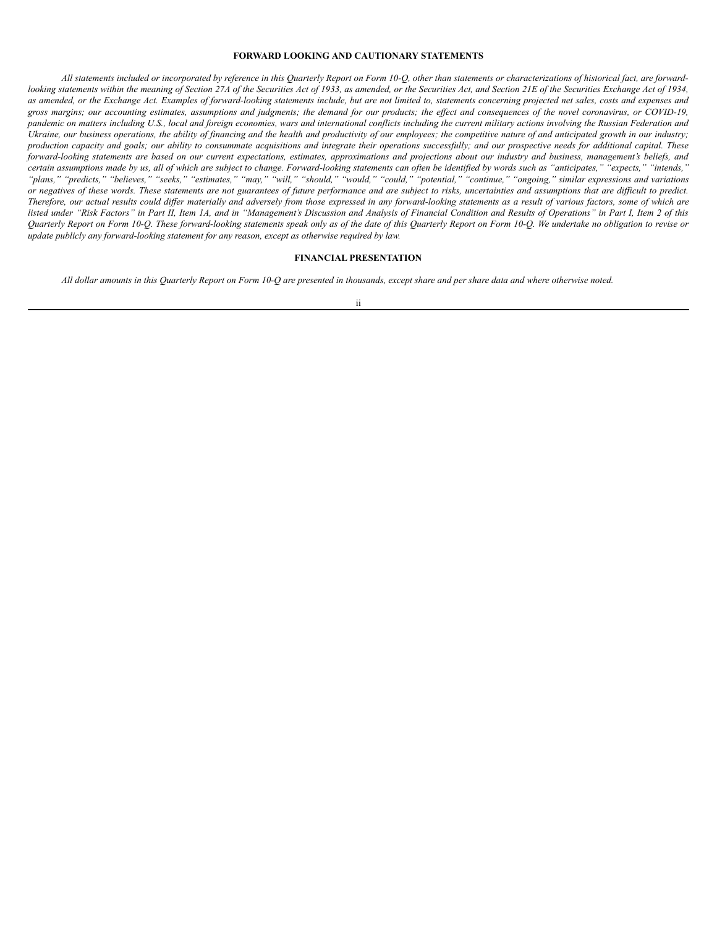### **FORWARD LOOKING AND CAUTIONARY STATEMENTS**

All statements included or incorporated by reference in this Quarterly Report on Form 10-Q, other than statements or characterizations of historical fact, are forwardlooking statements within the meaning of Section 27A of the Securities Act of 1933, as amended, or the Securities Act, and Section 21E of the Securities Exchange Act of 1934, as amended, or the Exchange Act. Examples of forward-looking statements include, but are not limited to, statements concerning projected net sales, costs and expenses and gross margins; our accounting estimates, assumptions and judgments; the demand for our products; the effect and consequences of the novel coronavirus, or COVID-19, pandemic on matters including U.S., local and foreign economies, wars and international conflicts including the current military actions involving the Russian Federation and Ukraine, our business operations, the ability of financing and the health and productivity of our employees; the competitive nature of and anticipated growth in our industry; production capacity and goals; our ability to consummate acquisitions and integrate their operations successfully; and our prospective needs for additional capital. These forward-looking statements are based on our current expectations, estimates, approximations and projections about our industry and business, management's beliefs, and certain assumptions made by us, all of which are subject to change. Forward-looking statements can often be identified by words such as "anticipates," "expects," "intends," "plans," "predicts," "believes," "seeks," "estimates," "may," "will," "should," "would," "could," "potential," "continue," "ongoing," similar expressions and variations or negatives of these words. These statements are not guarantees of future performance and are subject to risks, uncertainties and assumptions that are difficult to predict. Therefore, our actual results could differ materially and adversely from those expressed in any forward-looking statements as a result of various factors, some of which are listed under "Risk Factors" in Part II, Item 1A, and in "Management's Discussion and Analysis of Financial Condition and Results of Operations" in Part I, Item 2 of this Quarterly Report on Form 10-Q. These forward-looking statements speak only as of the date of this Quarterly Report on Form 10-Q. We undertake no obligation to revise or *update publicly any forward-looking statement for any reason, except as otherwise required by law.*

# **FINANCIAL PRESENTATION**

All dollar amounts in this Quarterly Report on Form 10-O are presented in thousands, except share and per share data and where otherwise noted.

ii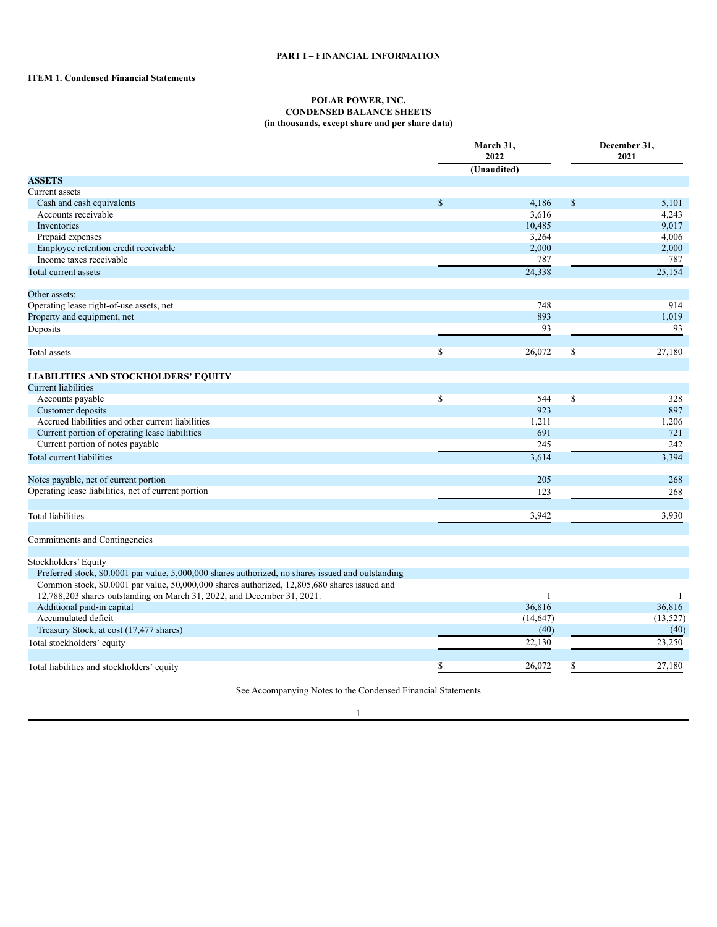# <span id="page-3-1"></span><span id="page-3-0"></span>**ITEM 1. Condensed Financial Statements**

# **POLAR POWER, INC. CONDENSED BALANCE SHEETS (in thousands, except share and per share data)**

|                                                                                                    | March 31,<br>2022 |             |               | December 31,<br>2021 |
|----------------------------------------------------------------------------------------------------|-------------------|-------------|---------------|----------------------|
|                                                                                                    |                   | (Unaudited) |               |                      |
| <b>ASSETS</b>                                                                                      |                   |             |               |                      |
| Current assets                                                                                     |                   |             |               |                      |
| Cash and cash equivalents                                                                          | $\mathcal{S}$     | 4,186       | $\mathbb{S}$  | 5,101                |
| Accounts receivable                                                                                |                   | 3,616       |               | 4,243                |
| Inventories                                                                                        |                   | 10,485      |               | 9,017                |
| Prepaid expenses                                                                                   |                   | 3,264       |               | 4,006                |
| Employee retention credit receivable                                                               |                   | 2,000       |               | 2,000                |
| Income taxes receivable                                                                            |                   | 787         |               | 787                  |
| Total current assets                                                                               |                   | 24,338      |               | 25,154               |
| Other assets:                                                                                      |                   |             |               |                      |
| Operating lease right-of-use assets, net                                                           |                   | 748         |               | 914                  |
| Property and equipment, net                                                                        |                   | 893         |               | 1,019                |
| Deposits                                                                                           |                   | 93          |               | 93                   |
| Total assets                                                                                       | \$                | 26,072      | \$            | 27,180               |
| <b>LIABILITIES AND STOCKHOLDERS' EQUITY</b>                                                        |                   |             |               |                      |
| <b>Current liabilities</b>                                                                         |                   |             |               |                      |
| Accounts payable                                                                                   | \$                | 544         | $\mathcal{S}$ | 328                  |
| Customer deposits                                                                                  |                   | 923         |               | 897                  |
| Accrued liabilities and other current liabilities                                                  |                   | 1,211       |               | 1,206                |
| Current portion of operating lease liabilities                                                     |                   | 691         |               | 721                  |
| Current portion of notes payable                                                                   |                   | 245         |               | 242                  |
| Total current liabilities                                                                          |                   | 3,614       |               | 3,394                |
| Notes payable, net of current portion                                                              |                   | 205         |               | 268                  |
| Operating lease liabilities, net of current portion                                                |                   | 123         |               | 268                  |
|                                                                                                    |                   |             |               |                      |
| <b>Total liabilities</b>                                                                           |                   | 3,942       |               | 3,930                |
| Commitments and Contingencies                                                                      |                   |             |               |                      |
| Stockholders' Equity                                                                               |                   |             |               |                      |
| Preferred stock, \$0.0001 par value, 5,000,000 shares authorized, no shares issued and outstanding |                   |             |               |                      |
| Common stock, \$0.0001 par value, 50,000,000 shares authorized, 12,805,680 shares issued and       |                   |             |               |                      |
| 12,788,203 shares outstanding on March 31, 2022, and December 31, 2021.                            |                   | 1           |               | -1                   |
| Additional paid-in capital                                                                         |                   | 36,816      |               | 36,816               |
| Accumulated deficit                                                                                |                   | (14, 647)   |               | (13, 527)            |
| Treasury Stock, at cost (17,477 shares)                                                            |                   | (40)        |               | (40)                 |
| Total stockholders' equity                                                                         |                   | 22,130      |               | 23,250               |
| Total liabilities and stockholders' equity                                                         | \$                | 26,072      | S             | 27,180               |
|                                                                                                    |                   |             |               |                      |

See Accompanying Notes to the Condensed Financial Statements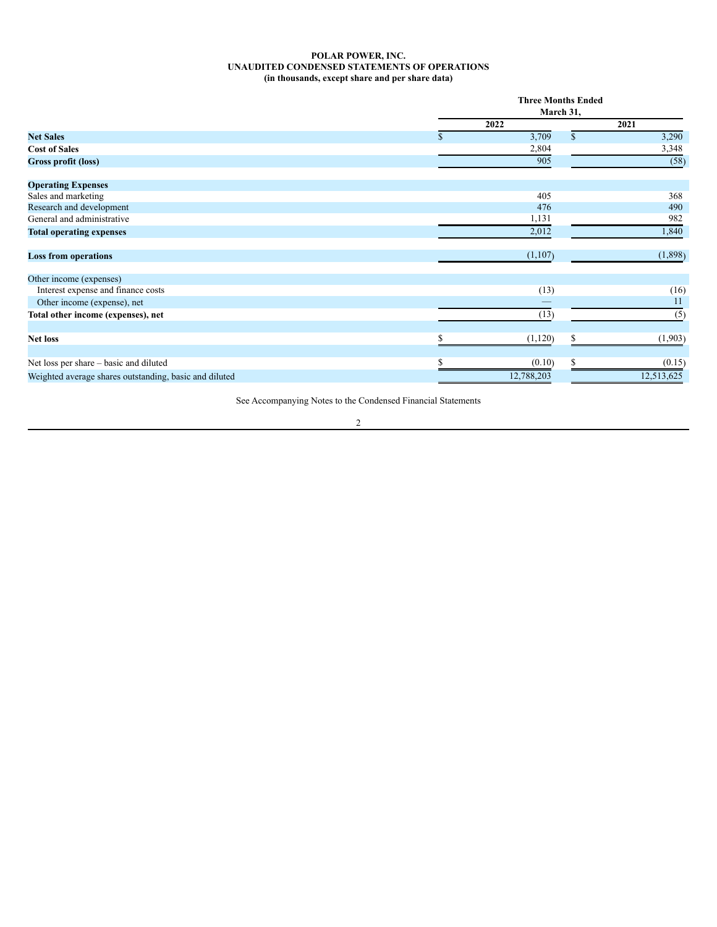# **POLAR POWER, INC. UNAUDITED CONDENSED STATEMENTS OF OPERATIONS (in thousands, except share and per share data)**

|                                                        | <b>Three Months Ended</b><br>March 31, |            |              |            |  |
|--------------------------------------------------------|----------------------------------------|------------|--------------|------------|--|
|                                                        |                                        | 2022       |              | 2021       |  |
| <b>Net Sales</b>                                       |                                        | 3,709      | $\mathbb{S}$ | 3,290      |  |
| <b>Cost of Sales</b>                                   |                                        | 2,804      |              | 3,348      |  |
| Gross profit (loss)                                    |                                        | 905        |              | (58)       |  |
| <b>Operating Expenses</b>                              |                                        |            |              |            |  |
| Sales and marketing                                    |                                        | 405        |              | 368        |  |
| Research and development                               |                                        | 476        |              | 490        |  |
| General and administrative                             |                                        | 1,131      |              | 982        |  |
| <b>Total operating expenses</b>                        |                                        | 2,012      |              | 1,840      |  |
| <b>Loss from operations</b>                            |                                        | (1,107)    |              | (1,898)    |  |
| Other income (expenses)                                |                                        |            |              |            |  |
| Interest expense and finance costs                     |                                        | (13)       |              | (16)       |  |
| Other income (expense), net                            |                                        |            |              | 11         |  |
| Total other income (expenses), net                     |                                        | (13)       |              | (5)        |  |
| <b>Net loss</b>                                        |                                        | (1,120)    | Ъ            | (1,903)    |  |
| Net loss per share – basic and diluted                 |                                        | (0.10)     | \$           | (0.15)     |  |
| Weighted average shares outstanding, basic and diluted |                                        | 12,788,203 |              | 12,513,625 |  |

See Accompanying Notes to the Condensed Financial Statements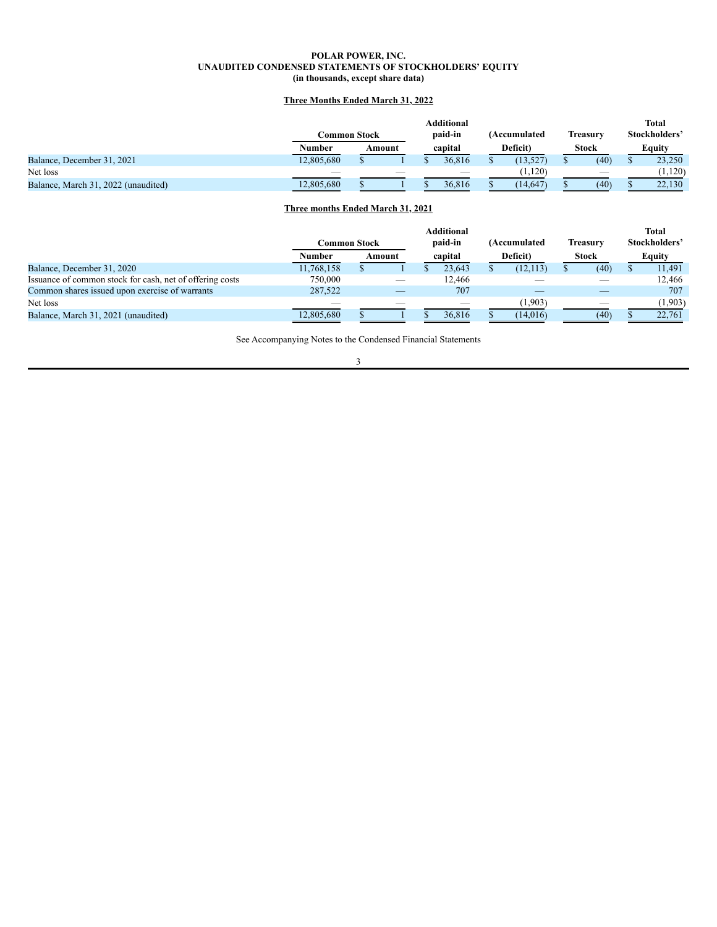# **POLAR POWER, INC. UNAUDITED CONDENSED STATEMENTS OF STOCKHOLDERS' EQUITY (in thousands, except share data)**

# **Three Months Ended March 31, 2022**

|                                     | Additional<br>paid-in<br>(Accumulated<br>Treasurv<br>C <b>ommon Stock</b> |  |        |         |        |          |           | <b>Total</b><br>Stockholders' |      |        |         |
|-------------------------------------|---------------------------------------------------------------------------|--|--------|---------|--------|----------|-----------|-------------------------------|------|--------|---------|
|                                     | Number                                                                    |  | Amount | capital |        | Deficit) |           | <b>Stock</b>                  |      | Equity |         |
| Balance, December 31, 2021          | 12.805.680                                                                |  |        |         | 36.816 |          | (13, 527) |                               | (40) |        | 23,250  |
| Net loss                            |                                                                           |  |        |         |        |          | (1,120)   |                               |      |        | (1,120) |
| Balance, March 31, 2022 (unaudited) | 12,805,680                                                                |  |        |         | 36.816 |          | (14, 647) |                               | (40) |        | 22,130  |

# **Three months Ended March 31, 2021**

|                                                          | <b>Common Stock</b> |  |        | <b>Additional</b><br>paid-in<br>(Accumulated |        |          |           | Treasurv     |      |        | <b>Total</b><br>Stockholders' |
|----------------------------------------------------------|---------------------|--|--------|----------------------------------------------|--------|----------|-----------|--------------|------|--------|-------------------------------|
|                                                          | Number              |  | Amount | capital                                      |        | Deficit) |           | <b>Stock</b> |      | Equity |                               |
| Balance, December 31, 2020                               | 11,768,158          |  |        |                                              | 23.643 |          | (12, 113) |              | (40) |        | 11,491                        |
| Issuance of common stock for cash, net of offering costs | 750,000             |  |        |                                              | 12.466 |          |           |              |      |        | 12,466                        |
| Common shares issued upon exercise of warrants           | 287,522             |  |        |                                              | 707    |          |           |              |      |        | 707                           |
| Net loss                                                 |                     |  |        |                                              |        |          | (1,903)   |              |      |        | (1,903)                       |
| Balance, March 31, 2021 (unaudited)                      | 12,805,680          |  |        |                                              | 36,816 |          | (14,016)  |              | (40) |        | 22,761                        |

See Accompanying Notes to the Condensed Financial Statements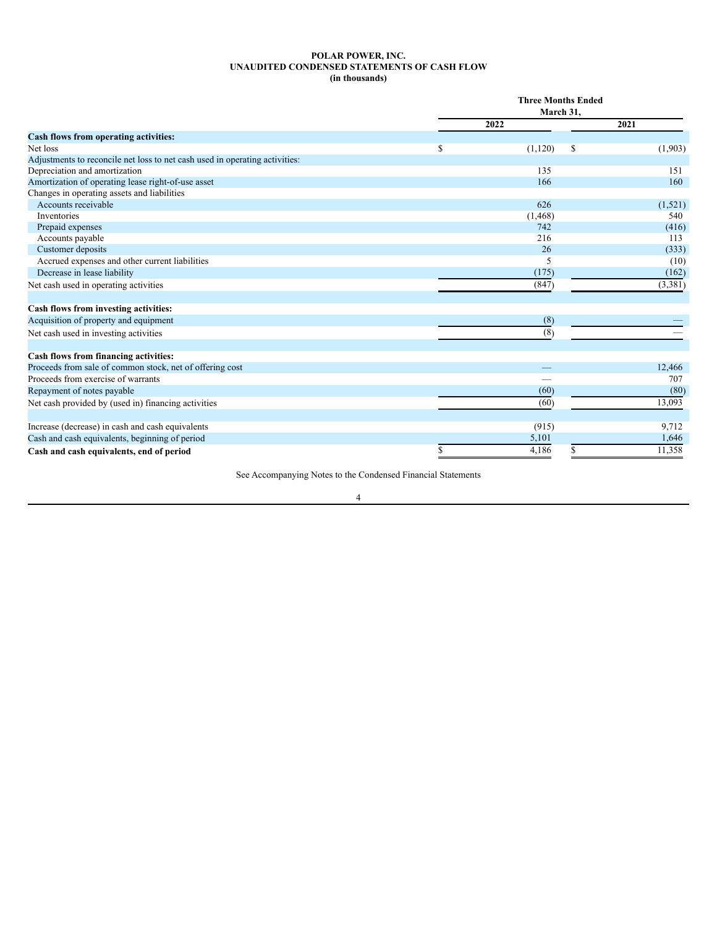# **POLAR POWER, INC. UNAUDITED CONDENSED STATEMENTS OF CASH FLOW (in thousands)**

|                                                                             |    | <b>Three Months Ended</b> |    |         |  |
|-----------------------------------------------------------------------------|----|---------------------------|----|---------|--|
|                                                                             |    | March 31,                 |    |         |  |
|                                                                             |    | 2022                      |    | 2021    |  |
| Cash flows from operating activities:                                       |    |                           |    |         |  |
| Net loss                                                                    | S  | (1,120)                   | \$ | (1,903) |  |
| Adjustments to reconcile net loss to net cash used in operating activities: |    |                           |    |         |  |
| Depreciation and amortization                                               |    | 135                       |    | 151     |  |
| Amortization of operating lease right-of-use asset                          |    | 166                       |    | 160     |  |
| Changes in operating assets and liabilities                                 |    |                           |    |         |  |
| Accounts receivable                                                         |    | 626                       |    | (1,521) |  |
| Inventories                                                                 |    | (1, 468)                  |    | 540     |  |
| Prepaid expenses                                                            |    | 742                       |    | (416)   |  |
| Accounts payable                                                            |    | 216                       |    | 113     |  |
| Customer deposits                                                           |    | 26                        |    | (333)   |  |
| Accrued expenses and other current liabilities                              |    | 5                         |    | (10)    |  |
| Decrease in lease liability                                                 |    | (175)                     |    | (162)   |  |
| Net cash used in operating activities                                       |    | (847)                     |    | (3,381) |  |
| Cash flows from investing activities:                                       |    |                           |    |         |  |
| Acquisition of property and equipment                                       |    | (8)                       |    |         |  |
| Net cash used in investing activities                                       |    | (8)                       |    |         |  |
| Cash flows from financing activities:                                       |    |                           |    |         |  |
| Proceeds from sale of common stock, net of offering cost                    |    |                           |    | 12,466  |  |
| Proceeds from exercise of warrants                                          |    |                           |    | 707     |  |
| Repayment of notes payable                                                  |    | (60)                      |    | (80)    |  |
| Net cash provided by (used in) financing activities                         |    | (60)                      |    | 13,093  |  |
| Increase (decrease) in cash and cash equivalents                            |    | (915)                     |    | 9,712   |  |
| Cash and cash equivalents, beginning of period                              |    | 5,101                     |    | 1,646   |  |
| Cash and cash equivalents, end of period                                    | \$ | 4,186                     | S  | 11,358  |  |

See Accompanying Notes to the Condensed Financial Statements

4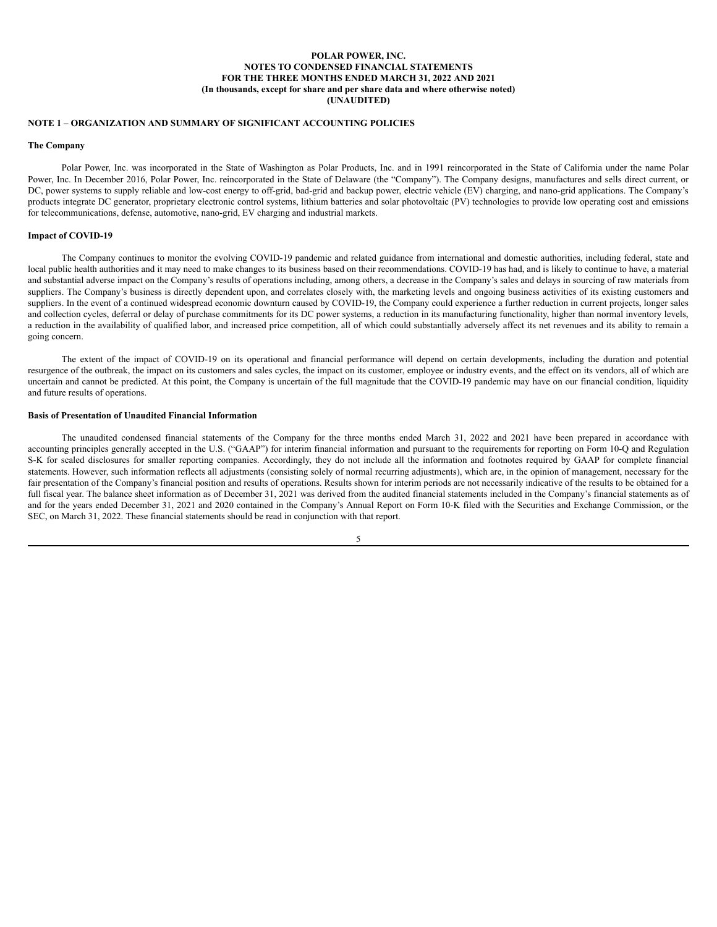# **POLAR POWER, INC. NOTES TO CONDENSED FINANCIAL STATEMENTS FOR THE THREE MONTHS ENDED MARCH 31, 2022 AND 2021 (In thousands, except for share and per share data and where otherwise noted) (UNAUDITED)**

# **NOTE 1 – ORGANIZATION AND SUMMARY OF SIGNIFICANT ACCOUNTING POLICIES**

# **The Company**

Polar Power, Inc. was incorporated in the State of Washington as Polar Products, Inc. and in 1991 reincorporated in the State of California under the name Polar Power, Inc. In December 2016, Polar Power, Inc. reincorporated in the State of Delaware (the "Company"). The Company designs, manufactures and sells direct current, or DC, power systems to supply reliable and low-cost energy to off-grid, bad-grid and backup power, electric vehicle (EV) charging, and nano-grid applications. The Company's products integrate DC generator, proprietary electronic control systems, lithium batteries and solar photovoltaic (PV) technologies to provide low operating cost and emissions for telecommunications, defense, automotive, nano-grid, EV charging and industrial markets.

# **Impact of COVID-19**

The Company continues to monitor the evolving COVID-19 pandemic and related guidance from international and domestic authorities, including federal, state and local public health authorities and it may need to make changes to its business based on their recommendations. COVID-19 has had, and is likely to continue to have, a material and substantial adverse impact on the Company's results of operations including, among others, a decrease in the Company's sales and delays in sourcing of raw materials from suppliers. The Company's business is directly dependent upon, and correlates closely with, the marketing levels and ongoing business activities of its existing customers and suppliers. In the event of a continued widespread economic downturn caused by COVID-19, the Company could experience a further reduction in current projects, longer sales and collection cycles, deferral or delay of purchase commitments for its DC power systems, a reduction in its manufacturing functionality, higher than normal inventory levels, a reduction in the availability of qualified labor, and increased price competition, all of which could substantially adversely affect its net revenues and its ability to remain a going concern.

The extent of the impact of COVID-19 on its operational and financial performance will depend on certain developments, including the duration and potential resurgence of the outbreak, the impact on its customers and sales cycles, the impact on its customer, employee or industry events, and the effect on its vendors, all of which are uncertain and cannot be predicted. At this point, the Company is uncertain of the full magnitude that the COVID-19 pandemic may have on our financial condition, liquidity and future results of operations.

# **Basis of Presentation of Unaudited Financial Information**

The unaudited condensed financial statements of the Company for the three months ended March 31, 2022 and 2021 have been prepared in accordance with accounting principles generally accepted in the U.S. ("GAAP") for interim financial information and pursuant to the requirements for reporting on Form 10-Q and Regulation S-K for scaled disclosures for smaller reporting companies. Accordingly, they do not include all the information and footnotes required by GAAP for complete financial statements. However, such information reflects all adjustments (consisting solely of normal recurring adjustments), which are, in the opinion of management, necessary for the fair presentation of the Company's financial position and results of operations. Results shown for interim periods are not necessarily indicative of the results to be obtained for a full fiscal year. The balance sheet information as of December 31, 2021 was derived from the audited financial statements included in the Company's financial statements as of and for the years ended December 31, 2021 and 2020 contained in the Company's Annual Report on Form 10-K filed with the Securities and Exchange Commission, or the SEC, on March 31, 2022. These financial statements should be read in conjunction with that report.

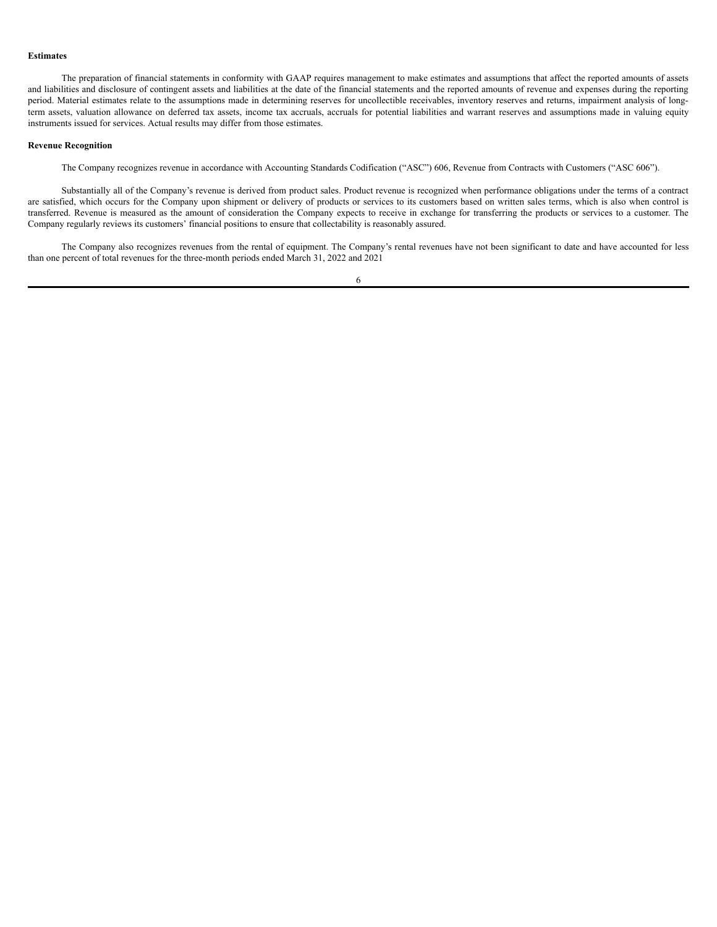#### **Estimates**

The preparation of financial statements in conformity with GAAP requires management to make estimates and assumptions that affect the reported amounts of assets and liabilities and disclosure of contingent assets and liabilities at the date of the financial statements and the reported amounts of revenue and expenses during the reporting period. Material estimates relate to the assumptions made in determining reserves for uncollectible receivables, inventory reserves and returns, impairment analysis of longterm assets, valuation allowance on deferred tax assets, income tax accruals, accruals for potential liabilities and warrant reserves and assumptions made in valuing equity instruments issued for services. Actual results may differ from those estimates.

### **Revenue Recognition**

The Company recognizes revenue in accordance with Accounting Standards Codification ("ASC") 606, Revenue from Contracts with Customers ("ASC 606").

Substantially all of the Company's revenue is derived from product sales. Product revenue is recognized when performance obligations under the terms of a contract are satisfied, which occurs for the Company upon shipment or delivery of products or services to its customers based on written sales terms, which is also when control is transferred. Revenue is measured as the amount of consideration the Company expects to receive in exchange for transferring the products or services to a customer. The Company regularly reviews its customers' financial positions to ensure that collectability is reasonably assured.

The Company also recognizes revenues from the rental of equipment. The Company's rental revenues have not been significant to date and have accounted for less than one percent of total revenues for the three-month periods ended March 31, 2022 and 2021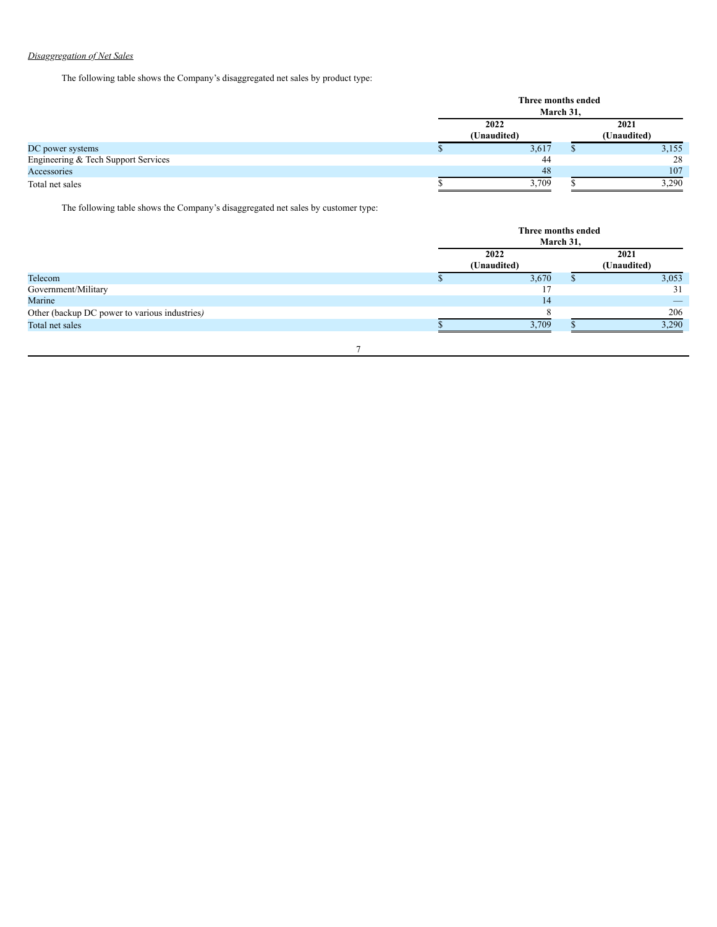# *Disaggregation of Net Sales*

The following table shows the Company's disaggregated net sales by product type:

|                                     | Three months ended<br>March 31, |  |                     |  |  |
|-------------------------------------|---------------------------------|--|---------------------|--|--|
|                                     | 2022<br>(Unaudited)             |  | 2021<br>(Unaudited) |  |  |
| DC power systems                    | 3,617                           |  | 3,155               |  |  |
| Engineering & Tech Support Services | 44                              |  | 28                  |  |  |
| Accessories                         | 48                              |  | 107                 |  |  |
| Total net sales                     | 3.709                           |  | 3,290               |  |  |

The following table shows the Company's disaggregated net sales by customer type:

|                                               |                     |  | Three months ended<br>March 31, |  |                     |  |
|-----------------------------------------------|---------------------|--|---------------------------------|--|---------------------|--|
|                                               | 2022<br>(Unaudited) |  |                                 |  | 2021<br>(Unaudited) |  |
| Telecom                                       |                     |  | 3,670                           |  | 3,053               |  |
| Government/Military                           |                     |  |                                 |  | 31                  |  |
| Marine                                        |                     |  | 14                              |  |                     |  |
| Other (backup DC power to various industries) |                     |  |                                 |  | 206                 |  |
| Total net sales                               |                     |  | 3.709                           |  | 3,290               |  |
|                                               |                     |  |                                 |  |                     |  |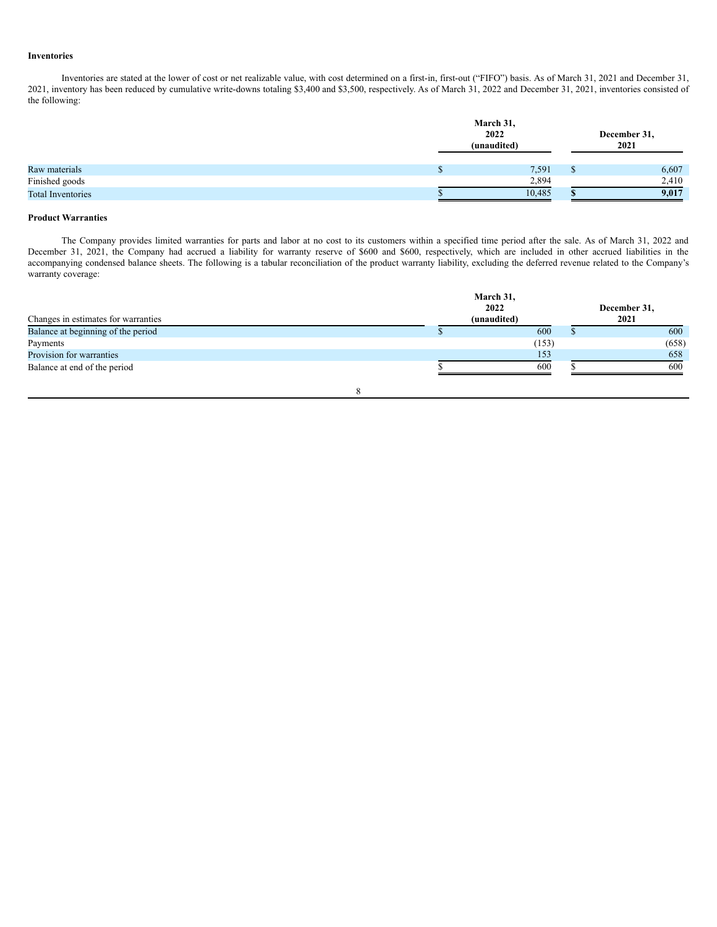# **Inventories**

Inventories are stated at the lower of cost or net realizable value, with cost determined on a first-in, first-out ("FIFO") basis. As of March 31, 2021 and December 31, 2021, inventory has been reduced by cumulative write-downs totaling \$3,400 and \$3,500, respectively. As of March 31, 2022 and December 31, 2021, inventories consisted of the following:

|                          | March 31,<br>2022<br>(unaudited) | December 31,<br>2021 |  |       |
|--------------------------|----------------------------------|----------------------|--|-------|
| Raw materials            |                                  | 7,591                |  | 6,607 |
| Finished goods           |                                  | 2,894                |  | 2,410 |
| <b>Total Inventories</b> |                                  | 10,485               |  | 9,017 |

# **Product Warranties**

The Company provides limited warranties for parts and labor at no cost to its customers within a specified time period after the sale. As of March 31, 2022 and December 31, 2021, the Company had accrued a liability for warranty reserve of \$600 and \$600, respectively, which are included in other accrued liabilities in the accompanying condensed balance sheets. The following is a tabular reconciliation of the product warranty liability, excluding the deferred revenue related to the Company's warranty coverage:

| Changes in estimates for warranties |  | March 31,<br>2022<br>(unaudited) | December 31,<br>2021 |       |  |
|-------------------------------------|--|----------------------------------|----------------------|-------|--|
| Balance at beginning of the period  |  | 600                              |                      | 600   |  |
| Payments                            |  | (153)                            |                      | (658) |  |
| Provision for warranties            |  | 153                              |                      | 658   |  |
| Balance at end of the period        |  | 600                              |                      | 600   |  |
|                                     |  |                                  |                      |       |  |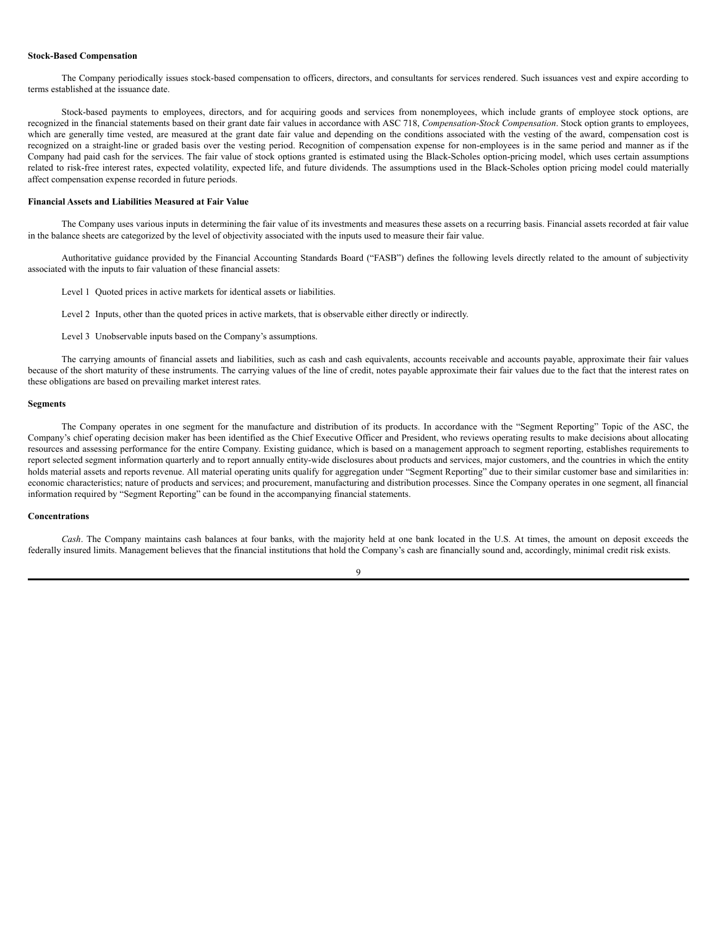#### **Stock-Based Compensation**

The Company periodically issues stock-based compensation to officers, directors, and consultants for services rendered. Such issuances vest and expire according to terms established at the issuance date.

Stock-based payments to employees, directors, and for acquiring goods and services from nonemployees, which include grants of employee stock options, are recognized in the financial statements based on their grant date fair values in accordance with ASC 718, *Compensation-Stock Compensation*. Stock option grants to employees, which are generally time vested, are measured at the grant date fair value and depending on the conditions associated with the vesting of the award, compensation cost is recognized on a straight-line or graded basis over the vesting period. Recognition of compensation expense for non-employees is in the same period and manner as if the Company had paid cash for the services. The fair value of stock options granted is estimated using the Black-Scholes option-pricing model, which uses certain assumptions related to risk-free interest rates, expected volatility, expected life, and future dividends. The assumptions used in the Black-Scholes option pricing model could materially affect compensation expense recorded in future periods.

## **Financial Assets and Liabilities Measured at Fair Value**

The Company uses various inputs in determining the fair value of its investments and measures these assets on a recurring basis. Financial assets recorded at fair value in the balance sheets are categorized by the level of objectivity associated with the inputs used to measure their fair value.

Authoritative guidance provided by the Financial Accounting Standards Board ("FASB") defines the following levels directly related to the amount of subjectivity associated with the inputs to fair valuation of these financial assets:

- Level 1 Quoted prices in active markets for identical assets or liabilities.
- Level 2 Inputs, other than the quoted prices in active markets, that is observable either directly or indirectly.
- Level 3 Unobservable inputs based on the Company's assumptions.

The carrying amounts of financial assets and liabilities, such as cash and cash equivalents, accounts receivable and accounts payable, approximate their fair values because of the short maturity of these instruments. The carrying values of the line of credit, notes payable approximate their fair values due to the fact that the interest rates on these obligations are based on prevailing market interest rates.

### **Segments**

The Company operates in one segment for the manufacture and distribution of its products. In accordance with the "Segment Reporting" Topic of the ASC, the Company's chief operating decision maker has been identified as the Chief Executive Officer and President, who reviews operating results to make decisions about allocating resources and assessing performance for the entire Company. Existing guidance, which is based on a management approach to segment reporting, establishes requirements to report selected segment information quarterly and to report annually entity-wide disclosures about products and services, major customers, and the countries in which the entity holds material assets and reports revenue. All material operating units qualify for aggregation under "Segment Reporting" due to their similar customer base and similarities in: economic characteristics; nature of products and services; and procurement, manufacturing and distribution processes. Since the Company operates in one segment, all financial information required by "Segment Reporting" can be found in the accompanying financial statements.

## **Concentrations**

*Cash*. The Company maintains cash balances at four banks, with the majority held at one bank located in the U.S. At times, the amount on deposit exceeds the federally insured limits. Management believes that the financial institutions that hold the Company's cash are financially sound and, accordingly, minimal credit risk exists.

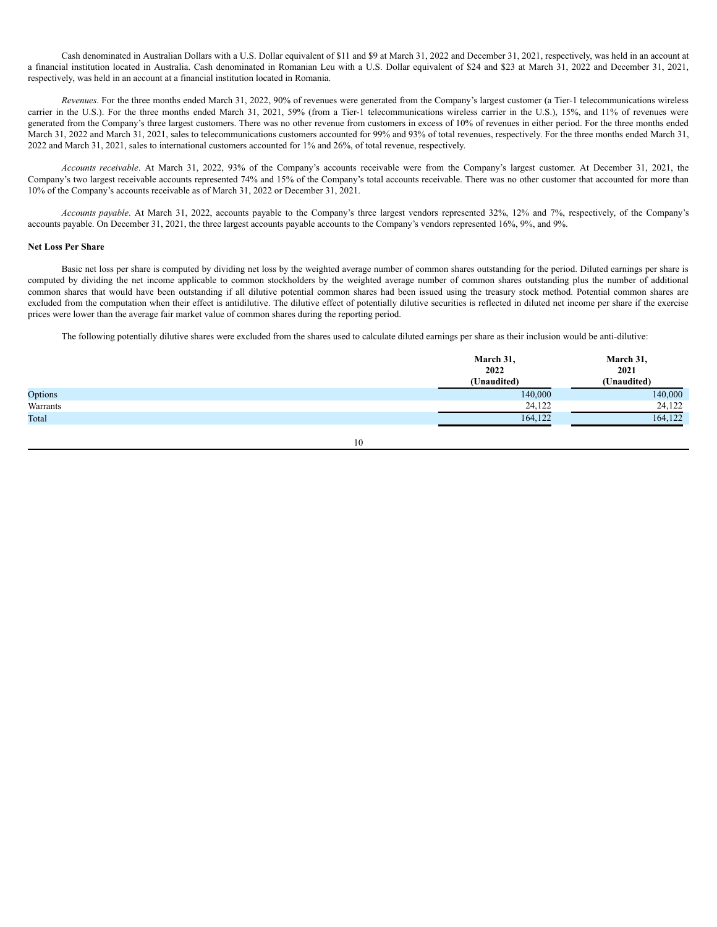Cash denominated in Australian Dollars with a U.S. Dollar equivalent of \$11 and \$9 at March 31, 2022 and December 31, 2021, respectively, was held in an account at a financial institution located in Australia. Cash denominated in Romanian Leu with a U.S. Dollar equivalent of \$24 and \$23 at March 31, 2022 and December 31, 2021, respectively, was held in an account at a financial institution located in Romania.

*Revenues.* For the three months ended March 31, 2022, 90% of revenues were generated from the Company's largest customer (a Tier-1 telecommunications wireless carrier in the U.S.). For the three months ended March 31, 2021, 59% (from a Tier-1 telecommunications wireless carrier in the U.S.), 15%, and 11% of revenues were generated from the Company's three largest customers. There was no other revenue from customers in excess of 10% of revenues in either period. For the three months ended March 31, 2022 and March 31, 2021, sales to telecommunications customers accounted for 99% and 93% of total revenues, respectively. For the three months ended March 31, 2022 and March 31, 2021, sales to international customers accounted for 1% and 26%, of total revenue, respectively.

*Accounts receivable*. At March 31, 2022, 93% of the Company's accounts receivable were from the Company's largest customer. At December 31, 2021, the Company's two largest receivable accounts represented 74% and 15% of the Company's total accounts receivable. There was no other customer that accounted for more than 10% of the Company's accounts receivable as of March 31, 2022 or December 31, 2021.

*Accounts payable*. At March 31, 2022, accounts payable to the Company's three largest vendors represented 32%, 12% and 7%, respectively, of the Company's accounts payable. On December 31, 2021, the three largest accounts payable accounts to the Company's vendors represented 16%, 9%, and 9%.

#### **Net Loss Per Share**

Basic net loss per share is computed by dividing net loss by the weighted average number of common shares outstanding for the period. Diluted earnings per share is computed by dividing the net income applicable to common stockholders by the weighted average number of common shares outstanding plus the number of additional common shares that would have been outstanding if all dilutive potential common shares had been issued using the treasury stock method. Potential common shares are excluded from the computation when their effect is antidilutive. The dilutive effect of potentially dilutive securities is reflected in diluted net income per share if the exercise prices were lower than the average fair market value of common shares during the reporting period.

The following potentially dilutive shares were excluded from the shares used to calculate diluted earnings per share as their inclusion would be anti-dilutive:

|          | March 31,<br>2022 | March 31,<br>2021 |
|----------|-------------------|-------------------|
|          | (Unaudited)       | (Unaudited)       |
| Options  | 140,000           | 140,000           |
| Warrants | 24,122            | 24,122            |
| Total    | 164,122           | 164,122           |
|          |                   |                   |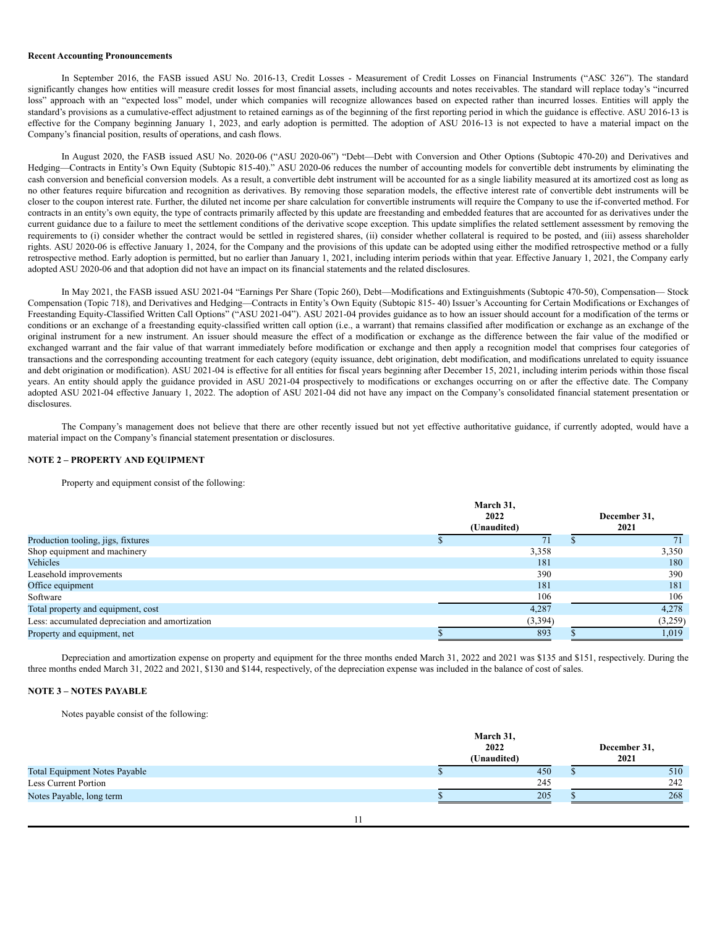#### **Recent Accounting Pronouncements**

In September 2016, the FASB issued ASU No. 2016-13, Credit Losses - Measurement of Credit Losses on Financial Instruments ("ASC 326"). The standard significantly changes how entities will measure credit losses for most financial assets, including accounts and notes receivables. The standard will replace today's "incurred loss" approach with an "expected loss" model, under which companies will recognize allowances based on expected rather than incurred losses. Entities will apply the standard's provisions as a cumulative-effect adjustment to retained earnings as of the beginning of the first reporting period in which the guidance is effective. ASU 2016-13 is effective for the Company beginning January 1, 2023, and early adoption is permitted. The adoption of ASU 2016-13 is not expected to have a material impact on the Company's financial position, results of operations, and cash flows.

In August 2020, the FASB issued ASU No. 2020-06 ("ASU 2020-06") "Debt—Debt with Conversion and Other Options (Subtopic 470-20) and Derivatives and Hedging—Contracts in Entity's Own Equity (Subtopic 815-40)." ASU 2020-06 reduces the number of accounting models for convertible debt instruments by eliminating the cash conversion and beneficial conversion models. As a result, a convertible debt instrument will be accounted for as a single liability measured at its amortized cost as long as no other features require bifurcation and recognition as derivatives. By removing those separation models, the effective interest rate of convertible debt instruments will be closer to the coupon interest rate. Further, the diluted net income per share calculation for convertible instruments will require the Company to use the if-converted method. For contracts in an entity's own equity, the type of contracts primarily affected by this update are freestanding and embedded features that are accounted for as derivatives under the current guidance due to a failure to meet the settlement conditions of the derivative scope exception. This update simplifies the related settlement assessment by removing the requirements to (i) consider whether the contract would be settled in registered shares, (ii) consider whether collateral is required to be posted, and (iii) assess shareholder rights. ASU 2020-06 is effective January 1, 2024, for the Company and the provisions of this update can be adopted using either the modified retrospective method or a fully retrospective method. Early adoption is permitted, but no earlier than January 1, 2021, including interim periods within that year. Effective January 1, 2021, the Company early adopted ASU 2020-06 and that adoption did not have an impact on its financial statements and the related disclosures.

In May 2021, the FASB issued ASU 2021-04 "Earnings Per Share (Topic 260), Debt—Modifications and Extinguishments (Subtopic 470-50), Compensation— Stock Compensation (Topic 718), and Derivatives and Hedging—Contracts in Entity's Own Equity (Subtopic 815- 40) Issuer's Accounting for Certain Modifications or Exchanges of Freestanding Equity-Classified Written Call Options" ("ASU 2021-04"). ASU 2021-04 provides guidance as to how an issuer should account for a modification of the terms or conditions or an exchange of a freestanding equity-classified written call option (i.e., a warrant) that remains classified after modification or exchange as an exchange of the original instrument for a new instrument. An issuer should measure the effect of a modification or exchange as the difference between the fair value of the modified or exchanged warrant and the fair value of that warrant immediately before modification or exchange and then apply a recognition model that comprises four categories of transactions and the corresponding accounting treatment for each category (equity issuance, debt origination, debt modification, and modifications unrelated to equity issuance and debt origination or modification). ASU 2021-04 is effective for all entities for fiscal years beginning after December 15, 2021, including interim periods within those fiscal years. An entity should apply the guidance provided in ASU 2021-04 prospectively to modifications or exchanges occurring on or after the effective date. The Company adopted ASU 2021-04 effective January 1, 2022. The adoption of ASU 2021-04 did not have any impact on the Company's consolidated financial statement presentation or disclosures.

The Company's management does not believe that there are other recently issued but not yet effective authoritative guidance, if currently adopted, would have a material impact on the Company's financial statement presentation or disclosures.

# **NOTE 2 – PROPERTY AND EQUIPMENT**

Property and equipment consist of the following:

|                                                 | March 31,<br>2022<br>(Unaudited) | December 31,<br>2021 |
|-------------------------------------------------|----------------------------------|----------------------|
| Production tooling, jigs, fixtures              | 71                               |                      |
| Shop equipment and machinery                    | 3,358                            | 3,350                |
| Vehicles                                        | 181                              | 180                  |
| Leasehold improvements                          | 390                              | 390                  |
| Office equipment                                | 181                              | 181                  |
| Software                                        | 106                              | 106                  |
| Total property and equipment, cost              | 4,287                            | 4,278                |
| Less: accumulated depreciation and amortization | (3, 394)                         | (3,259)              |
| Property and equipment, net                     | 893                              | 1,019                |

Depreciation and amortization expense on property and equipment for the three months ended March 31, 2022 and 2021 was \$135 and \$151, respectively. During the three months ended March 31, 2022 and 2021, \$130 and \$144, respectively, of the depreciation expense was included in the balance of cost of sales.

## **NOTE 3 – NOTES PAYABLE**

Notes payable consist of the following:

|                                      | 2022        | December 31, |
|--------------------------------------|-------------|--------------|
|                                      | (Unaudited) | 2021         |
| <b>Total Equipment Notes Payable</b> | 450         | 510          |
| Less Current Portion                 | 245         | 242          |
| Notes Payable, long term             | 205         | 268          |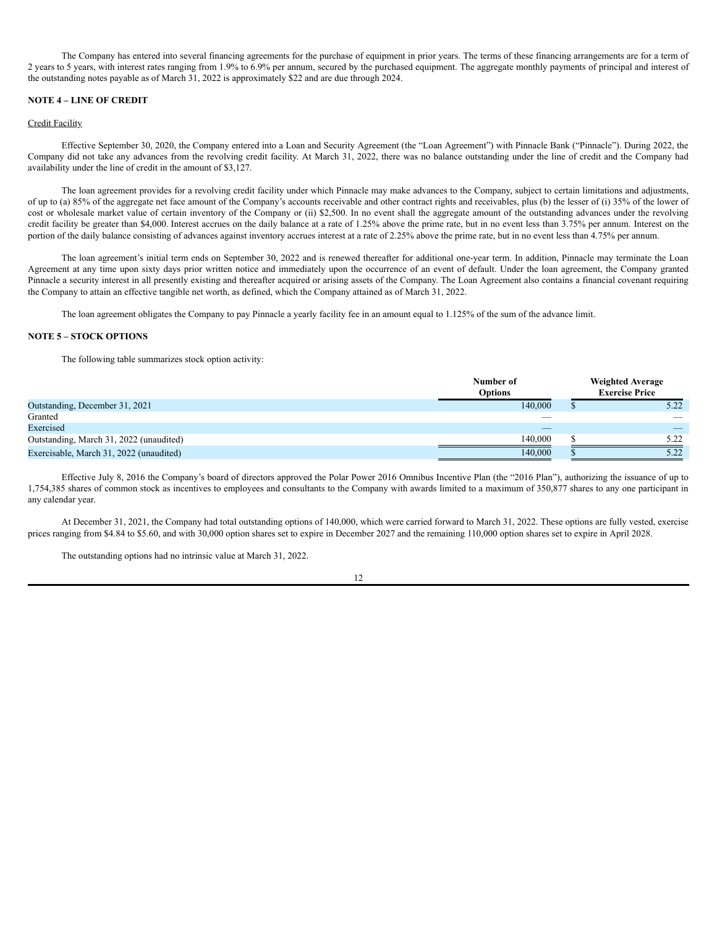The Company has entered into several financing agreements for the purchase of equipment in prior years. The terms of these financing arrangements are for a term of 2 years to 5 years, with interest rates ranging from 1.9% to 6.9% per annum, secured by the purchased equipment. The aggregate monthly payments of principal and interest of the outstanding notes payable as of March 31, 2022 is approximately \$22 and are due through 2024.

# **NOTE 4 – LINE OF CREDIT**

### Credit Facility

Effective September 30, 2020, the Company entered into a Loan and Security Agreement (the "Loan Agreement") with Pinnacle Bank ("Pinnacle"). During 2022, the Company did not take any advances from the revolving credit facility. At March 31, 2022, there was no balance outstanding under the line of credit and the Company had availability under the line of credit in the amount of \$3,127.

The loan agreement provides for a revolving credit facility under which Pinnacle may make advances to the Company, subject to certain limitations and adjustments, of up to (a) 85% of the aggregate net face amount of the Company's accounts receivable and other contract rights and receivables, plus (b) the lesser of (i) 35% of the lower of cost or wholesale market value of certain inventory of the Company or (ii) \$2,500. In no event shall the aggregate amount of the outstanding advances under the revolving credit facility be greater than \$4,000. Interest accrues on the daily balance at a rate of 1.25% above the prime rate, but in no event less than 3.75% per annum. Interest on the portion of the daily balance consisting of advances against inventory accrues interest at a rate of 2.25% above the prime rate, but in no event less than 4.75% per annum.

The loan agreement's initial term ends on September 30, 2022 and is renewed thereafter for additional one-year term. In addition, Pinnacle may terminate the Loan Agreement at any time upon sixty days prior written notice and immediately upon the occurrence of an event of default. Under the loan agreement, the Company granted Pinnacle a security interest in all presently existing and thereafter acquired or arising assets of the Company. The Loan Agreement also contains a financial covenant requiring the Company to attain an effective tangible net worth, as defined, which the Company attained as of March 31, 2022.

The loan agreement obligates the Company to pay Pinnacle a yearly facility fee in an amount equal to 1.125% of the sum of the advance limit.

#### **NOTE 5 – STOCK OPTIONS**

The following table summarizes stock option activity:

|                                         | Number of<br><b>Options</b> | <b>Weighted Average</b><br><b>Exercise Price</b> |  |
|-----------------------------------------|-----------------------------|--------------------------------------------------|--|
| Outstanding, December 31, 2021          | 140,000                     | 5.22                                             |  |
| Granted                                 |                             |                                                  |  |
| Exercised                               |                             |                                                  |  |
| Outstanding, March 31, 2022 (unaudited) | 140,000                     | 5.22                                             |  |
| Exercisable, March 31, 2022 (unaudited) | 140,000                     | 5.22                                             |  |

Effective July 8, 2016 the Company's board of directors approved the Polar Power 2016 Omnibus Incentive Plan (the "2016 Plan"), authorizing the issuance of up to 1,754,385 shares of common stock as incentives to employees and consultants to the Company with awards limited to a maximum of 350,877 shares to any one participant in any calendar year.

At December 31, 2021, the Company had total outstanding options of 140,000, which were carried forward to March 31, 2022. These options are fully vested, exercise prices ranging from \$4.84 to \$5.60, and with 30,000 option shares set to expire in December 2027 and the remaining 110,000 option shares set to expire in April 2028.

The outstanding options had no intrinsic value at March 31, 2022.

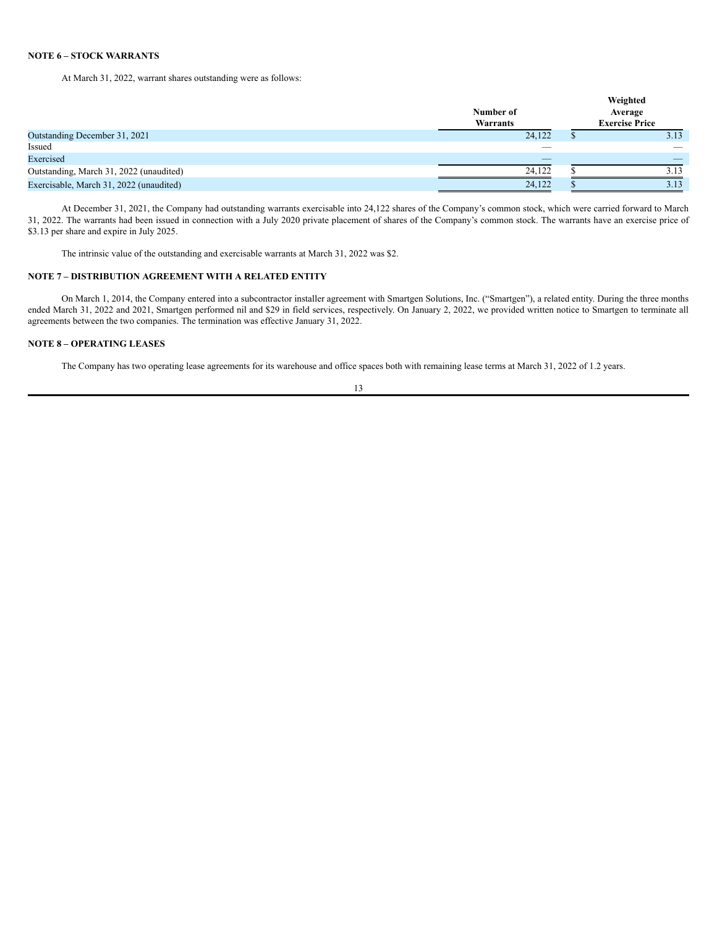# **NOTE 6 – STOCK WARRANTS**

At March 31, 2022, warrant shares outstanding were as follows:

|                                         | Number of<br><b>Warrants</b> | Weighted<br>Average<br><b>Exercise Price</b> |
|-----------------------------------------|------------------------------|----------------------------------------------|
| Outstanding December 31, 2021           | 24,122                       | 3.13                                         |
| Issued                                  |                              |                                              |
| Exercised                               |                              |                                              |
| Outstanding, March 31, 2022 (unaudited) | 24,122                       | 3.13                                         |
| Exercisable, March 31, 2022 (unaudited) | 24,122                       |                                              |

At December 31, 2021, the Company had outstanding warrants exercisable into 24,122 shares of the Company's common stock, which were carried forward to March 31, 2022. The warrants had been issued in connection with a July 2020 private placement of shares of the Company's common stock. The warrants have an exercise price of \$3.13 per share and expire in July 2025.

The intrinsic value of the outstanding and exercisable warrants at March 31, 2022 was \$2.

# **NOTE 7 – DISTRIBUTION AGREEMENT WITH A RELATED ENTITY**

On March 1, 2014, the Company entered into a subcontractor installer agreement with Smartgen Solutions, Inc. ("Smartgen"), a related entity. During the three months ended March 31, 2022 and 2021, Smartgen performed nil and \$29 in field services, respectively. On January 2, 2022, we provided written notice to Smartgen to terminate all agreements between the two companies. The termination was effective January 31, 2022.

# **NOTE 8 – OPERATING LEASES**

The Company has two operating lease agreements for its warehouse and office spaces both with remaining lease terms at March 31, 2022 of 1.2 years.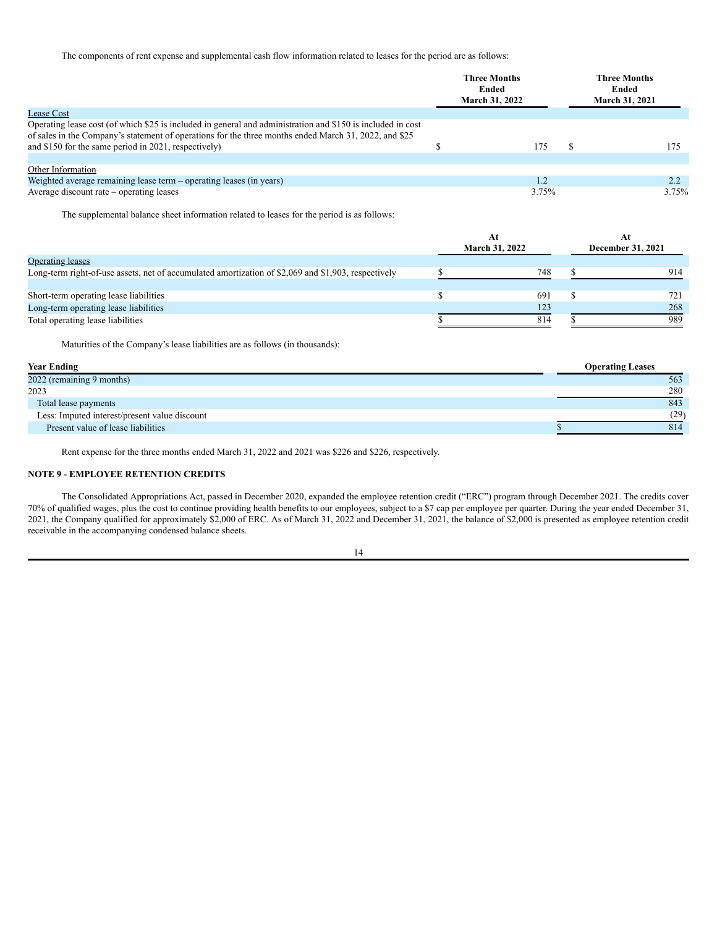The components of rent expense and supplemental cash flow information related to leases for the period are as follows:

|                                                                                                                                                                                                                                                                                 | <b>Three Months</b><br>Ended<br><b>March 31, 2022</b> |       | <b>Three Months</b><br>Ended<br><b>March 31, 2021</b> |       |
|---------------------------------------------------------------------------------------------------------------------------------------------------------------------------------------------------------------------------------------------------------------------------------|-------------------------------------------------------|-------|-------------------------------------------------------|-------|
| <b>Lease Cost</b>                                                                                                                                                                                                                                                               |                                                       |       |                                                       |       |
| Operating lease cost (of which \$25 is included in general and administration and \$150 is included in cost<br>of sales in the Company's statement of operations for the three months ended March 31, 2022, and \$25<br>and \$150 for the same period in $2021$ , respectively) |                                                       | 175   |                                                       | 175   |
|                                                                                                                                                                                                                                                                                 |                                                       |       |                                                       |       |
| Other Information                                                                                                                                                                                                                                                               |                                                       |       |                                                       |       |
| Weighted average remaining lease term – operating leases (in years)                                                                                                                                                                                                             |                                                       | 1.2   |                                                       | 2.2   |
| Average discount rate – operating leases                                                                                                                                                                                                                                        |                                                       | 3.75% |                                                       | 3.75% |

The supplemental balance sheet information related to leases for the period is as follows:

|                                                                                                     | A1<br><b>March 31, 2022</b> | At<br><b>December 31, 2021</b> |
|-----------------------------------------------------------------------------------------------------|-----------------------------|--------------------------------|
| <b>Operating leases</b>                                                                             |                             |                                |
| Long-term right-of-use assets, net of accumulated amortization of \$2,069 and \$1,903, respectively | 748                         | 914                            |
| Short-term operating lease liabilities                                                              | .69                         | 721                            |
| Long-term operating lease liabilities                                                               | 123                         | 268                            |
| Total operating lease liabilities                                                                   | 814                         | 989                            |

Maturities of the Company's lease liabilities are as follows (in thousands):

| <b>Year Ending</b>                            | <b>Operating Leases</b> |
|-----------------------------------------------|-------------------------|
| 2022 (remaining 9 months)                     | 563                     |
| 2023                                          | 280                     |
| Total lease payments                          | 843                     |
| Less: Imputed interest/present value discount | (29)                    |
| Present value of lease liabilities            | 814                     |

Rent expense for the three months ended March 31, 2022 and 2021 was \$226 and \$226, respectively.

# **NOTE 9 - EMPLOYEE RETENTION CREDITS**

The Consolidated Appropriations Act, passed in December 2020, expanded the employee retention credit ("ERC") program through December 2021. The credits cover 70% of qualified wages, plus the cost to continue providing health benefits to our employees, subject to a \$7 cap per employee per quarter. During the year ended December 31, 2021, the Company qualified for approximately \$2,000 of ERC. As of March 31, 2022 and December 31, 2021, the balance of \$2,000 is presented as employee retention credit receivable in the accompanying condensed balance sheets.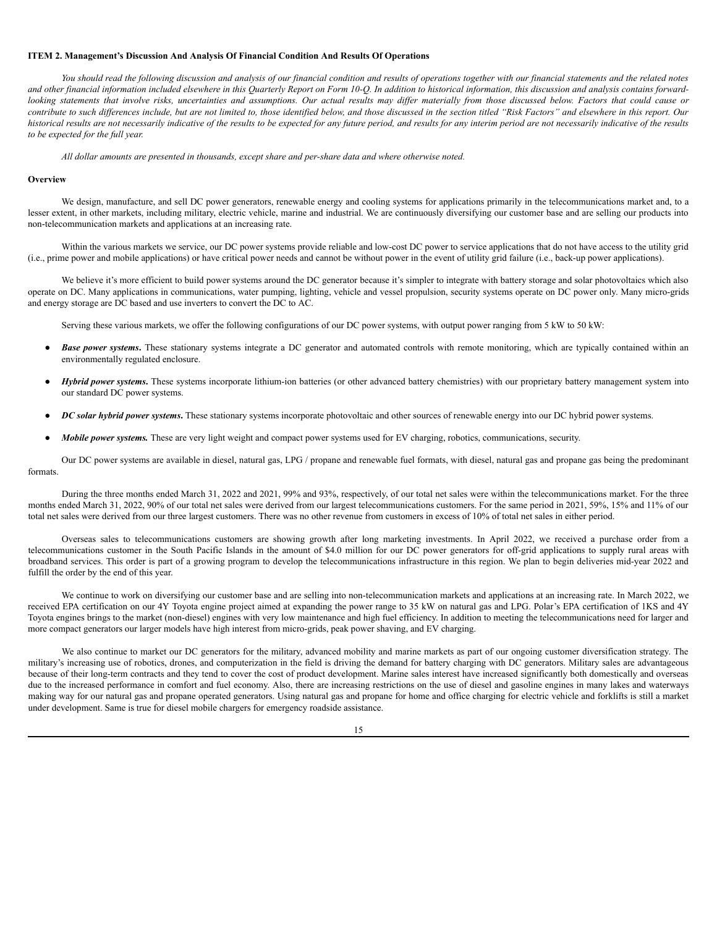#### <span id="page-17-0"></span>**ITEM 2. Management's Discussion And Analysis Of Financial Condition And Results Of Operations**

You should read the following discussion and analysis of our financial condition and results of operations together with our financial statements and the related notes and other financial information included elsewhere in this Quarterly Report on Form 10-Q. In addition to historical information, this discussion and analysis contains forwardlooking statements that involve risks, uncertainties and assumptions. Our actual results may differ materially from those discussed below. Factors that could cause or contribute to such differences include, but are not limited to, those identified below, and those discussed in the section titled "Risk Factors" and elsewhere in this report. Our historical results are not necessarily indicative of the results to be expected for any future period, and results for any interim period are not necessarily indicative of the results *to be expected for the full year.*

*All dollar amounts are presented in thousands, except share and per-share data and where otherwise noted.*

# **Overview**

We design, manufacture, and sell DC power generators, renewable energy and cooling systems for applications primarily in the telecommunications market and, to a lesser extent, in other markets, including military, electric vehicle, marine and industrial. We are continuously diversifying our customer base and are selling our products into non-telecommunication markets and applications at an increasing rate.

Within the various markets we service, our DC power systems provide reliable and low-cost DC power to service applications that do not have access to the utility grid (i.e., prime power and mobile applications) or have critical power needs and cannot be without power in the event of utility grid failure (i.e., back-up power applications).

We believe it's more efficient to build power systems around the DC generator because it's simpler to integrate with battery storage and solar photovoltaics which also operate on DC. Many applications in communications, water pumping, lighting, vehicle and vessel propulsion, security systems operate on DC power only. Many micro-grids and energy storage are DC based and use inverters to convert the DC to AC.

Serving these various markets, we offer the following configurations of our DC power systems, with output power ranging from 5 kW to 50 kW:

- **Base power systems.** These stationary systems integrate a DC generator and automated controls with remote monitoring, which are typically contained within an environmentally regulated enclosure.
- *Hybrid power systems***.** These systems incorporate lithium-ion batteries (or other advanced battery chemistries) with our proprietary battery management system into our standard DC power systems.
- *DC solar hybrid power systems***.** These stationary systems incorporate photovoltaic and other sources of renewable energy into our DC hybrid power systems.
- *Mobile power systems*. These are very light weight and compact power systems used for EV charging, robotics, communications, security.

Our DC power systems are available in diesel, natural gas, LPG / propane and renewable fuel formats, with diesel, natural gas and propane gas being the predominant formats.

During the three months ended March 31, 2022 and 2021, 99% and 93%, respectively, of our total net sales were within the telecommunications market. For the three months ended March 31, 2022, 90% of our total net sales were derived from our largest telecommunications customers. For the same period in 2021, 59%, 15% and 11% of our total net sales were derived from our three largest customers. There was no other revenue from customers in excess of 10% of total net sales in either period.

Overseas sales to telecommunications customers are showing growth after long marketing investments. In April 2022, we received a purchase order from a telecommunications customer in the South Pacific Islands in the amount of \$4.0 million for our DC power generators for off-grid applications to supply rural areas with broadband services. This order is part of a growing program to develop the telecommunications infrastructure in this region. We plan to begin deliveries mid-year 2022 and fulfill the order by the end of this year.

We continue to work on diversifying our customer base and are selling into non-telecommunication markets and applications at an increasing rate. In March 2022, we received EPA certification on our 4Y Toyota engine project aimed at expanding the power range to 35 kW on natural gas and LPG. Polar's EPA certification of 1KS and 4Y Toyota engines brings to the market (non-diesel) engines with very low maintenance and high fuel efficiency. In addition to meeting the telecommunications need for larger and more compact generators our larger models have high interest from micro-grids, peak power shaving, and EV charging.

We also continue to market our DC generators for the military, advanced mobility and marine markets as part of our ongoing customer diversification strategy. The military's increasing use of robotics, drones, and computerization in the field is driving the demand for battery charging with DC generators. Military sales are advantageous because of their long-term contracts and they tend to cover the cost of product development. Marine sales interest have increased significantly both domestically and overseas due to the increased performance in comfort and fuel economy. Also, there are increasing restrictions on the use of diesel and gasoline engines in many lakes and waterways making way for our natural gas and propane operated generators. Using natural gas and propane for home and office charging for electric vehicle and forklifts is still a market under development. Same is true for diesel mobile chargers for emergency roadside assistance.

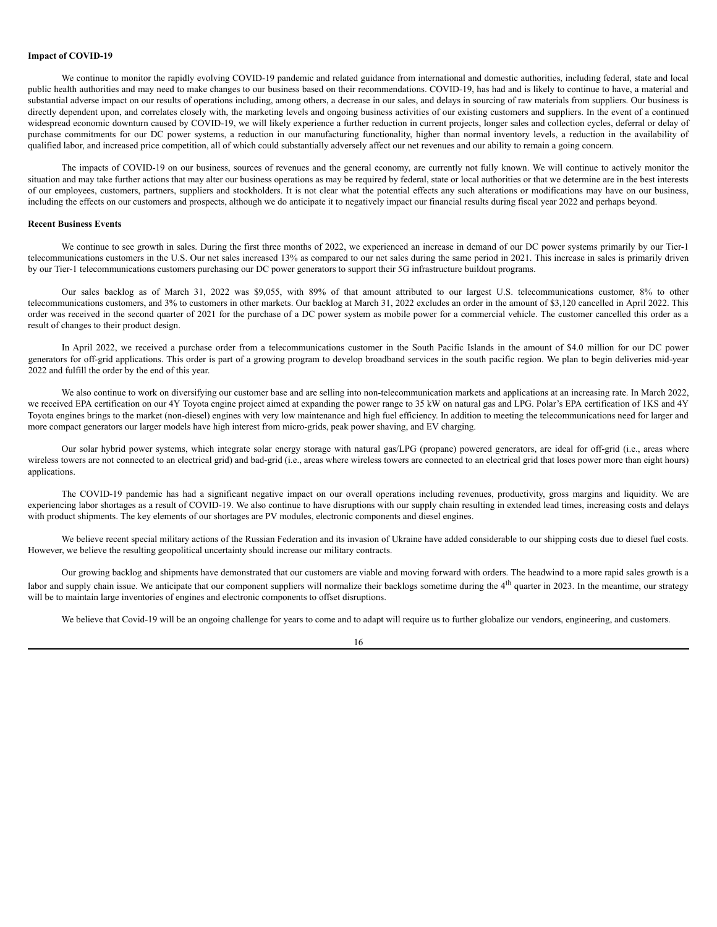#### **Impact of COVID-19**

We continue to monitor the rapidly evolving COVID-19 pandemic and related guidance from international and domestic authorities, including federal, state and local public health authorities and may need to make changes to our business based on their recommendations. COVID-19, has had and is likely to continue to have, a material and substantial adverse impact on our results of operations including, among others, a decrease in our sales, and delays in sourcing of raw materials from suppliers. Our business is directly dependent upon, and correlates closely with, the marketing levels and ongoing business activities of our existing customers and suppliers. In the event of a continued widespread economic downturn caused by COVID-19, we will likely experience a further reduction in current projects, longer sales and collection cycles, deferral or delay of purchase commitments for our DC power systems, a reduction in our manufacturing functionality, higher than normal inventory levels, a reduction in the availability of qualified labor, and increased price competition, all of which could substantially adversely affect our net revenues and our ability to remain a going concern.

The impacts of COVID-19 on our business, sources of revenues and the general economy, are currently not fully known. We will continue to actively monitor the situation and may take further actions that may alter our business operations as may be required by federal, state or local authorities or that we determine are in the best interests of our employees, customers, partners, suppliers and stockholders. It is not clear what the potential effects any such alterations or modifications may have on our business, including the effects on our customers and prospects, although we do anticipate it to negatively impact our financial results during fiscal year 2022 and perhaps beyond.

#### **Recent Business Events**

We continue to see growth in sales. During the first three months of 2022, we experienced an increase in demand of our DC power systems primarily by our Tier-1 telecommunications customers in the U.S. Our net sales increased 13% as compared to our net sales during the same period in 2021. This increase in sales is primarily driven by our Tier-1 telecommunications customers purchasing our DC power generators to support their 5G infrastructure buildout programs.

Our sales backlog as of March 31, 2022 was \$9,055, with 89% of that amount attributed to our largest U.S. telecommunications customer, 8% to other telecommunications customers, and 3% to customers in other markets. Our backlog at March 31, 2022 excludes an order in the amount of \$3,120 cancelled in April 2022. This order was received in the second quarter of 2021 for the purchase of a DC power system as mobile power for a commercial vehicle. The customer cancelled this order as a result of changes to their product design.

In April 2022, we received a purchase order from a telecommunications customer in the South Pacific Islands in the amount of \$4.0 million for our DC power generators for off-grid applications. This order is part of a growing program to develop broadband services in the south pacific region. We plan to begin deliveries mid-year 2022 and fulfill the order by the end of this year.

We also continue to work on diversifying our customer base and are selling into non-telecommunication markets and applications at an increasing rate. In March 2022, we received EPA certification on our 4Y Toyota engine project aimed at expanding the power range to 35 kW on natural gas and LPG. Polar's EPA certification of 1KS and 4Y Toyota engines brings to the market (non-diesel) engines with very low maintenance and high fuel efficiency. In addition to meeting the telecommunications need for larger and more compact generators our larger models have high interest from micro-grids, peak power shaving, and EV charging.

Our solar hybrid power systems, which integrate solar energy storage with natural gas/LPG (propane) powered generators, are ideal for off-grid (i.e., areas where wireless towers are not connected to an electrical grid) and bad-grid (i.e., areas where wireless towers are connected to an electrical grid that loses power more than eight hours) applications.

The COVID-19 pandemic has had a significant negative impact on our overall operations including revenues, productivity, gross margins and liquidity. We are experiencing labor shortages as a result of COVID-19. We also continue to have disruptions with our supply chain resulting in extended lead times, increasing costs and delays with product shipments. The key elements of our shortages are PV modules, electronic components and diesel engines.

We believe recent special military actions of the Russian Federation and its invasion of Ukraine have added considerable to our shipping costs due to diesel fuel costs. However, we believe the resulting geopolitical uncertainty should increase our military contracts.

Our growing backlog and shipments have demonstrated that our customers are viable and moving forward with orders. The headwind to a more rapid sales growth is a labor and supply chain issue. We anticipate that our component suppliers will normalize their backlogs sometime during the 4<sup>th</sup> quarter in 2023. In the meantime, our strategy will be to maintain large inventories of engines and electronic components to offset disruptions.

We believe that Covid-19 will be an ongoing challenge for years to come and to adapt will require us to further globalize our vendors, engineering, and customers.

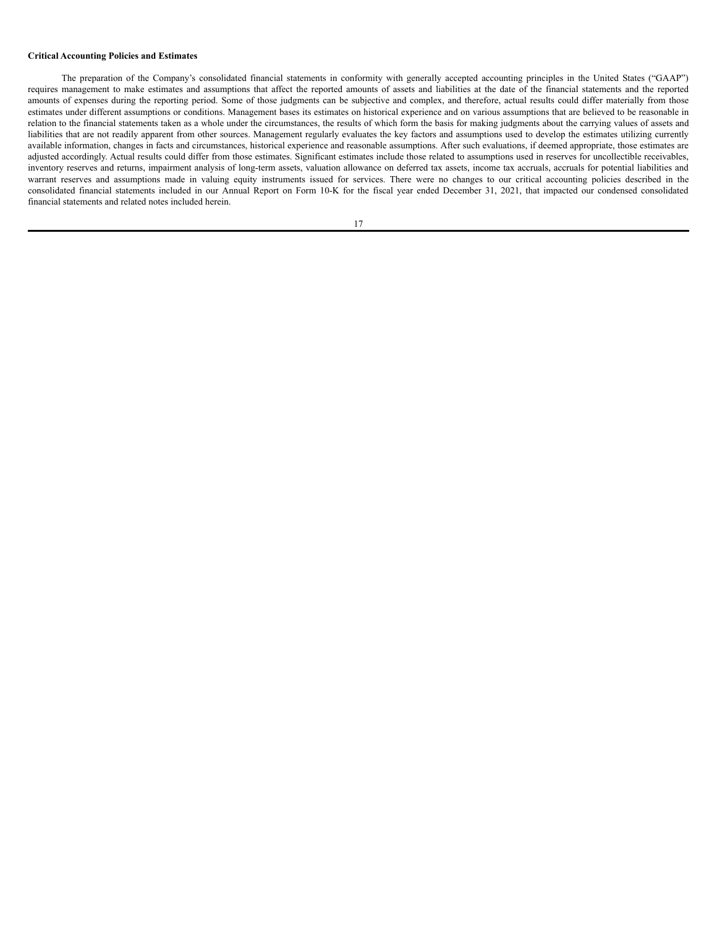#### **Critical Accounting Policies and Estimates**

The preparation of the Company's consolidated financial statements in conformity with generally accepted accounting principles in the United States ("GAAP") requires management to make estimates and assumptions that affect the reported amounts of assets and liabilities at the date of the financial statements and the reported amounts of expenses during the reporting period. Some of those judgments can be subjective and complex, and therefore, actual results could differ materially from those estimates under different assumptions or conditions. Management bases its estimates on historical experience and on various assumptions that are believed to be reasonable in relation to the financial statements taken as a whole under the circumstances, the results of which form the basis for making judgments about the carrying values of assets and liabilities that are not readily apparent from other sources. Management regularly evaluates the key factors and assumptions used to develop the estimates utilizing currently available information, changes in facts and circumstances, historical experience and reasonable assumptions. After such evaluations, if deemed appropriate, those estimates are adjusted accordingly. Actual results could differ from those estimates. Significant estimates include those related to assumptions used in reserves for uncollectible receivables, inventory reserves and returns, impairment analysis of long-term assets, valuation allowance on deferred tax assets, income tax accruals, accruals for potential liabilities and warrant reserves and assumptions made in valuing equity instruments issued for services. There were no changes to our critical accounting policies described in the consolidated financial statements included in our Annual Report on Form 10-K for the fiscal year ended December 31, 2021, that impacted our condensed consolidated financial statements and related notes included herein.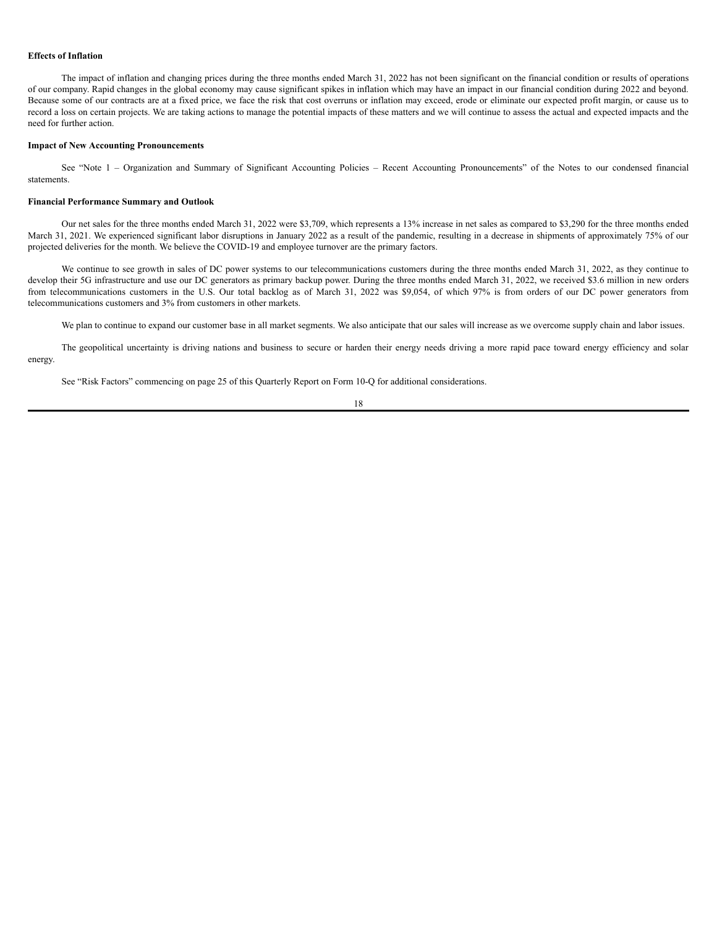#### **Effects of Inflation**

The impact of inflation and changing prices during the three months ended March 31, 2022 has not been significant on the financial condition or results of operations of our company. Rapid changes in the global economy may cause significant spikes in inflation which may have an impact in our financial condition during 2022 and beyond. Because some of our contracts are at a fixed price, we face the risk that cost overruns or inflation may exceed, erode or eliminate our expected profit margin, or cause us to record a loss on certain projects. We are taking actions to manage the potential impacts of these matters and we will continue to assess the actual and expected impacts and the need for further action.

#### **Impact of New Accounting Pronouncements**

See "Note 1 – Organization and Summary of Significant Accounting Policies – Recent Accounting Pronouncements" of the Notes to our condensed financial statements.

#### **Financial Performance Summary and Outlook**

Our net sales for the three months ended March 31, 2022 were \$3,709, which represents a 13% increase in net sales as compared to \$3,290 for the three months ended March 31, 2021. We experienced significant labor disruptions in January 2022 as a result of the pandemic, resulting in a decrease in shipments of approximately 75% of our projected deliveries for the month. We believe the COVID-19 and employee turnover are the primary factors.

We continue to see growth in sales of DC power systems to our telecommunications customers during the three months ended March 31, 2022, as they continue to develop their 5G infrastructure and use our DC generators as primary backup power. During the three months ended March 31, 2022, we received \$3.6 million in new orders from telecommunications customers in the U.S. Our total backlog as of March 31, 2022 was \$9,054, of which 97% is from orders of our DC power generators from telecommunications customers and 3% from customers in other markets.

We plan to continue to expand our customer base in all market segments. We also anticipate that our sales will increase as we overcome supply chain and labor issues.

The geopolitical uncertainty is driving nations and business to secure or harden their energy needs driving a more rapid pace toward energy efficiency and solar energy.

See "Risk Factors" commencing on page 25 of this Quarterly Report on Form 10-Q for additional considerations.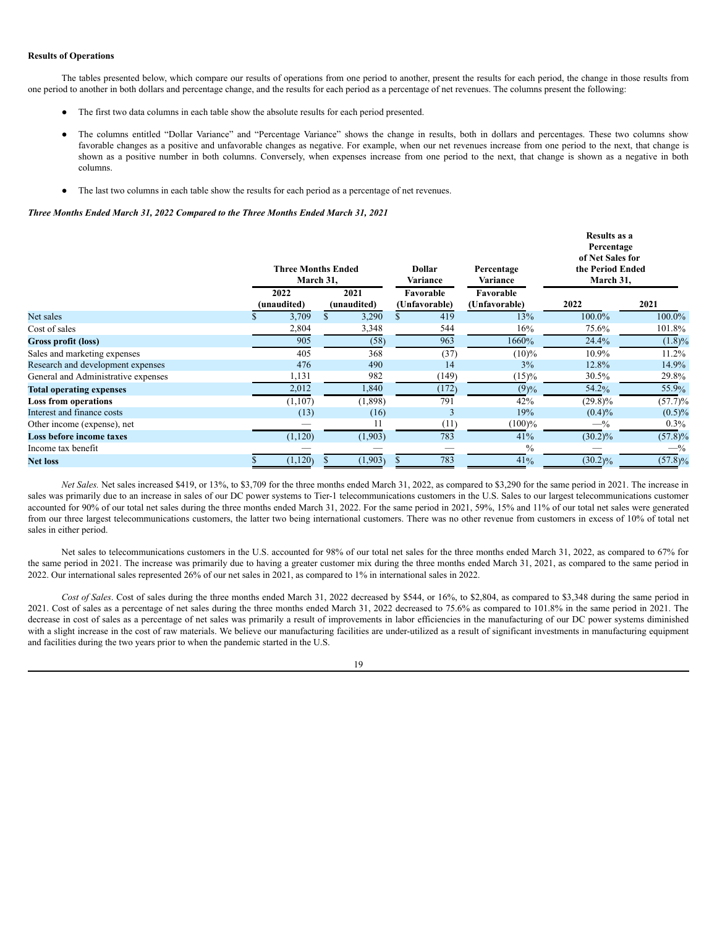# **Results of Operations**

The tables presented below, which compare our results of operations from one period to another, present the results for each period, the change in those results from one period to another in both dollars and percentage change, and the results for each period as a percentage of net revenues. The columns present the following:

- The first two data columns in each table show the absolute results for each period presented.
- The columns entitled "Dollar Variance" and "Percentage Variance" shows the change in results, both in dollars and percentages. These two columns show favorable changes as a positive and unfavorable changes as negative. For example, when our net revenues increase from one period to the next, that change is shown as a positive number in both columns. Conversely, when expenses increase from one period to the next, that change is shown as a negative in both columns.
- The last two columns in each table show the results for each period as a percentage of net revenues.

# *Three Months Ended March 31, 2022 Compared to the Three Months Ended March 31, 2021*

|                                     | <b>Three Months Ended</b><br><b>Dollar</b><br>March 31,<br>Variance |  | Percentage<br>Variance | Results as a<br>Percentage<br>of Net Sales for<br>the Period Ended<br>March 31, |                            |            |            |
|-------------------------------------|---------------------------------------------------------------------|--|------------------------|---------------------------------------------------------------------------------|----------------------------|------------|------------|
|                                     | 2022<br>(unaudited)                                                 |  | 2021<br>(unaudited)    | Favorable<br>(Unfavorable)                                                      | Favorable<br>(Unfavorable) | 2022       | 2021       |
| Net sales                           | 3,709                                                               |  | 3,290                  | 419                                                                             | 13%                        | 100.0%     | 100.0%     |
| Cost of sales                       | 2,804                                                               |  | 3,348                  | 544                                                                             | 16%                        | 75.6%      | 101.8%     |
| Gross profit (loss)                 | 905                                                                 |  | (58)                   | 963                                                                             | 1660%                      | 24.4%      | $(1.8)\%$  |
| Sales and marketing expenses        | 405                                                                 |  | 368                    | (37)                                                                            | $(10)\%$                   | 10.9%      | 11.2%      |
| Research and development expenses   | 476                                                                 |  | 490                    | 14                                                                              | 3%                         | 12.8%      | 14.9%      |
| General and Administrative expenses | 1,131                                                               |  | 982                    | (149)                                                                           | (15)%                      | 30.5%      | 29.8%      |
| <b>Total operating expenses</b>     | 2,012                                                               |  | 1,840                  | (172)                                                                           | (9)%                       | 54.2%      | 55.9%      |
| <b>Loss from operations</b>         | (1, 107)                                                            |  | (1,898)                | 791                                                                             | 42%                        | $(29.8)\%$ | $(57.7)\%$ |
| Interest and finance costs          | (13)                                                                |  | (16)                   | 3                                                                               | 19%                        | $(0.4)\%$  | $(0.5)\%$  |
| Other income (expense), net         |                                                                     |  | 11                     | (11)                                                                            | $(100)\%$                  | $-$ %      | $0.3\%$    |
| Loss before income taxes            | (1, 120)                                                            |  | (1,903)                | 783                                                                             | 41%                        | $(30.2)\%$ | $(57.8)\%$ |
| Income tax benefit                  |                                                                     |  |                        |                                                                                 | $\frac{0}{0}$              |            | $-$ %      |
| <b>Net loss</b>                     | (1, 120)                                                            |  | (1,903)                | 783                                                                             | 41%                        | $(30.2)\%$ | $(57.8)\%$ |

*Net Sales.* Net sales increased \$419, or 13%, to \$3,709 for the three months ended March 31, 2022, as compared to \$3,290 for the same period in 2021. The increase in sales was primarily due to an increase in sales of our DC power systems to Tier-1 telecommunications customers in the U.S. Sales to our largest telecommunications customer accounted for 90% of our total net sales during the three months ended March 31, 2022. For the same period in 2021, 59%, 15% and 11% of our total net sales were generated from our three largest telecommunications customers, the latter two being international customers. There was no other revenue from customers in excess of 10% of total net sales in either period.

Net sales to telecommunications customers in the U.S. accounted for 98% of our total net sales for the three months ended March 31, 2022, as compared to 67% for the same period in 2021. The increase was primarily due to having a greater customer mix during the three months ended March 31, 2021, as compared to the same period in 2022. Our international sales represented 26% of our net sales in 2021, as compared to 1% in international sales in 2022.

Cost of Sales. Cost of sales during the three months ended March 31, 2022 decreased by \$544, or 16%, to \$2,804, as compared to \$3,348 during the same period in 2021. Cost of sales as a percentage of net sales during the three months ended March 31, 2022 decreased to 75.6% as compared to 101.8% in the same period in 2021. The decrease in cost of sales as a percentage of net sales was primarily a result of improvements in labor efficiencies in the manufacturing of our DC power systems diminished with a slight increase in the cost of raw materials. We believe our manufacturing facilities are under-utilized as a result of significant investments in manufacturing equipment and facilities during the two years prior to when the pandemic started in the U.S.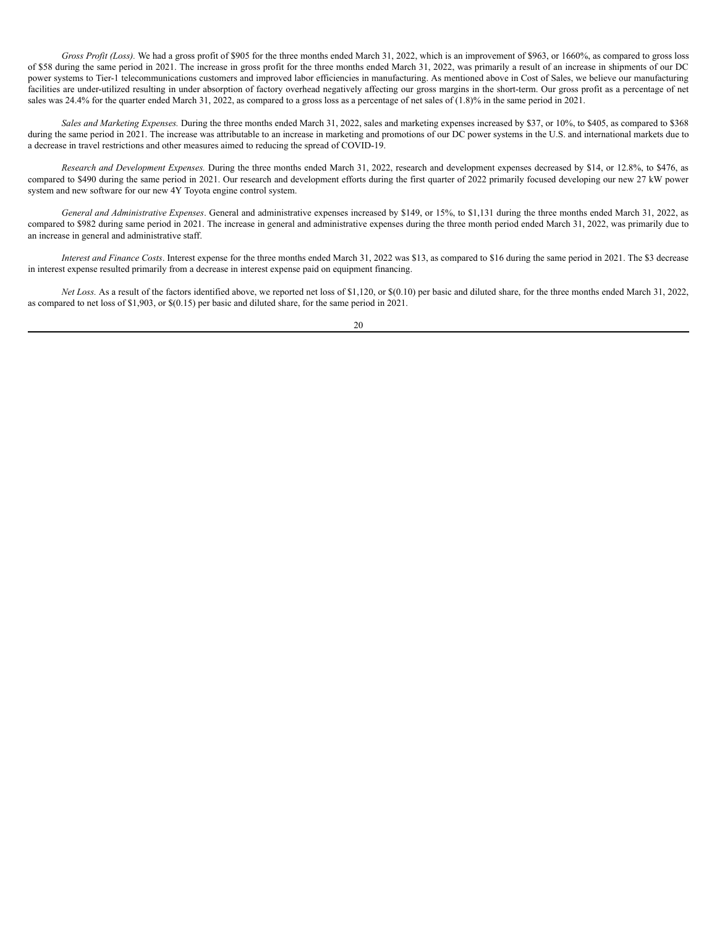*Gross Profit (Loss).* We had a gross profit of \$905 for the three months ended March 31, 2022, which is an improvement of \$963, or 1660%, as compared to gross loss of \$58 during the same period in 2021. The increase in gross profit for the three months ended March 31, 2022, was primarily a result of an increase in shipments of our DC power systems to Tier-1 telecommunications customers and improved labor efficiencies in manufacturing. As mentioned above in Cost of Sales, we believe our manufacturing facilities are under-utilized resulting in under absorption of factory overhead negatively affecting our gross margins in the short-term. Our gross profit as a percentage of net sales was 24.4% for the quarter ended March 31, 2022, as compared to a gross loss as a percentage of net sales of (1.8)% in the same period in 2021.

*Sales and Marketing Expenses.* During the three months ended March 31, 2022, sales and marketing expenses increased by \$37, or 10%, to \$405, as compared to \$368 during the same period in 2021. The increase was attributable to an increase in marketing and promotions of our DC power systems in the U.S. and international markets due to a decrease in travel restrictions and other measures aimed to reducing the spread of COVID-19.

*Research and Development Expenses.* During the three months ended March 31, 2022, research and development expenses decreased by \$14, or 12.8%, to \$476, as compared to \$490 during the same period in 2021. Our research and development efforts during the first quarter of 2022 primarily focused developing our new 27 kW power system and new software for our new 4Y Toyota engine control system.

*General and Administrative Expenses*. General and administrative expenses increased by \$149, or 15%, to \$1,131 during the three months ended March 31, 2022, as compared to \$982 during same period in 2021. The increase in general and administrative expenses during the three month period ended March 31, 2022, was primarily due to an increase in general and administrative staff.

*Interest and Finance Costs*. Interest expense for the three months ended March 31, 2022 was \$13, as compared to \$16 during the same period in 2021. The \$3 decrease in interest expense resulted primarily from a decrease in interest expense paid on equipment financing.

*Net Loss.* As a result of the factors identified above, we reported net loss of \$1,120, or \$(0.10) per basic and diluted share, for the three months ended March 31, 2022, as compared to net loss of \$1,903, or \$(0.15) per basic and diluted share, for the same period in 2021.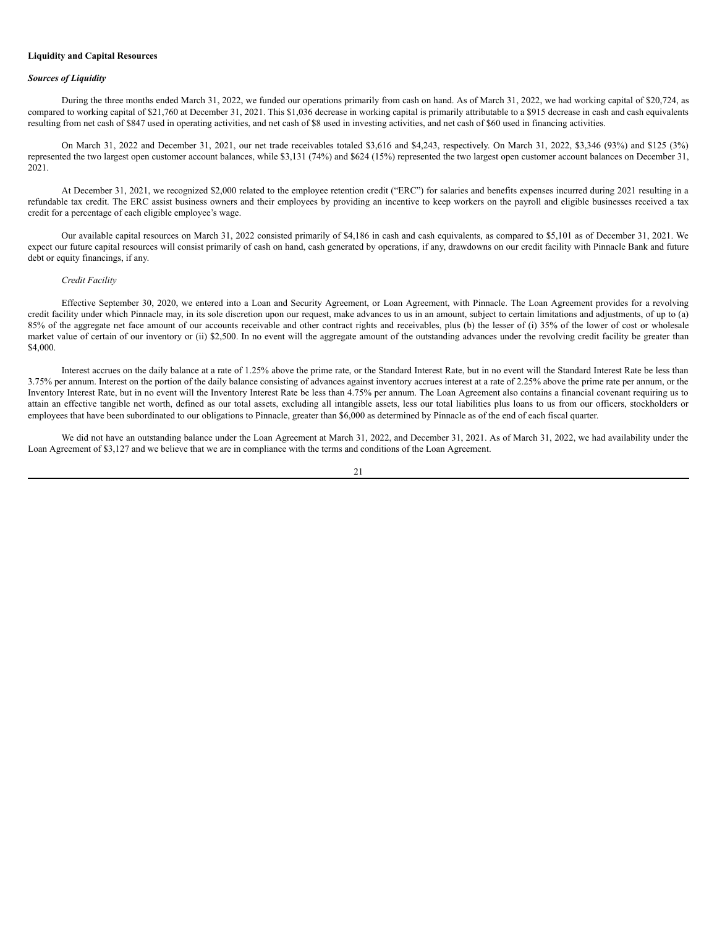### **Liquidity and Capital Resources**

#### *Sources of Liquidity*

During the three months ended March 31, 2022, we funded our operations primarily from cash on hand. As of March 31, 2022, we had working capital of \$20,724, as compared to working capital of \$21,760 at December 31, 2021. This \$1,036 decrease in working capital is primarily attributable to a \$915 decrease in cash and cash equivalents resulting from net cash of \$847 used in operating activities, and net cash of \$8 used in investing activities, and net cash of \$60 used in financing activities.

On March 31, 2022 and December 31, 2021, our net trade receivables totaled \$3,616 and \$4,243, respectively. On March 31, 2022, \$3,346 (93%) and \$125 (3%) represented the two largest open customer account balances, while \$3,131 (74%) and \$624 (15%) represented the two largest open customer account balances on December 31, 2021.

At December 31, 2021, we recognized \$2,000 related to the employee retention credit ("ERC") for salaries and benefits expenses incurred during 2021 resulting in a refundable tax credit. The ERC assist business owners and their employees by providing an incentive to keep workers on the payroll and eligible businesses received a tax credit for a percentage of each eligible employee's wage.

Our available capital resources on March 31, 2022 consisted primarily of \$4,186 in cash and cash equivalents, as compared to \$5,101 as of December 31, 2021. We expect our future capital resources will consist primarily of cash on hand, cash generated by operations, if any, drawdowns on our credit facility with Pinnacle Bank and future debt or equity financings, if any.

#### *Credit Facility*

Effective September 30, 2020, we entered into a Loan and Security Agreement, or Loan Agreement, with Pinnacle. The Loan Agreement provides for a revolving credit facility under which Pinnacle may, in its sole discretion upon our request, make advances to us in an amount, subject to certain limitations and adjustments, of up to (a) 85% of the aggregate net face amount of our accounts receivable and other contract rights and receivables, plus (b) the lesser of (i) 35% of the lower of cost or wholesale market value of certain of our inventory or (ii) \$2,500. In no event will the aggregate amount of the outstanding advances under the revolving credit facility be greater than \$4,000.

Interest accrues on the daily balance at a rate of 1.25% above the prime rate, or the Standard Interest Rate, but in no event will the Standard Interest Rate be less than 3.75% per annum. Interest on the portion of the daily balance consisting of advances against inventory accrues interest at a rate of 2.25% above the prime rate per annum, or the Inventory Interest Rate, but in no event will the Inventory Interest Rate be less than 4.75% per annum. The Loan Agreement also contains a financial covenant requiring us to attain an effective tangible net worth, defined as our total assets, excluding all intangible assets, less our total liabilities plus loans to us from our officers, stockholders or employees that have been subordinated to our obligations to Pinnacle, greater than \$6,000 as determined by Pinnacle as of the end of each fiscal quarter.

We did not have an outstanding balance under the Loan Agreement at March 31, 2022, and December 31, 2021. As of March 31, 2022, we had availability under the Loan Agreement of \$3,127 and we believe that we are in compliance with the terms and conditions of the Loan Agreement.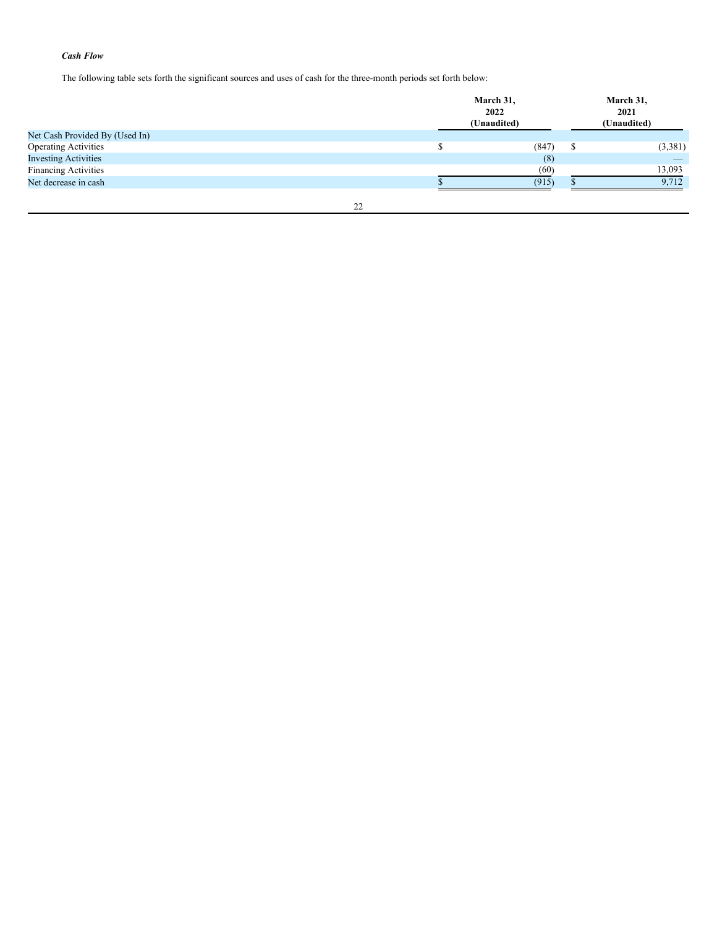# *Cash Flow*

The following table sets forth the significant sources and uses of cash for the three-month periods set forth below:

|                                | March 31,<br>2022<br>(Unaudited) |       | March 31,<br>2021<br>(Unaudited) |  |
|--------------------------------|----------------------------------|-------|----------------------------------|--|
| Net Cash Provided By (Used In) |                                  |       |                                  |  |
| <b>Operating Activities</b>    |                                  | (847) | (3,381)                          |  |
| <b>Investing Activities</b>    |                                  | (8)   |                                  |  |
| <b>Financing Activities</b>    |                                  | (60)  | 13,093                           |  |
| Net decrease in cash           |                                  | (915) | 9.712                            |  |
|                                |                                  |       |                                  |  |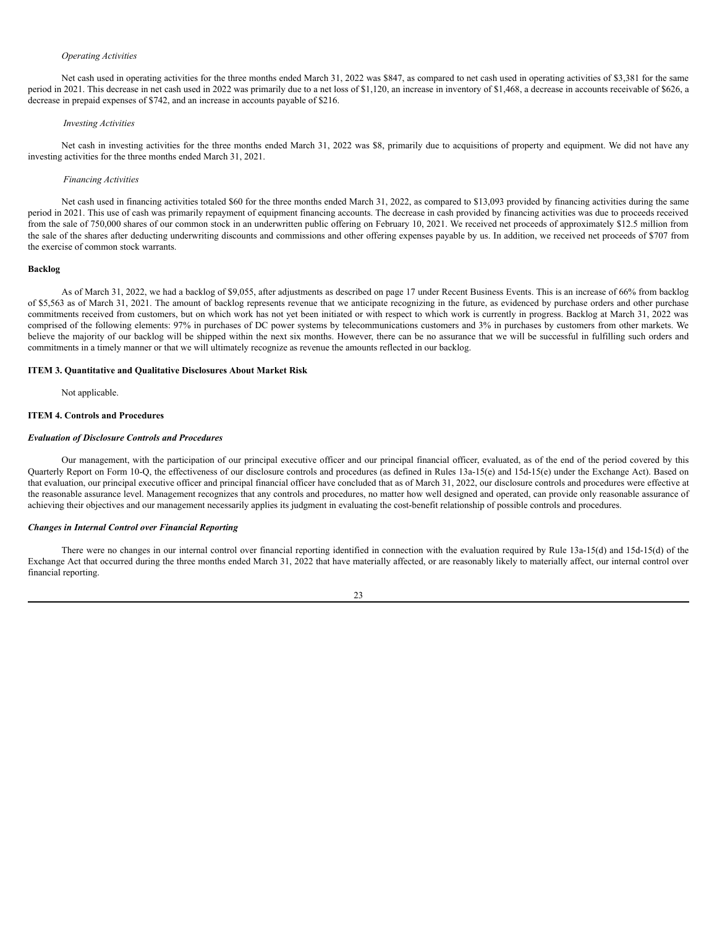# *Operating Activities*

Net cash used in operating activities for the three months ended March 31, 2022 was \$847, as compared to net cash used in operating activities of \$3,381 for the same period in 2021. This decrease in net cash used in 2022 was primarily due to a net loss of \$1,120, an increase in inventory of \$1,468, a decrease in accounts receivable of \$626, a decrease in prepaid expenses of \$742, and an increase in accounts payable of \$216.

#### *Investing Activities*

Net cash in investing activities for the three months ended March 31, 2022 was \$8, primarily due to acquisitions of property and equipment. We did not have any investing activities for the three months ended March 31, 2021.

#### *Financing Activities*

Net cash used in financing activities totaled \$60 for the three months ended March 31, 2022, as compared to \$13,093 provided by financing activities during the same period in 2021. This use of cash was primarily repayment of equipment financing accounts. The decrease in cash provided by financing activities was due to proceeds received from the sale of 750,000 shares of our common stock in an underwritten public offering on February 10, 2021. We received net proceeds of approximately \$12.5 million from the sale of the shares after deducting underwriting discounts and commissions and other offering expenses payable by us. In addition, we received net proceeds of \$707 from the exercise of common stock warrants.

#### **Backlog**

As of March 31, 2022, we had a backlog of \$9,055, after adjustments as described on page 17 under Recent Business Events. This is an increase of 66% from backlog of \$5,563 as of March 31, 2021. The amount of backlog represents revenue that we anticipate recognizing in the future, as evidenced by purchase orders and other purchase commitments received from customers, but on which work has not yet been initiated or with respect to which work is currently in progress. Backlog at March 31, 2022 was comprised of the following elements: 97% in purchases of DC power systems by telecommunications customers and 3% in purchases by customers from other markets. We believe the majority of our backlog will be shipped within the next six months. However, there can be no assurance that we will be successful in fulfilling such orders and commitments in a timely manner or that we will ultimately recognize as revenue the amounts reflected in our backlog.

#### <span id="page-25-0"></span>**ITEM 3. Quantitative and Qualitative Disclosures About Market Risk**

Not applicable.

#### <span id="page-25-1"></span>**ITEM 4. Controls and Procedures**

#### *Evaluation of Disclosure Controls and Procedures*

Our management, with the participation of our principal executive officer and our principal financial officer, evaluated, as of the end of the period covered by this Quarterly Report on Form 10-Q, the effectiveness of our disclosure controls and procedures (as defined in Rules 13a-15(e) and 15d-15(e) under the Exchange Act). Based on that evaluation, our principal executive officer and principal financial officer have concluded that as of March 31, 2022, our disclosure controls and procedures were effective at the reasonable assurance level. Management recognizes that any controls and procedures, no matter how well designed and operated, can provide only reasonable assurance of achieving their objectives and our management necessarily applies its judgment in evaluating the cost-benefit relationship of possible controls and procedures.

#### *Changes in Internal Control over Financial Reporting*

There were no changes in our internal control over financial reporting identified in connection with the evaluation required by Rule 13a-15(d) and 15d-15(d) of the Exchange Act that occurred during the three months ended March 31, 2022 that have materially affected, or are reasonably likely to materially affect, our internal control over financial reporting.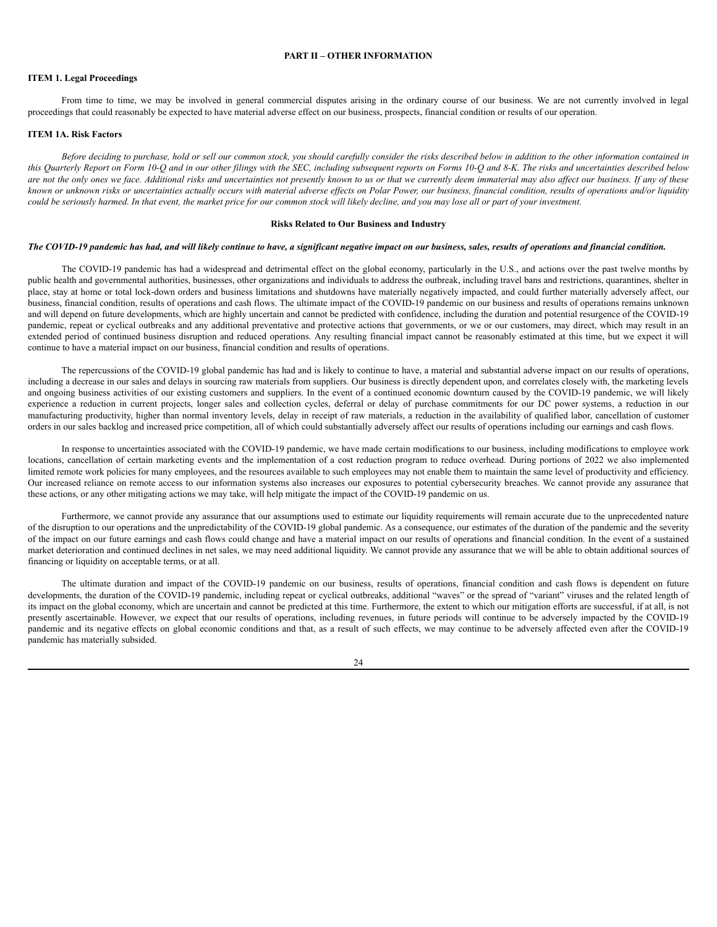#### **PART II – OTHER INFORMATION**

# <span id="page-26-1"></span><span id="page-26-0"></span>**ITEM 1. Legal Proceedings**

From time to time, we may be involved in general commercial disputes arising in the ordinary course of our business. We are not currently involved in legal proceedings that could reasonably be expected to have material adverse effect on our business, prospects, financial condition or results of our operation.

# <span id="page-26-2"></span>**ITEM 1A. Risk Factors**

Before deciding to purchase, hold or sell our common stock, you should carefully consider the risks described below in addition to the other information contained in this Quarterly Report on Form 10-Q and in our other filings with the SEC, including subsequent reports on Forms 10-Q and 8-K. The risks and uncertainties described below are not the only ones we face. Additional risks and uncertainties not presently known to us or that we currently deem immaterial may also affect our business. If any of these known or unknown risks or uncertainties actually occurs with material adverse effects on Polar Power, our business, financial condition, results of operations and/or liquidity could be seriously harmed. In that event, the market price for our common stock will likely decline, and you may lose all or part of your investment.

#### **Risks Related to Our Business and Industry**

#### The COVID-19 pandemic has had, and will likely continue to have, a significant negative impact on our business, sales, results of operations and financial condition.

The COVID-19 pandemic has had a widespread and detrimental effect on the global economy, particularly in the U.S., and actions over the past twelve months by public health and governmental authorities, businesses, other organizations and individuals to address the outbreak, including travel bans and restrictions, quarantines, shelter in place, stay at home or total lock-down orders and business limitations and shutdowns have materially negatively impacted, and could further materially adversely affect, our business, financial condition, results of operations and cash flows. The ultimate impact of the COVID-19 pandemic on our business and results of operations remains unknown and will depend on future developments, which are highly uncertain and cannot be predicted with confidence, including the duration and potential resurgence of the COVID-19 pandemic, repeat or cyclical outbreaks and any additional preventative and protective actions that governments, or we or our customers, may direct, which may result in an extended period of continued business disruption and reduced operations. Any resulting financial impact cannot be reasonably estimated at this time, but we expect it will continue to have a material impact on our business, financial condition and results of operations.

The repercussions of the COVID-19 global pandemic has had and is likely to continue to have, a material and substantial adverse impact on our results of operations, including a decrease in our sales and delays in sourcing raw materials from suppliers. Our business is directly dependent upon, and correlates closely with, the marketing levels and ongoing business activities of our existing customers and suppliers. In the event of a continued economic downturn caused by the COVID-19 pandemic, we will likely experience a reduction in current projects, longer sales and collection cycles, deferral or delay of purchase commitments for our DC power systems, a reduction in our manufacturing productivity, higher than normal inventory levels, delay in receipt of raw materials, a reduction in the availability of qualified labor, cancellation of customer orders in our sales backlog and increased price competition, all of which could substantially adversely affect our results of operations including our earnings and cash flows.

In response to uncertainties associated with the COVID-19 pandemic, we have made certain modifications to our business, including modifications to employee work locations, cancellation of certain marketing events and the implementation of a cost reduction program to reduce overhead. During portions of 2022 we also implemented limited remote work policies for many employees, and the resources available to such employees may not enable them to maintain the same level of productivity and efficiency. Our increased reliance on remote access to our information systems also increases our exposures to potential cybersecurity breaches. We cannot provide any assurance that these actions, or any other mitigating actions we may take, will help mitigate the impact of the COVID-19 pandemic on us.

Furthermore, we cannot provide any assurance that our assumptions used to estimate our liquidity requirements will remain accurate due to the unprecedented nature of the disruption to our operations and the unpredictability of the COVID-19 global pandemic. As a consequence, our estimates of the duration of the pandemic and the severity of the impact on our future earnings and cash flows could change and have a material impact on our results of operations and financial condition. In the event of a sustained market deterioration and continued declines in net sales, we may need additional liquidity. We cannot provide any assurance that we will be able to obtain additional sources of financing or liquidity on acceptable terms, or at all.

The ultimate duration and impact of the COVID-19 pandemic on our business, results of operations, financial condition and cash flows is dependent on future developments, the duration of the COVID-19 pandemic, including repeat or cyclical outbreaks, additional "waves" or the spread of "variant" viruses and the related length of its impact on the global economy, which are uncertain and cannot be predicted at this time. Furthermore, the extent to which our mitigation efforts are successful, if at all, is not presently ascertainable. However, we expect that our results of operations, including revenues, in future periods will continue to be adversely impacted by the COVID-19 pandemic and its negative effects on global economic conditions and that, as a result of such effects, we may continue to be adversely affected even after the COVID-19 pandemic has materially subsided.

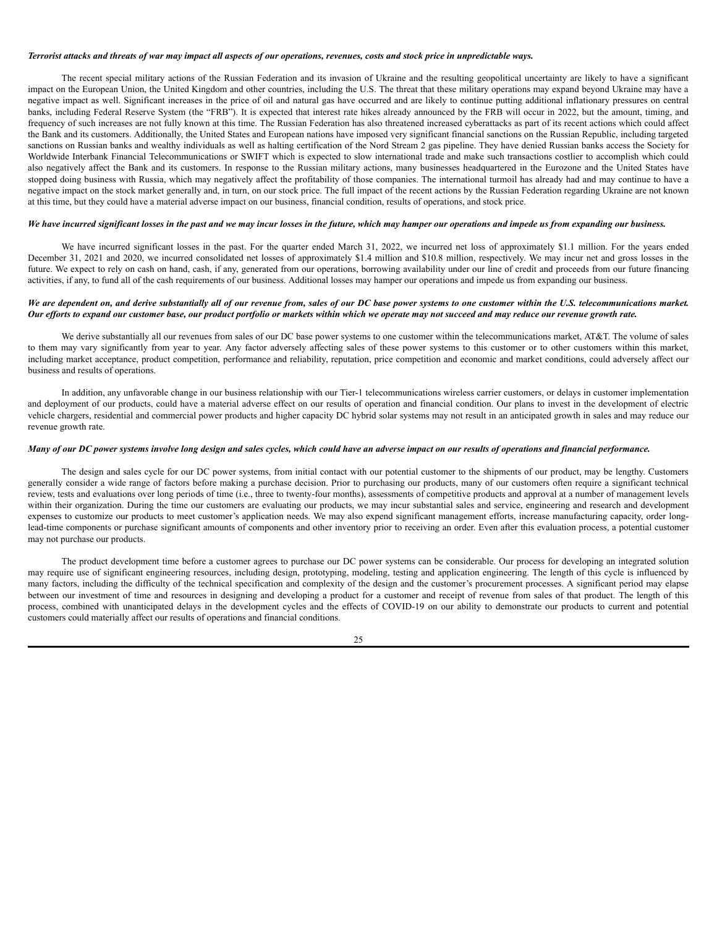#### Terrorist attacks and threats of war may impact all aspects of our operations, revenues, costs and stock price in unpredictable ways.

The recent special military actions of the Russian Federation and its invasion of Ukraine and the resulting geopolitical uncertainty are likely to have a significant impact on the European Union, the United Kingdom and other countries, including the U.S. The threat that these military operations may expand beyond Ukraine may have a negative impact as well. Significant increases in the price of oil and natural gas have occurred and are likely to continue putting additional inflationary pressures on central banks, including Federal Reserve System (the "FRB"). It is expected that interest rate hikes already announced by the FRB will occur in 2022, but the amount, timing, and frequency of such increases are not fully known at this time. The Russian Federation has also threatened increased cyberattacks as part of its recent actions which could affect the Bank and its customers. Additionally, the United States and European nations have imposed very significant financial sanctions on the Russian Republic, including targeted sanctions on Russian banks and wealthy individuals as well as halting certification of the Nord Stream 2 gas pipeline. They have denied Russian banks access the Society for Worldwide Interbank Financial Telecommunications or SWIFT which is expected to slow international trade and make such transactions costlier to accomplish which could also negatively affect the Bank and its customers. In response to the Russian military actions, many businesses headquartered in the Eurozone and the United States have stopped doing business with Russia, which may negatively affect the profitability of those companies. The international turmoil has already had and may continue to have a negative impact on the stock market generally and, in turn, on our stock price. The full impact of the recent actions by the Russian Federation regarding Ukraine are not known at this time, but they could have a material adverse impact on our business, financial condition, results of operations, and stock price.

# We have incurred significant losses in the past and we may incur losses in the future, which may hamper our operations and impede us from expanding our business.

We have incurred significant losses in the past. For the quarter ended March 31, 2022, we incurred net loss of approximately \$1.1 million. For the years ended December 31, 2021 and 2020, we incurred consolidated net losses of approximately \$1.4 million and \$10.8 million, respectively. We may incur net and gross losses in the future. We expect to rely on cash on hand, cash, if any, generated from our operations, borrowing availability under our line of credit and proceeds from our future financing activities, if any, to fund all of the cash requirements of our business. Additional losses may hamper our operations and impede us from expanding our business.

# We are dependent on, and derive substantially all of our revenue from, sales of our DC base power systems to one customer within the U.S. telecommunications market. Our efforts to expand our customer base, our product portfolio or markets within which we operate may not succeed and may reduce our revenue growth rate.

We derive substantially all our revenues from sales of our DC base power systems to one customer within the telecommunications market, AT&T. The volume of sales to them may vary significantly from year to year. Any factor adversely affecting sales of these power systems to this customer or to other customers within this market, including market acceptance, product competition, performance and reliability, reputation, price competition and economic and market conditions, could adversely affect our business and results of operations.

In addition, any unfavorable change in our business relationship with our Tier-1 telecommunications wireless carrier customers, or delays in customer implementation and deployment of our products, could have a material adverse effect on our results of operation and financial condition. Our plans to invest in the development of electric vehicle chargers, residential and commercial power products and higher capacity DC hybrid solar systems may not result in an anticipated growth in sales and may reduce our revenue growth rate.

# Many of our DC power systems involve long design and sales cycles, which could have an adverse impact on our results of operations and financial performance.

The design and sales cycle for our DC power systems, from initial contact with our potential customer to the shipments of our product, may be lengthy. Customers generally consider a wide range of factors before making a purchase decision. Prior to purchasing our products, many of our customers often require a significant technical review, tests and evaluations over long periods of time (i.e., three to twenty-four months), assessments of competitive products and approval at a number of management levels within their organization. During the time our customers are evaluating our products, we may incur substantial sales and service, engineering and research and development expenses to customize our products to meet customer's application needs. We may also expend significant management efforts, increase manufacturing capacity, order longlead-time components or purchase significant amounts of components and other inventory prior to receiving an order. Even after this evaluation process, a potential customer may not purchase our products.

The product development time before a customer agrees to purchase our DC power systems can be considerable. Our process for developing an integrated solution may require use of significant engineering resources, including design, prototyping, modeling, testing and application engineering. The length of this cycle is influenced by many factors, including the difficulty of the technical specification and complexity of the design and the customer's procurement processes. A significant period may elapse between our investment of time and resources in designing and developing a product for a customer and receipt of revenue from sales of that product. The length of this process, combined with unanticipated delays in the development cycles and the effects of COVID-19 on our ability to demonstrate our products to current and potential customers could materially affect our results of operations and financial conditions.

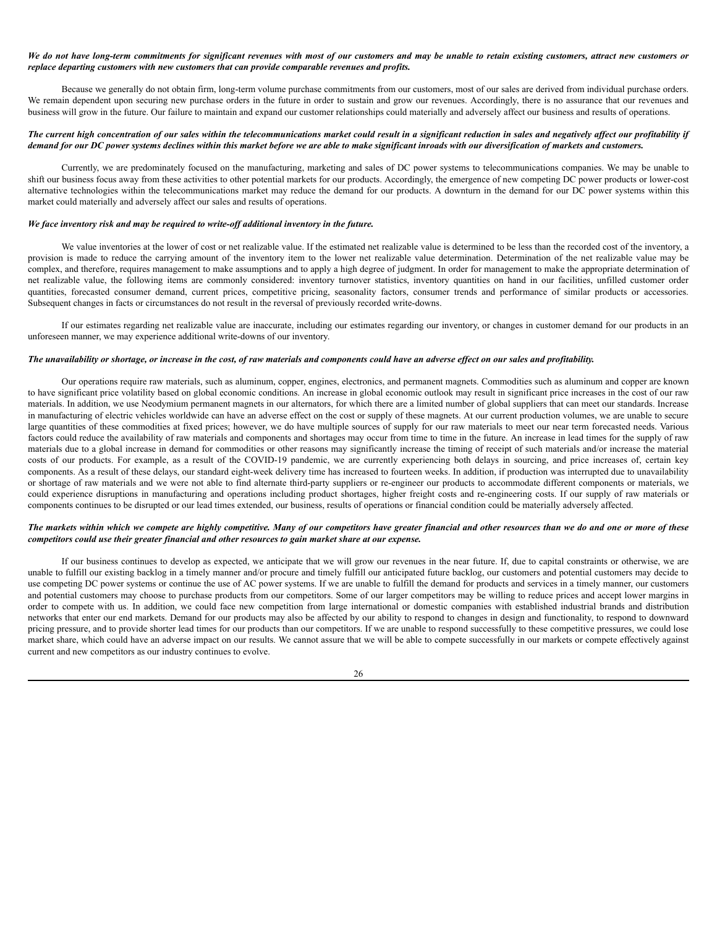## We do not have long-term commitments for significant revenues with most of our customers and may be unable to retain existing customers, attract new customers or *replace departing customers with new customers that can provide comparable revenues and profits.*

Because we generally do not obtain firm, long-term volume purchase commitments from our customers, most of our sales are derived from individual purchase orders. We remain dependent upon securing new purchase orders in the future in order to sustain and grow our revenues. Accordingly, there is no assurance that our revenues and business will grow in the future. Our failure to maintain and expand our customer relationships could materially and adversely affect our business and results of operations.

# The current high concentration of our sales within the telecommunications market could result in a significant reduction in sales and negatively affect our profitability if demand for our DC power systems declines within this market before we are able to make significant inroads with our diversification of markets and customers.

Currently, we are predominately focused on the manufacturing, marketing and sales of DC power systems to telecommunications companies. We may be unable to shift our business focus away from these activities to other potential markets for our products. Accordingly, the emergence of new competing DC power products or lower-cost alternative technologies within the telecommunications market may reduce the demand for our products. A downturn in the demand for our DC power systems within this market could materially and adversely affect our sales and results of operations.

### *We face inventory risk and may be required to write-of additional inventory in the future.*

We value inventories at the lower of cost or net realizable value. If the estimated net realizable value is determined to be less than the recorded cost of the inventory, a provision is made to reduce the carrying amount of the inventory item to the lower net realizable value determination. Determination of the net realizable value may be complex, and therefore, requires management to make assumptions and to apply a high degree of judgment. In order for management to make the appropriate determination of net realizable value, the following items are commonly considered: inventory turnover statistics, inventory quantities on hand in our facilities, unfilled customer order quantities, forecasted consumer demand, current prices, competitive pricing, seasonality factors, consumer trends and performance of similar products or accessories. Subsequent changes in facts or circumstances do not result in the reversal of previously recorded write-downs.

If our estimates regarding net realizable value are inaccurate, including our estimates regarding our inventory, or changes in customer demand for our products in an unforeseen manner, we may experience additional write-downs of our inventory.

# The unavailability or shortage, or increase in the cost, of raw materials and components could have an adverse effect on our sales and profitability.

Our operations require raw materials, such as aluminum, copper, engines, electronics, and permanent magnets. Commodities such as aluminum and copper are known to have significant price volatility based on global economic conditions. An increase in global economic outlook may result in significant price increases in the cost of our raw materials. In addition, we use Neodymium permanent magnets in our alternators, for which there are a limited number of global suppliers that can meet our standards. Increase in manufacturing of electric vehicles worldwide can have an adverse effect on the cost or supply of these magnets. At our current production volumes, we are unable to secure large quantities of these commodities at fixed prices; however, we do have multiple sources of supply for our raw materials to meet our near term forecasted needs. Various factors could reduce the availability of raw materials and components and shortages may occur from time to time in the future. An increase in lead times for the supply of raw materials due to a global increase in demand for commodities or other reasons may significantly increase the timing of receipt of such materials and/or increase the material costs of our products. For example, as a result of the COVID-19 pandemic, we are currently experiencing both delays in sourcing, and price increases of, certain key components. As a result of these delays, our standard eight-week delivery time has increased to fourteen weeks. In addition, if production was interrupted due to unavailability or shortage of raw materials and we were not able to find alternate third-party suppliers or re-engineer our products to accommodate different components or materials, we could experience disruptions in manufacturing and operations including product shortages, higher freight costs and re-engineering costs. If our supply of raw materials or components continues to be disrupted or our lead times extended, our business, results of operations or financial condition could be materially adversely affected.

# The markets within which we compete are highly competitive. Many of our competitors have greater financial and other resources than we do and one or more of these *competitors could use their greater financial and other resources to gain market share at our expense.*

If our business continues to develop as expected, we anticipate that we will grow our revenues in the near future. If, due to capital constraints or otherwise, we are unable to fulfill our existing backlog in a timely manner and/or procure and timely fulfill our anticipated future backlog, our customers and potential customers may decide to use competing DC power systems or continue the use of AC power systems. If we are unable to fulfill the demand for products and services in a timely manner, our customers and potential customers may choose to purchase products from our competitors. Some of our larger competitors may be willing to reduce prices and accept lower margins in order to compete with us. In addition, we could face new competition from large international or domestic companies with established industrial brands and distribution networks that enter our end markets. Demand for our products may also be affected by our ability to respond to changes in design and functionality, to respond to downward pricing pressure, and to provide shorter lead times for our products than our competitors. If we are unable to respond successfully to these competitive pressures, we could lose market share, which could have an adverse impact on our results. We cannot assure that we will be able to compete successfully in our markets or compete effectively against current and new competitors as our industry continues to evolve.

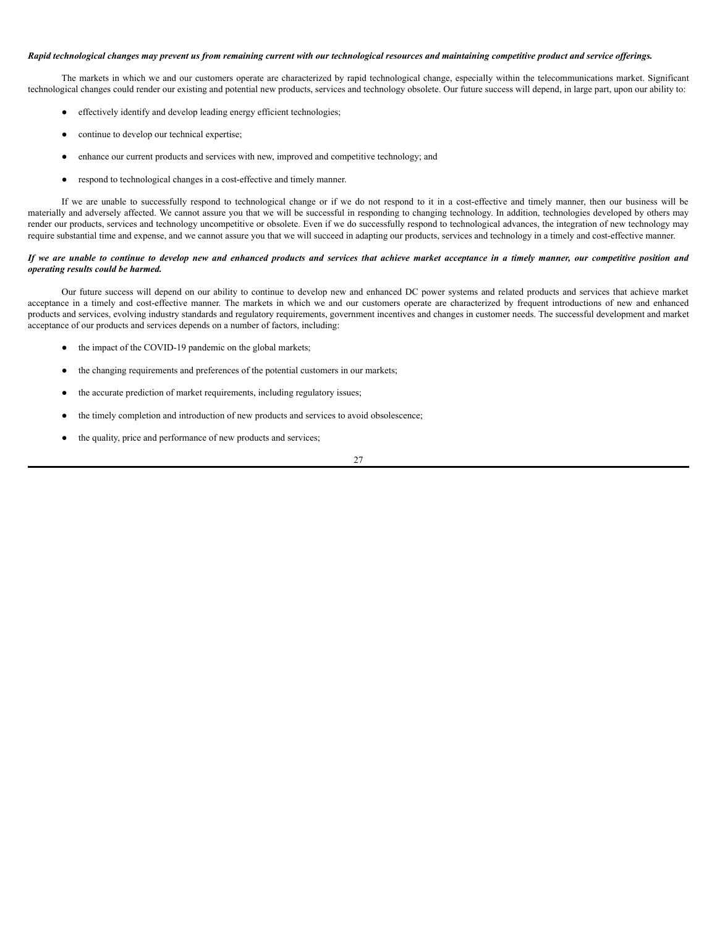### Rapid technological changes may prevent us from remaining current with our technological resources and maintaining competitive product and service offerings.

The markets in which we and our customers operate are characterized by rapid technological change, especially within the telecommunications market. Significant technological changes could render our existing and potential new products, services and technology obsolete. Our future success will depend, in large part, upon our ability to:

- effectively identify and develop leading energy efficient technologies;
- continue to develop our technical expertise;
- enhance our current products and services with new, improved and competitive technology; and
- respond to technological changes in a cost-effective and timely manner.

If we are unable to successfully respond to technological change or if we do not respond to it in a cost-effective and timely manner, then our business will be materially and adversely affected. We cannot assure you that we will be successful in responding to changing technology. In addition, technologies developed by others may render our products, services and technology uncompetitive or obsolete. Even if we do successfully respond to technological advances, the integration of new technology may require substantial time and expense, and we cannot assure you that we will succeed in adapting our products, services and technology in a timely and cost-effective manner.

# If we are unable to continue to develop new and enhanced products and services that achieve market acceptance in a timely manner, our competitive position and *operating results could be harmed.*

Our future success will depend on our ability to continue to develop new and enhanced DC power systems and related products and services that achieve market acceptance in a timely and cost-effective manner. The markets in which we and our customers operate are characterized by frequent introductions of new and enhanced products and services, evolving industry standards and regulatory requirements, government incentives and changes in customer needs. The successful development and market acceptance of our products and services depends on a number of factors, including:

- the impact of the COVID-19 pandemic on the global markets;
- the changing requirements and preferences of the potential customers in our markets;
- the accurate prediction of market requirements, including regulatory issues;
- the timely completion and introduction of new products and services to avoid obsolescence;
- the quality, price and performance of new products and services;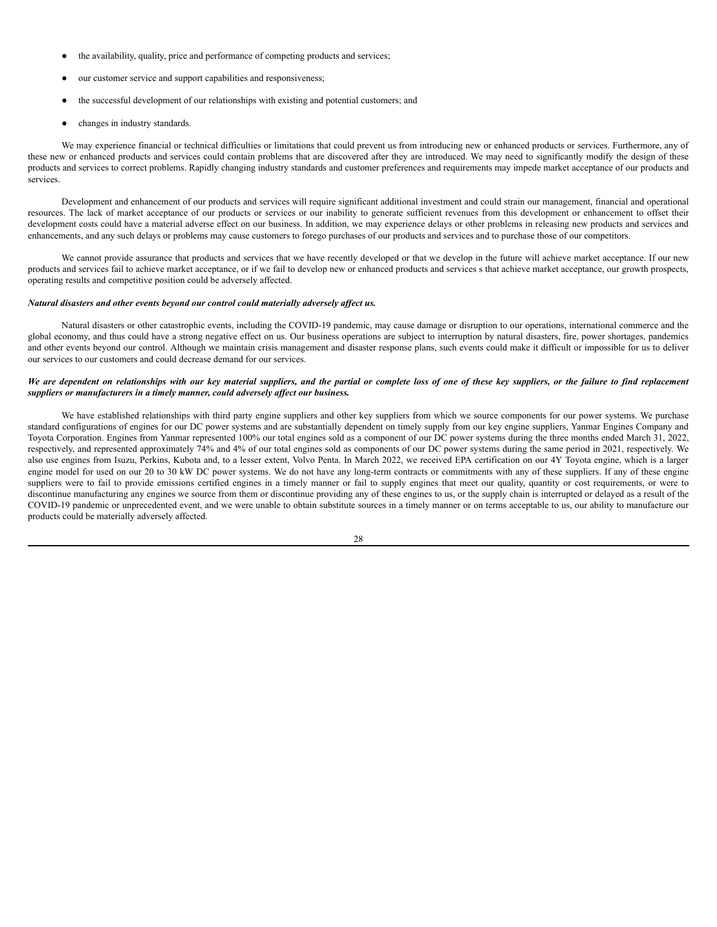- the availability, quality, price and performance of competing products and services;
- our customer service and support capabilities and responsiveness;
- the successful development of our relationships with existing and potential customers; and
- changes in industry standards.

We may experience financial or technical difficulties or limitations that could prevent us from introducing new or enhanced products or services. Furthermore, any of these new or enhanced products and services could contain problems that are discovered after they are introduced. We may need to significantly modify the design of these products and services to correct problems. Rapidly changing industry standards and customer preferences and requirements may impede market acceptance of our products and services.

Development and enhancement of our products and services will require significant additional investment and could strain our management, financial and operational resources. The lack of market acceptance of our products or services or our inability to generate sufficient revenues from this development or enhancement to offset their development costs could have a material adverse effect on our business. In addition, we may experience delays or other problems in releasing new products and services and enhancements, and any such delays or problems may cause customers to forego purchases of our products and services and to purchase those of our competitors.

We cannot provide assurance that products and services that we have recently developed or that we develop in the future will achieve market acceptance. If our new products and services fail to achieve market acceptance, or if we fail to develop new or enhanced products and services s that achieve market acceptance, our growth prospects, operating results and competitive position could be adversely affected.

#### *Natural disasters and other events beyond our control could materially adversely af ect us.*

Natural disasters or other catastrophic events, including the COVID-19 pandemic, may cause damage or disruption to our operations, international commerce and the global economy, and thus could have a strong negative effect on us. Our business operations are subject to interruption by natural disasters, fire, power shortages, pandemics and other events beyond our control. Although we maintain crisis management and disaster response plans, such events could make it difficult or impossible for us to deliver our services to our customers and could decrease demand for our services.

# We are dependent on relationships with our key material suppliers, and the partial or complete loss of one of these key suppliers, or the failure to find replacement *suppliers or manufacturers in a timely manner, could adversely af ect our business.*

We have established relationships with third party engine suppliers and other key suppliers from which we source components for our power systems. We purchase standard configurations of engines for our DC power systems and are substantially dependent on timely supply from our key engine suppliers, Yanmar Engines Company and Toyota Corporation. Engines from Yanmar represented 100% our total engines sold as a component of our DC power systems during the three months ended March 31, 2022, respectively, and represented approximately 74% and 4% of our total engines sold as components of our DC power systems during the same period in 2021, respectively. We also use engines from Isuzu, Perkins, Kubota and, to a lesser extent, Volvo Penta. In March 2022, we received EPA certification on our 4Y Toyota engine, which is a larger engine model for used on our 20 to 30 kW DC power systems. We do not have any long-term contracts or commitments with any of these suppliers. If any of these engine suppliers were to fail to provide emissions certified engines in a timely manner or fail to supply engines that meet our quality, quantity or cost requirements, or were to discontinue manufacturing any engines we source from them or discontinue providing any of these engines to us, or the supply chain is interrupted or delayed as a result of the COVID-19 pandemic or unprecedented event, and we were unable to obtain substitute sources in a timely manner or on terms acceptable to us, our ability to manufacture our products could be materially adversely affected.

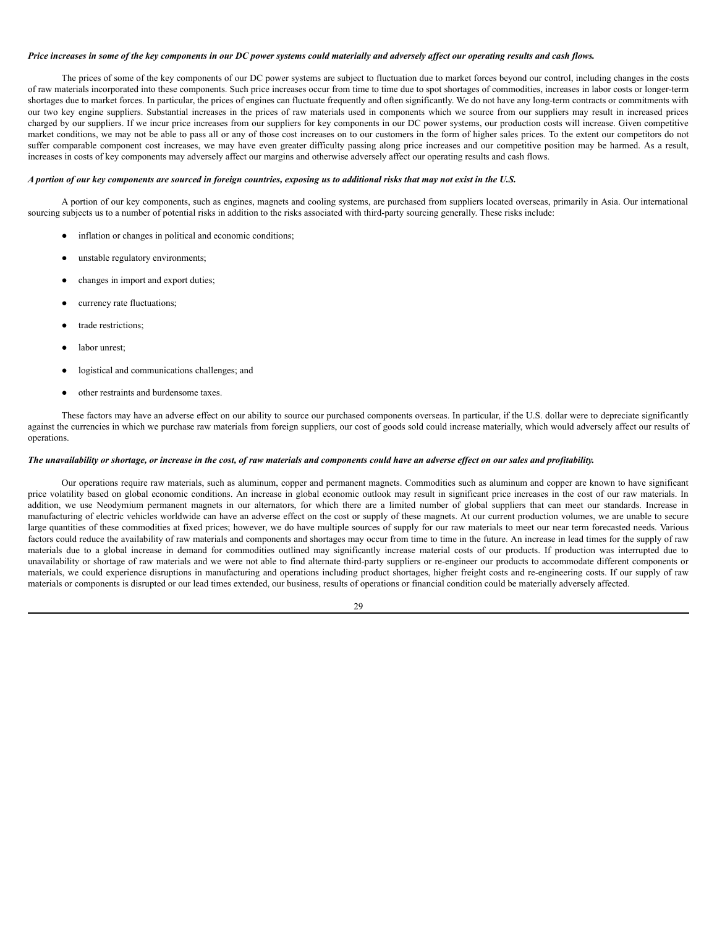### Price increases in some of the key components in our DC power systems could materially and adversely affect our operating results and cash flows.

The prices of some of the key components of our DC power systems are subject to fluctuation due to market forces beyond our control, including changes in the costs of raw materials incorporated into these components. Such price increases occur from time to time due to spot shortages of commodities, increases in labor costs or longer-term shortages due to market forces. In particular, the prices of engines can fluctuate frequently and often significantly. We do not have any long-term contracts or commitments with our two key engine suppliers. Substantial increases in the prices of raw materials used in components which we source from our suppliers may result in increased prices charged by our suppliers. If we incur price increases from our suppliers for key components in our DC power systems, our production costs will increase. Given competitive market conditions, we may not be able to pass all or any of those cost increases on to our customers in the form of higher sales prices. To the extent our competitors do not suffer comparable component cost increases, we may have even greater difficulty passing along price increases and our competitive position may be harmed. As a result, increases in costs of key components may adversely affect our margins and otherwise adversely affect our operating results and cash flows.

# A portion of our key components are sourced in foreign countries, exposing us to additional risks that may not exist in the U.S.

A portion of our key components, such as engines, magnets and cooling systems, are purchased from suppliers located overseas, primarily in Asia. Our international sourcing subjects us to a number of potential risks in addition to the risks associated with third-party sourcing generally. These risks include:

- inflation or changes in political and economic conditions;
- unstable regulatory environments;
- changes in import and export duties;
- currency rate fluctuations;
- trade restrictions:
- labor unrest:
- logistical and communications challenges; and
- other restraints and burdensome taxes.

These factors may have an adverse effect on our ability to source our purchased components overseas. In particular, if the U.S. dollar were to depreciate significantly against the currencies in which we purchase raw materials from foreign suppliers, our cost of goods sold could increase materially, which would adversely affect our results of operations.

# The unavailability or shortage, or increase in the cost, of raw materials and components could have an adverse effect on our sales and profitability.

Our operations require raw materials, such as aluminum, copper and permanent magnets. Commodities such as aluminum and copper are known to have significant price volatility based on global economic conditions. An increase in global economic outlook may result in significant price increases in the cost of our raw materials. In addition, we use Neodymium permanent magnets in our alternators, for which there are a limited number of global suppliers that can meet our standards. Increase in manufacturing of electric vehicles worldwide can have an adverse effect on the cost or supply of these magnets. At our current production volumes, we are unable to secure large quantities of these commodities at fixed prices; however, we do have multiple sources of supply for our raw materials to meet our near term forecasted needs. Various factors could reduce the availability of raw materials and components and shortages may occur from time to time in the future. An increase in lead times for the supply of raw materials due to a global increase in demand for commodities outlined may significantly increase material costs of our products. If production was interrupted due to unavailability or shortage of raw materials and we were not able to find alternate third-party suppliers or re-engineer our products to accommodate different components or materials, we could experience disruptions in manufacturing and operations including product shortages, higher freight costs and re-engineering costs. If our supply of raw materials or components is disrupted or our lead times extended, our business, results of operations or financial condition could be materially adversely affected.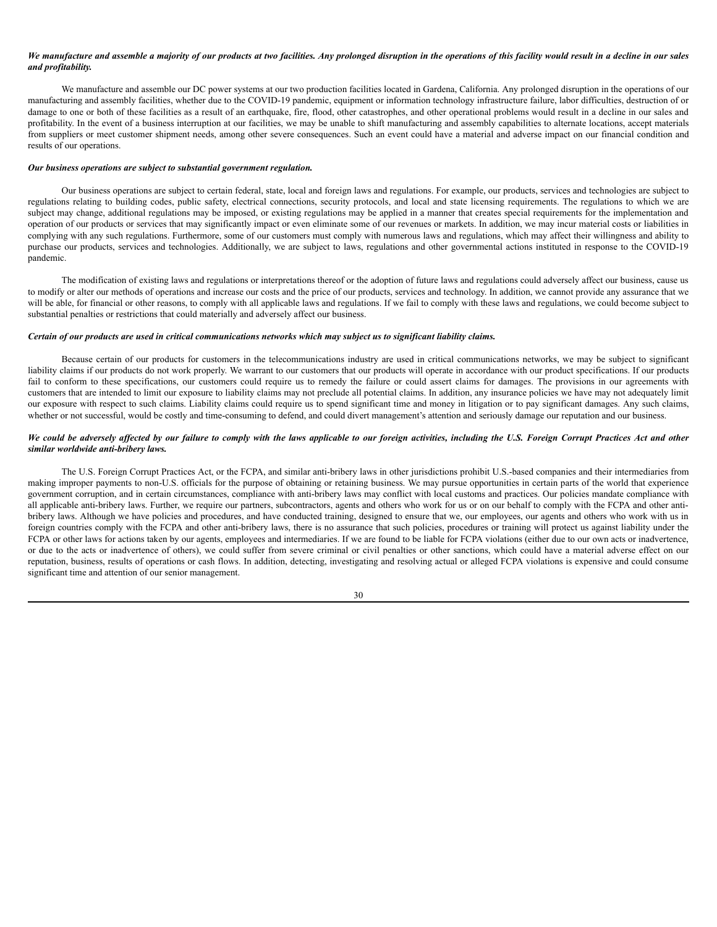# We manufacture and assemble a majority of our products at two facilities. Any prolonged disruption in the operations of this facility would result in a decline in our sales *and profitability.*

We manufacture and assemble our DC power systems at our two production facilities located in Gardena, California. Any prolonged disruption in the operations of our manufacturing and assembly facilities, whether due to the COVID-19 pandemic, equipment or information technology infrastructure failure, labor difficulties, destruction of or damage to one or both of these facilities as a result of an earthquake, fire, flood, other catastrophes, and other operational problems would result in a decline in our sales and profitability. In the event of a business interruption at our facilities, we may be unable to shift manufacturing and assembly capabilities to alternate locations, accept materials from suppliers or meet customer shipment needs, among other severe consequences. Such an event could have a material and adverse impact on our financial condition and results of our operations.

# *Our business operations are subject to substantial government regulation.*

Our business operations are subject to certain federal, state, local and foreign laws and regulations. For example, our products, services and technologies are subject to regulations relating to building codes, public safety, electrical connections, security protocols, and local and state licensing requirements. The regulations to which we are subject may change, additional regulations may be imposed, or existing regulations may be applied in a manner that creates special requirements for the implementation and operation of our products or services that may significantly impact or even eliminate some of our revenues or markets. In addition, we may incur material costs or liabilities in complying with any such regulations. Furthermore, some of our customers must comply with numerous laws and regulations, which may affect their willingness and ability to purchase our products, services and technologies. Additionally, we are subject to laws, regulations and other governmental actions instituted in response to the COVID-19 pandemic.

The modification of existing laws and regulations or interpretations thereof or the adoption of future laws and regulations could adversely affect our business, cause us to modify or alter our methods of operations and increase our costs and the price of our products, services and technology. In addition, we cannot provide any assurance that we will be able, for financial or other reasons, to comply with all applicable laws and regulations. If we fail to comply with these laws and regulations, we could become subject to substantial penalties or restrictions that could materially and adversely affect our business.

## Certain of our products are used in critical communications networks which may subject us to significant liability claims.

Because certain of our products for customers in the telecommunications industry are used in critical communications networks, we may be subject to significant liability claims if our products do not work properly. We warrant to our customers that our products will operate in accordance with our product specifications. If our products fail to conform to these specifications, our customers could require us to remedy the failure or could assert claims for damages. The provisions in our agreements with customers that are intended to limit our exposure to liability claims may not preclude all potential claims. In addition, any insurance policies we have may not adequately limit our exposure with respect to such claims. Liability claims could require us to spend significant time and money in litigation or to pay significant damages. Any such claims, whether or not successful, would be costly and time-consuming to defend, and could divert management's attention and seriously damage our reputation and our business.

### We could be adversely affected by our failure to comply with the laws applicable to our foreign activities, including the U.S. Foreign Corrupt Practices Act and other *similar worldwide anti-bribery laws.*

The U.S. Foreign Corrupt Practices Act, or the FCPA, and similar anti-bribery laws in other jurisdictions prohibit U.S.-based companies and their intermediaries from making improper payments to non-U.S. officials for the purpose of obtaining or retaining business. We may pursue opportunities in certain parts of the world that experience government corruption, and in certain circumstances, compliance with anti-bribery laws may conflict with local customs and practices. Our policies mandate compliance with all applicable anti-bribery laws. Further, we require our partners, subcontractors, agents and others who work for us or on our behalf to comply with the FCPA and other antibribery laws. Although we have policies and procedures, and have conducted training, designed to ensure that we, our employees, our agents and others who work with us in foreign countries comply with the FCPA and other anti-bribery laws, there is no assurance that such policies, procedures or training will protect us against liability under the FCPA or other laws for actions taken by our agents, employees and intermediaries. If we are found to be liable for FCPA violations (either due to our own acts or inadvertence, or due to the acts or inadvertence of others), we could suffer from severe criminal or civil penalties or other sanctions, which could have a material adverse effect on our reputation, business, results of operations or cash flows. In addition, detecting, investigating and resolving actual or alleged FCPA violations is expensive and could consume significant time and attention of our senior management.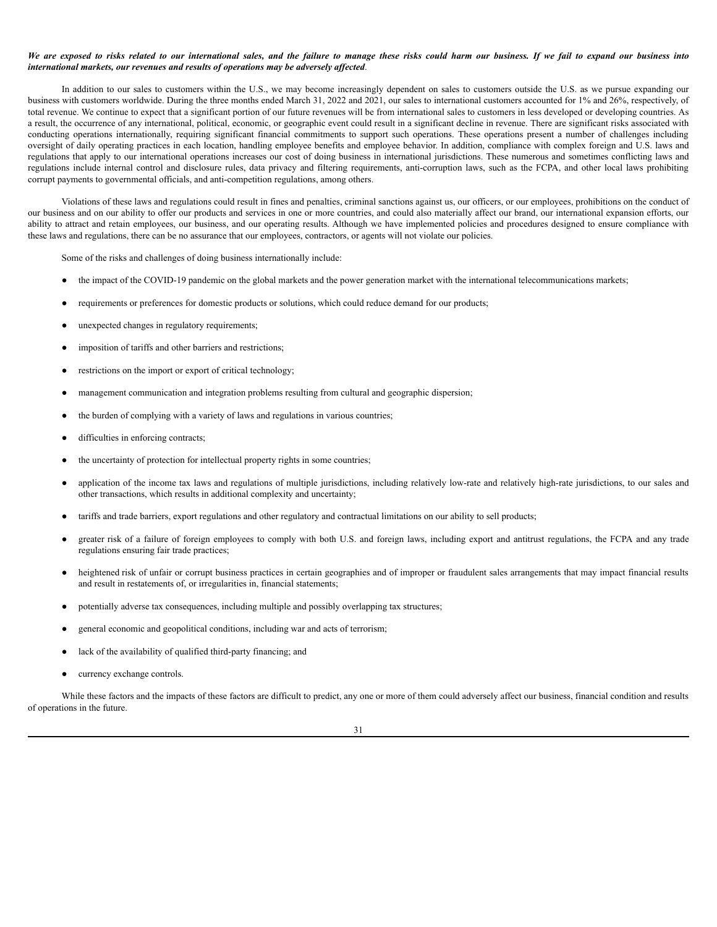# We are exposed to risks related to our international sales, and the failure to manage these risks could harm our business. If we fail to expand our business into *international markets, our revenues and results of operations may be adversely af ected*.

In addition to our sales to customers within the U.S., we may become increasingly dependent on sales to customers outside the U.S. as we pursue expanding our business with customers worldwide. During the three months ended March 31, 2022 and 2021, our sales to international customers accounted for 1% and 26%, respectively, of total revenue. We continue to expect that a significant portion of our future revenues will be from international sales to customers in less developed or developing countries. As a result, the occurrence of any international, political, economic, or geographic event could result in a significant decline in revenue. There are significant risks associated with conducting operations internationally, requiring significant financial commitments to support such operations. These operations present a number of challenges including oversight of daily operating practices in each location, handling employee benefits and employee behavior. In addition, compliance with complex foreign and U.S. laws and regulations that apply to our international operations increases our cost of doing business in international jurisdictions. These numerous and sometimes conflicting laws and regulations include internal control and disclosure rules, data privacy and filtering requirements, anti-corruption laws, such as the FCPA, and other local laws prohibiting corrupt payments to governmental officials, and anti-competition regulations, among others.

Violations of these laws and regulations could result in fines and penalties, criminal sanctions against us, our officers, or our employees, prohibitions on the conduct of our business and on our ability to offer our products and services in one or more countries, and could also materially affect our brand, our international expansion efforts, our ability to attract and retain employees, our business, and our operating results. Although we have implemented policies and procedures designed to ensure compliance with these laws and regulations, there can be no assurance that our employees, contractors, or agents will not violate our policies.

Some of the risks and challenges of doing business internationally include:

- the impact of the COVID-19 pandemic on the global markets and the power generation market with the international telecommunications markets;
- requirements or preferences for domestic products or solutions, which could reduce demand for our products;
- unexpected changes in regulatory requirements;
- imposition of tariffs and other barriers and restrictions;
- restrictions on the import or export of critical technology;
- management communication and integration problems resulting from cultural and geographic dispersion;
- the burden of complying with a variety of laws and regulations in various countries;
- difficulties in enforcing contracts;
- the uncertainty of protection for intellectual property rights in some countries;
- application of the income tax laws and regulations of multiple jurisdictions, including relatively low-rate and relatively high-rate jurisdictions, to our sales and other transactions, which results in additional complexity and uncertainty;
- tariffs and trade barriers, export regulations and other regulatory and contractual limitations on our ability to sell products;
- greater risk of a failure of foreign employees to comply with both U.S. and foreign laws, including export and antitrust regulations, the FCPA and any trade regulations ensuring fair trade practices;
- heightened risk of unfair or corrupt business practices in certain geographies and of improper or fraudulent sales arrangements that may impact financial results and result in restatements of, or irregularities in, financial statements;
- potentially adverse tax consequences, including multiple and possibly overlapping tax structures;
- general economic and geopolitical conditions, including war and acts of terrorism;
- lack of the availability of qualified third-party financing; and
- currency exchange controls.

While these factors and the impacts of these factors are difficult to predict, any one or more of them could adversely affect our business, financial condition and results of operations in the future.

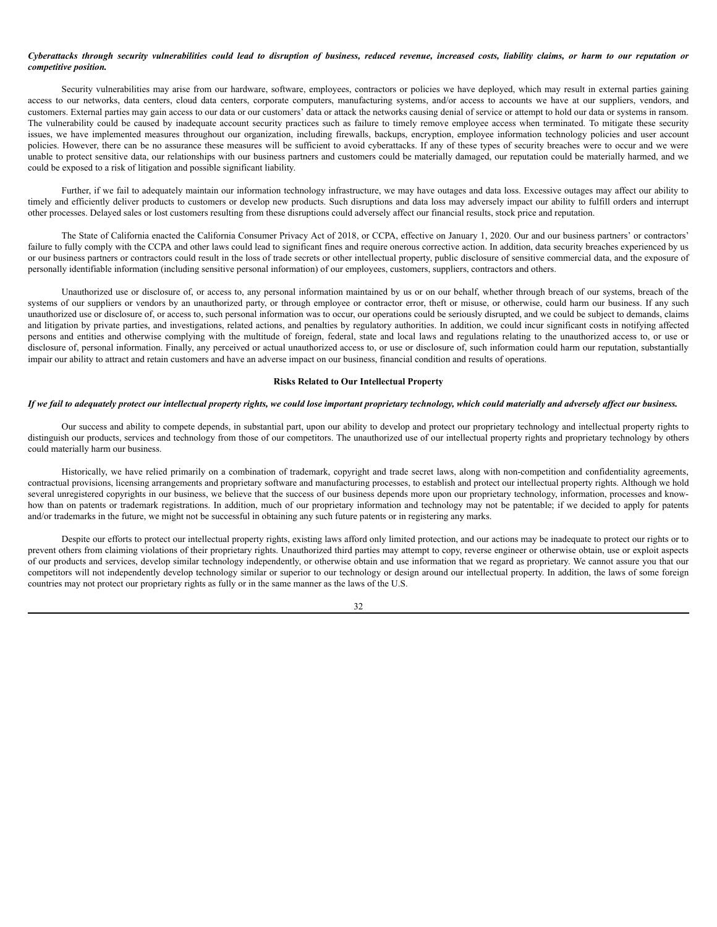# Cyberattacks through security vulnerabilities could lead to disruption of business, reduced revenue, increased costs, liability claims, or harm to our reputation or *competitive position.*

Security vulnerabilities may arise from our hardware, software, employees, contractors or policies we have deployed, which may result in external parties gaining access to our networks, data centers, cloud data centers, corporate computers, manufacturing systems, and/or access to accounts we have at our suppliers, vendors, and customers. External parties may gain access to our data or our customers' data or attack the networks causing denial of service or attempt to hold our data or systems in ransom. The vulnerability could be caused by inadequate account security practices such as failure to timely remove employee access when terminated. To mitigate these security issues, we have implemented measures throughout our organization, including firewalls, backups, encryption, employee information technology policies and user account policies. However, there can be no assurance these measures will be sufficient to avoid cyberattacks. If any of these types of security breaches were to occur and we were unable to protect sensitive data, our relationships with our business partners and customers could be materially damaged, our reputation could be materially harmed, and we could be exposed to a risk of litigation and possible significant liability.

Further, if we fail to adequately maintain our information technology infrastructure, we may have outages and data loss. Excessive outages may affect our ability to timely and efficiently deliver products to customers or develop new products. Such disruptions and data loss may adversely impact our ability to fulfill orders and interrupt other processes. Delayed sales or lost customers resulting from these disruptions could adversely affect our financial results, stock price and reputation.

The State of California enacted the California Consumer Privacy Act of 2018, or CCPA, effective on January 1, 2020. Our and our business partners' or contractors' failure to fully comply with the CCPA and other laws could lead to significant fines and require onerous corrective action. In addition, data security breaches experienced by us or our business partners or contractors could result in the loss of trade secrets or other intellectual property, public disclosure of sensitive commercial data, and the exposure of personally identifiable information (including sensitive personal information) of our employees, customers, suppliers, contractors and others.

Unauthorized use or disclosure of, or access to, any personal information maintained by us or on our behalf, whether through breach of our systems, breach of the systems of our suppliers or vendors by an unauthorized party, or through employee or contractor error, theft or misuse, or otherwise, could harm our business. If any such unauthorized use or disclosure of, or access to, such personal information was to occur, our operations could be seriously disrupted, and we could be subject to demands, claims and litigation by private parties, and investigations, related actions, and penalties by regulatory authorities. In addition, we could incur significant costs in notifying affected persons and entities and otherwise complying with the multitude of foreign, federal, state and local laws and regulations relating to the unauthorized access to, or use or disclosure of, personal information. Finally, any perceived or actual unauthorized access to, or use or disclosure of, such information could harm our reputation, substantially impair our ability to attract and retain customers and have an adverse impact on our business, financial condition and results of operations.

#### **Risks Related to Our Intellectual Property**

# If we fail to adequately protect our intellectual property rights, we could lose important proprietary technology, which could materially and adversely affect our business.

Our success and ability to compete depends, in substantial part, upon our ability to develop and protect our proprietary technology and intellectual property rights to distinguish our products, services and technology from those of our competitors. The unauthorized use of our intellectual property rights and proprietary technology by others could materially harm our business.

Historically, we have relied primarily on a combination of trademark, copyright and trade secret laws, along with non-competition and confidentiality agreements, contractual provisions, licensing arrangements and proprietary software and manufacturing processes, to establish and protect our intellectual property rights. Although we hold several unregistered copyrights in our business, we believe that the success of our business depends more upon our proprietary technology, information, processes and knowhow than on patents or trademark registrations. In addition, much of our proprietary information and technology may not be patentable; if we decided to apply for patents and/or trademarks in the future, we might not be successful in obtaining any such future patents or in registering any marks.

Despite our efforts to protect our intellectual property rights, existing laws afford only limited protection, and our actions may be inadequate to protect our rights or to prevent others from claiming violations of their proprietary rights. Unauthorized third parties may attempt to copy, reverse engineer or otherwise obtain, use or exploit aspects of our products and services, develop similar technology independently, or otherwise obtain and use information that we regard as proprietary. We cannot assure you that our competitors will not independently develop technology similar or superior to our technology or design around our intellectual property. In addition, the laws of some foreign countries may not protect our proprietary rights as fully or in the same manner as the laws of the U.S.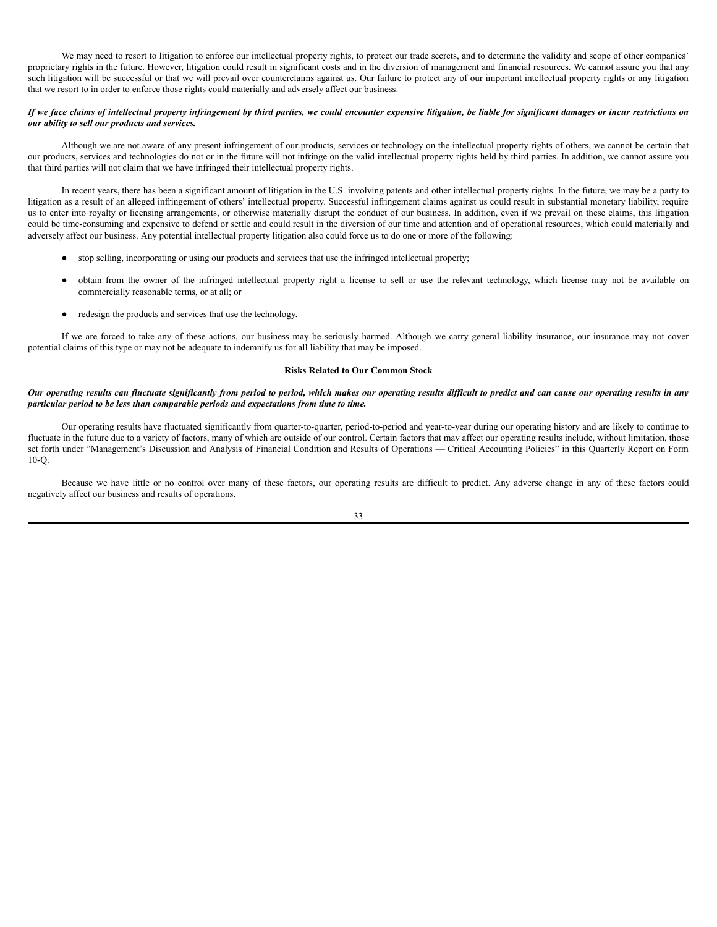We may need to resort to litigation to enforce our intellectual property rights, to protect our trade secrets, and to determine the validity and scope of other companies' proprietary rights in the future. However, litigation could result in significant costs and in the diversion of management and financial resources. We cannot assure you that any such litigation will be successful or that we will prevail over counterclaims against us. Our failure to protect any of our important intellectual property rights or any litigation that we resort to in order to enforce those rights could materially and adversely affect our business.

# If we face claims of intellectual property infringement by third parties, we could encounter expensive litigation, be liable for significant damages or incur restrictions on *our ability to sell our products and services.*

Although we are not aware of any present infringement of our products, services or technology on the intellectual property rights of others, we cannot be certain that our products, services and technologies do not or in the future will not infringe on the valid intellectual property rights held by third parties. In addition, we cannot assure you that third parties will not claim that we have infringed their intellectual property rights.

In recent years, there has been a significant amount of litigation in the U.S. involving patents and other intellectual property rights. In the future, we may be a party to litigation as a result of an alleged infringement of others' intellectual property. Successful infringement claims against us could result in substantial monetary liability, require us to enter into royalty or licensing arrangements, or otherwise materially disrupt the conduct of our business. In addition, even if we prevail on these claims, this litigation could be time-consuming and expensive to defend or settle and could result in the diversion of our time and attention and of operational resources, which could materially and adversely affect our business. Any potential intellectual property litigation also could force us to do one or more of the following:

- stop selling, incorporating or using our products and services that use the infringed intellectual property;
- obtain from the owner of the infringed intellectual property right a license to sell or use the relevant technology, which license may not be available on commercially reasonable terms, or at all; or
- redesign the products and services that use the technology.

If we are forced to take any of these actions, our business may be seriously harmed. Although we carry general liability insurance, our insurance may not cover potential claims of this type or may not be adequate to indemnify us for all liability that may be imposed.

#### **Risks Related to Our Common Stock**

# Our operating results can fluctuate significantly from period to period, which makes our operating results difficult to predict and can cause our operating results in any *particular period to be less than comparable periods and expectations from time to time.*

Our operating results have fluctuated significantly from quarter-to-quarter, period-to-period and year-to-year during our operating history and are likely to continue to fluctuate in the future due to a variety of factors, many of which are outside of our control. Certain factors that may affect our operating results include, without limitation, those set forth under "Management's Discussion and Analysis of Financial Condition and Results of Operations — Critical Accounting Policies" in this Quarterly Report on Form 10-Q.

Because we have little or no control over many of these factors, our operating results are difficult to predict. Any adverse change in any of these factors could negatively affect our business and results of operations.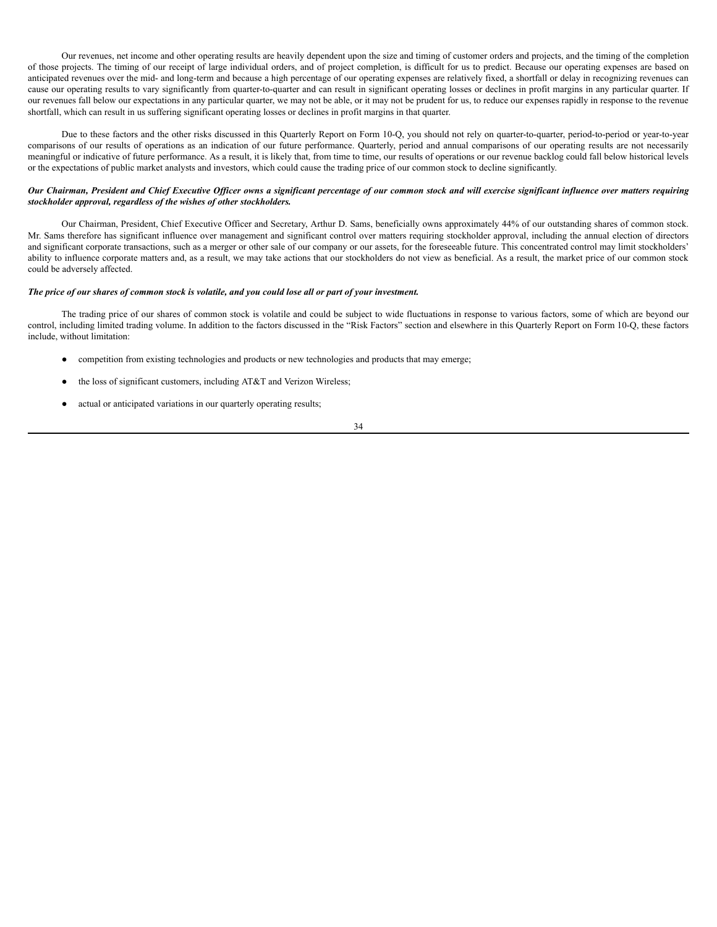Our revenues, net income and other operating results are heavily dependent upon the size and timing of customer orders and projects, and the timing of the completion of those projects. The timing of our receipt of large individual orders, and of project completion, is difficult for us to predict. Because our operating expenses are based on anticipated revenues over the mid- and long-term and because a high percentage of our operating expenses are relatively fixed, a shortfall or delay in recognizing revenues can cause our operating results to vary significantly from quarter-to-quarter and can result in significant operating losses or declines in profit margins in any particular quarter. If our revenues fall below our expectations in any particular quarter, we may not be able, or it may not be prudent for us, to reduce our expenses rapidly in response to the revenue shortfall, which can result in us suffering significant operating losses or declines in profit margins in that quarter.

Due to these factors and the other risks discussed in this Quarterly Report on Form 10-Q, you should not rely on quarter-to-quarter, period-to-period or year-to-year comparisons of our results of operations as an indication of our future performance. Quarterly, period and annual comparisons of our operating results are not necessarily meaningful or indicative of future performance. As a result, it is likely that, from time to time, our results of operations or our revenue backlog could fall below historical levels or the expectations of public market analysts and investors, which could cause the trading price of our common stock to decline significantly.

# Our Chairman, President and Chief Executive Officer owns a significant percentage of our common stock and will exercise significant influence over matters requiring *stockholder approval, regardless of the wishes of other stockholders.*

Our Chairman, President, Chief Executive Officer and Secretary, Arthur D. Sams, beneficially owns approximately 44% of our outstanding shares of common stock. Mr. Sams therefore has significant influence over management and significant control over matters requiring stockholder approval, including the annual election of directors and significant corporate transactions, such as a merger or other sale of our company or our assets, for the foreseeable future. This concentrated control may limit stockholders' ability to influence corporate matters and, as a result, we may take actions that our stockholders do not view as beneficial. As a result, the market price of our common stock could be adversely affected.

## The price of our shares of common stock is volatile, and you could lose all or part of your investment.

The trading price of our shares of common stock is volatile and could be subject to wide fluctuations in response to various factors, some of which are beyond our control, including limited trading volume. In addition to the factors discussed in the "Risk Factors" section and elsewhere in this Quarterly Report on Form 10-Q, these factors include, without limitation:

- competition from existing technologies and products or new technologies and products that may emerge;
- the loss of significant customers, including AT&T and Verizon Wireless;
- actual or anticipated variations in our quarterly operating results;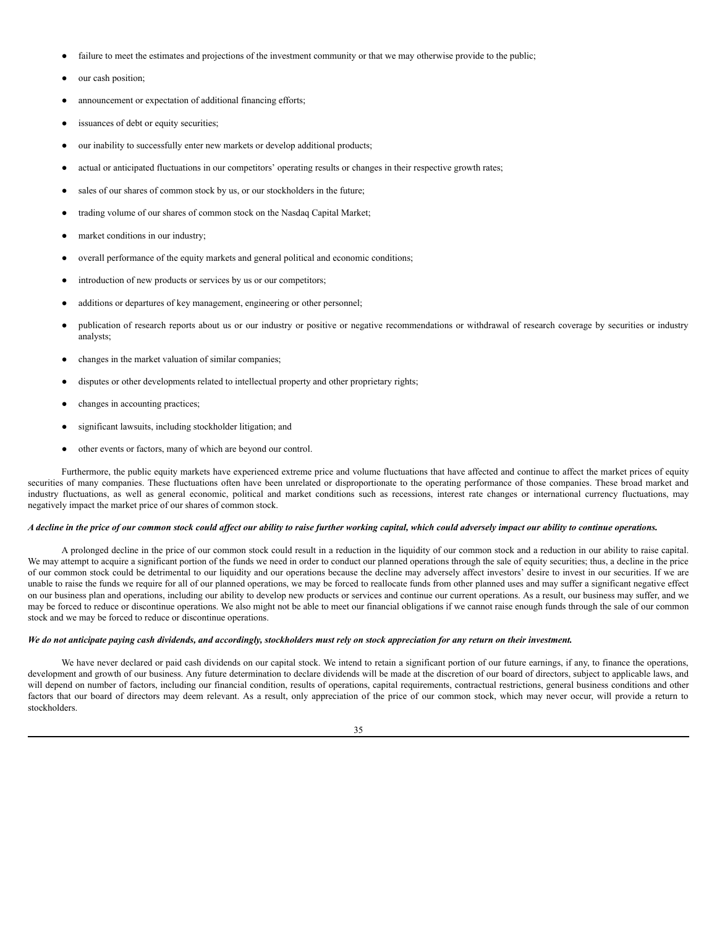- failure to meet the estimates and projections of the investment community or that we may otherwise provide to the public;
- our cash position;
- announcement or expectation of additional financing efforts;
- issuances of debt or equity securities;
- our inability to successfully enter new markets or develop additional products;
- actual or anticipated fluctuations in our competitors' operating results or changes in their respective growth rates;
- sales of our shares of common stock by us, or our stockholders in the future;
- trading volume of our shares of common stock on the Nasdaq Capital Market;
- market conditions in our industry;
- overall performance of the equity markets and general political and economic conditions;
- introduction of new products or services by us or our competitors;
- additions or departures of key management, engineering or other personnel;
- publication of research reports about us or our industry or positive or negative recommendations or withdrawal of research coverage by securities or industry analysts;
- changes in the market valuation of similar companies;
- disputes or other developments related to intellectual property and other proprietary rights;
- changes in accounting practices;
- significant lawsuits, including stockholder litigation; and
- other events or factors, many of which are beyond our control.

Furthermore, the public equity markets have experienced extreme price and volume fluctuations that have affected and continue to affect the market prices of equity securities of many companies. These fluctuations often have been unrelated or disproportionate to the operating performance of those companies. These broad market and industry fluctuations, as well as general economic, political and market conditions such as recessions, interest rate changes or international currency fluctuations, may negatively impact the market price of our shares of common stock.

### A decline in the price of our common stock could affect our ability to raise further working capital, which could adversely impact our ability to continue operations.

A prolonged decline in the price of our common stock could result in a reduction in the liquidity of our common stock and a reduction in our ability to raise capital. We may attempt to acquire a significant portion of the funds we need in order to conduct our planned operations through the sale of equity securities; thus, a decline in the price of our common stock could be detrimental to our liquidity and our operations because the decline may adversely affect investors' desire to invest in our securities. If we are unable to raise the funds we require for all of our planned operations, we may be forced to reallocate funds from other planned uses and may suffer a significant negative effect on our business plan and operations, including our ability to develop new products or services and continue our current operations. As a result, our business may suffer, and we may be forced to reduce or discontinue operations. We also might not be able to meet our financial obligations if we cannot raise enough funds through the sale of our common stock and we may be forced to reduce or discontinue operations.

# We do not anticipate paying cash dividends, and accordingly, stockholders must rely on stock appreciation for any return on their investment.

We have never declared or paid cash dividends on our capital stock. We intend to retain a significant portion of our future earnings, if any, to finance the operations, development and growth of our business. Any future determination to declare dividends will be made at the discretion of our board of directors, subject to applicable laws, and will depend on number of factors, including our financial condition, results of operations, capital requirements, contractual restrictions, general business conditions and other factors that our board of directors may deem relevant. As a result, only appreciation of the price of our common stock, which may never occur, will provide a return to stockholders.

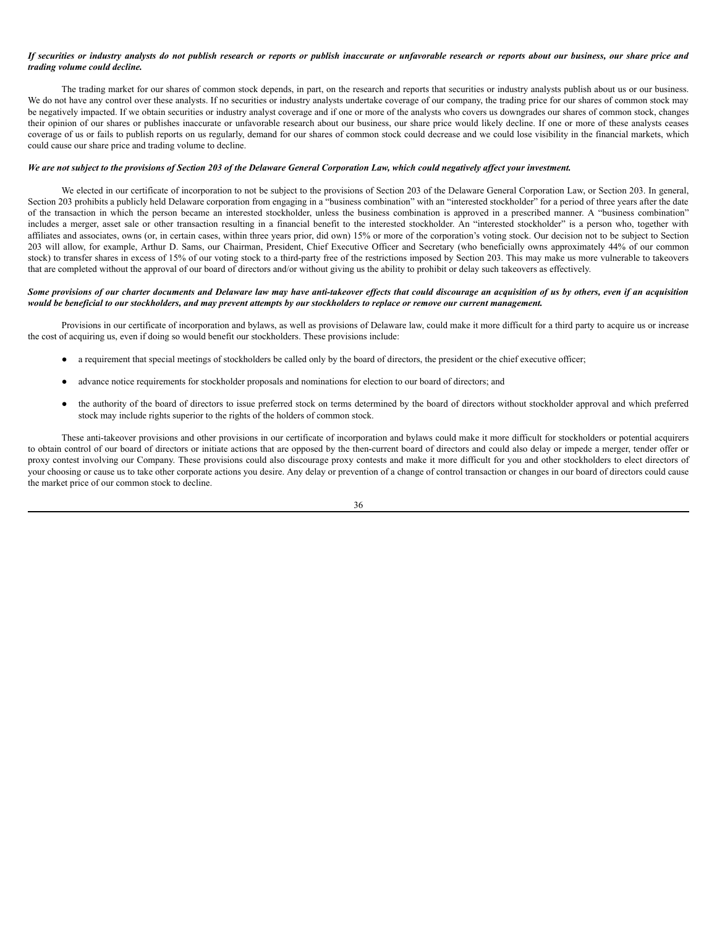# If securities or industry analysts do not publish research or reports or publish inaccurate or unfavorable research or reports about our business, our share price and *trading volume could decline.*

The trading market for our shares of common stock depends, in part, on the research and reports that securities or industry analysts publish about us or our business. We do not have any control over these analysts. If no securities or industry analysts undertake coverage of our company, the trading price for our shares of common stock may be negatively impacted. If we obtain securities or industry analyst coverage and if one or more of the analysts who covers us downgrades our shares of common stock, changes their opinion of our shares or publishes inaccurate or unfavorable research about our business, our share price would likely decline. If one or more of these analysts ceases coverage of us or fails to publish reports on us regularly, demand for our shares of common stock could decrease and we could lose visibility in the financial markets, which could cause our share price and trading volume to decline.

### We are not subject to the provisions of Section 203 of the Delaware General Corporation Law, which could negatively affect your investment.

We elected in our certificate of incorporation to not be subject to the provisions of Section 203 of the Delaware General Corporation Law, or Section 203. In general, Section 203 prohibits a publicly held Delaware corporation from engaging in a "business combination" with an "interested stockholder" for a period of three years after the date of the transaction in which the person became an interested stockholder, unless the business combination is approved in a prescribed manner. A "business combination" includes a merger, asset sale or other transaction resulting in a financial benefit to the interested stockholder. An "interested stockholder" is a person who, together with affiliates and associates, owns (or, in certain cases, within three years prior, did own) 15% or more of the corporation's voting stock. Our decision not to be subject to Section 203 will allow, for example, Arthur D. Sams, our Chairman, President, Chief Executive Officer and Secretary (who beneficially owns approximately 44% of our common stock) to transfer shares in excess of 15% of our voting stock to a third-party free of the restrictions imposed by Section 203. This may make us more vulnerable to takeovers that are completed without the approval of our board of directors and/or without giving us the ability to prohibit or delay such takeovers as effectively.

# Some provisions of our charter documents and Delaware law may have anti-takeover effects that could discourage an acquisition of us by others, even if an acquisition would be beneficial to our stockholders, and may prevent attempts by our stockholders to replace or remove our current management.

Provisions in our certificate of incorporation and bylaws, as well as provisions of Delaware law, could make it more difficult for a third party to acquire us or increase the cost of acquiring us, even if doing so would benefit our stockholders. These provisions include:

- a requirement that special meetings of stockholders be called only by the board of directors, the president or the chief executive officer;
- advance notice requirements for stockholder proposals and nominations for election to our board of directors; and
- the authority of the board of directors to issue preferred stock on terms determined by the board of directors without stockholder approval and which preferred stock may include rights superior to the rights of the holders of common stock.

These anti-takeover provisions and other provisions in our certificate of incorporation and bylaws could make it more difficult for stockholders or potential acquirers to obtain control of our board of directors or initiate actions that are opposed by the then-current board of directors and could also delay or impede a merger, tender offer or proxy contest involving our Company. These provisions could also discourage proxy contests and make it more difficult for you and other stockholders to elect directors of your choosing or cause us to take other corporate actions you desire. Any delay or prevention of a change of control transaction or changes in our board of directors could cause the market price of our common stock to decline.

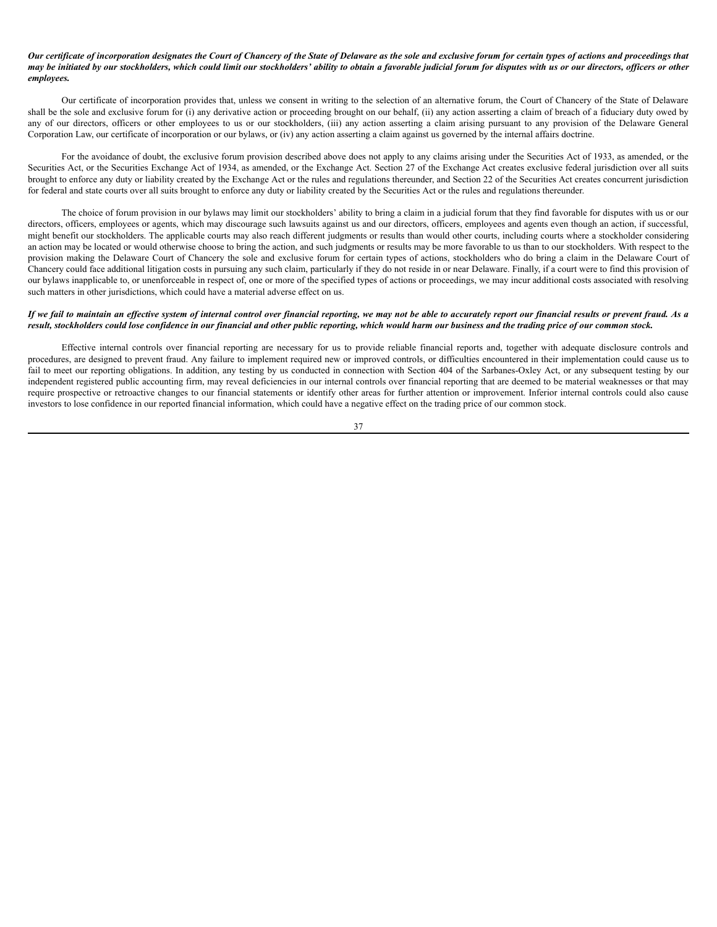# Our certificate of incorporation designates the Court of Chancery of the State of Delaware as the sole and exclusive forum for certain types of actions and proceedings that may be initiated by our stockholders, which could limit our stockholders' ability to obtain a favorable judicial forum for disputes with us or our directors, officers or other *employees.*

Our certificate of incorporation provides that, unless we consent in writing to the selection of an alternative forum, the Court of Chancery of the State of Delaware shall be the sole and exclusive forum for (i) any derivative action or proceeding brought on our behalf, (ii) any action asserting a claim of breach of a fiduciary duty owed by any of our directors, officers or other employees to us or our stockholders, (iii) any action asserting a claim arising pursuant to any provision of the Delaware General Corporation Law, our certificate of incorporation or our bylaws, or (iv) any action asserting a claim against us governed by the internal affairs doctrine.

For the avoidance of doubt, the exclusive forum provision described above does not apply to any claims arising under the Securities Act of 1933, as amended, or the Securities Act, or the Securities Exchange Act of 1934, as amended, or the Exchange Act. Section 27 of the Exchange Act creates exclusive federal jurisdiction over all suits brought to enforce any duty or liability created by the Exchange Act or the rules and regulations thereunder, and Section 22 of the Securities Act creates concurrent jurisdiction for federal and state courts over all suits brought to enforce any duty or liability created by the Securities Act or the rules and regulations thereunder.

The choice of forum provision in our bylaws may limit our stockholders' ability to bring a claim in a judicial forum that they find favorable for disputes with us or our directors, officers, employees or agents, which may discourage such lawsuits against us and our directors, officers, employees and agents even though an action, if successful, might benefit our stockholders. The applicable courts may also reach different judgments or results than would other courts, including courts where a stockholder considering an action may be located or would otherwise choose to bring the action, and such judgments or results may be more favorable to us than to our stockholders. With respect to the provision making the Delaware Court of Chancery the sole and exclusive forum for certain types of actions, stockholders who do bring a claim in the Delaware Court of Chancery could face additional litigation costs in pursuing any such claim, particularly if they do not reside in or near Delaware. Finally, if a court were to find this provision of our bylaws inapplicable to, or unenforceable in respect of, one or more of the specified types of actions or proceedings, we may incur additional costs associated with resolving such matters in other jurisdictions, which could have a material adverse effect on us.

# If we fail to maintain an effective system of internal control over financial reporting, we may not be able to accurately report our financial results or prevent fraud. As a result, stockholders could lose confidence in our financial and other public reporting, which would harm our business and the trading price of our common stock.

Effective internal controls over financial reporting are necessary for us to provide reliable financial reports and, together with adequate disclosure controls and procedures, are designed to prevent fraud. Any failure to implement required new or improved controls, or difficulties encountered in their implementation could cause us to fail to meet our reporting obligations. In addition, any testing by us conducted in connection with Section 404 of the Sarbanes-Oxley Act, or any subsequent testing by our independent registered public accounting firm, may reveal deficiencies in our internal controls over financial reporting that are deemed to be material weaknesses or that may require prospective or retroactive changes to our financial statements or identify other areas for further attention or improvement. Inferior internal controls could also cause investors to lose confidence in our reported financial information, which could have a negative effect on the trading price of our common stock.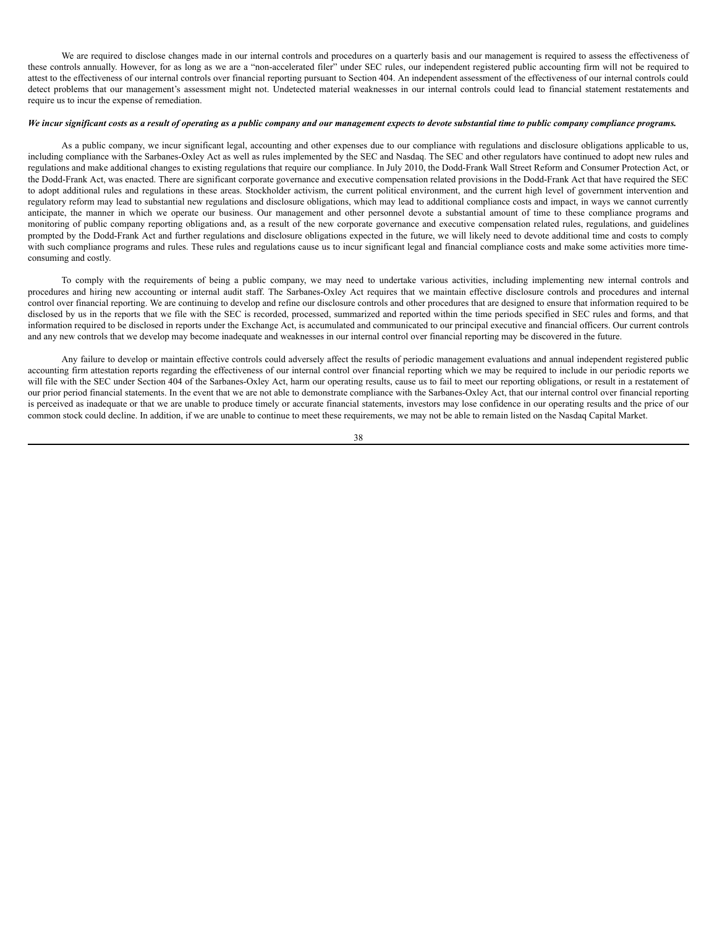We are required to disclose changes made in our internal controls and procedures on a quarterly basis and our management is required to assess the effectiveness of these controls annually. However, for as long as we are a "non-accelerated filer" under SEC rules, our independent registered public accounting firm will not be required to attest to the effectiveness of our internal controls over financial reporting pursuant to Section 404. An independent assessment of the effectiveness of our internal controls could detect problems that our management's assessment might not. Undetected material weaknesses in our internal controls could lead to financial statement restatements and require us to incur the expense of remediation.

# We incur significant costs as a result of operating as a public company and our management expects to devote substantial time to public company compliance programs.

As a public company, we incur significant legal, accounting and other expenses due to our compliance with regulations and disclosure obligations applicable to us, including compliance with the Sarbanes-Oxley Act as well as rules implemented by the SEC and Nasdaq. The SEC and other regulators have continued to adopt new rules and regulations and make additional changes to existing regulations that require our compliance. In July 2010, the Dodd-Frank Wall Street Reform and Consumer Protection Act, or the Dodd-Frank Act, was enacted. There are significant corporate governance and executive compensation related provisions in the Dodd-Frank Act that have required the SEC to adopt additional rules and regulations in these areas. Stockholder activism, the current political environment, and the current high level of government intervention and regulatory reform may lead to substantial new regulations and disclosure obligations, which may lead to additional compliance costs and impact, in ways we cannot currently anticipate, the manner in which we operate our business. Our management and other personnel devote a substantial amount of time to these compliance programs and monitoring of public company reporting obligations and, as a result of the new corporate governance and executive compensation related rules, regulations, and guidelines prompted by the Dodd-Frank Act and further regulations and disclosure obligations expected in the future, we will likely need to devote additional time and costs to comply with such compliance programs and rules. These rules and regulations cause us to incur significant legal and financial compliance costs and make some activities more timeconsuming and costly.

To comply with the requirements of being a public company, we may need to undertake various activities, including implementing new internal controls and procedures and hiring new accounting or internal audit staff. The Sarbanes-Oxley Act requires that we maintain effective disclosure controls and procedures and internal control over financial reporting. We are continuing to develop and refine our disclosure controls and other procedures that are designed to ensure that information required to be disclosed by us in the reports that we file with the SEC is recorded, processed, summarized and reported within the time periods specified in SEC rules and forms, and that information required to be disclosed in reports under the Exchange Act, is accumulated and communicated to our principal executive and financial officers. Our current controls and any new controls that we develop may become inadequate and weaknesses in our internal control over financial reporting may be discovered in the future.

Any failure to develop or maintain effective controls could adversely affect the results of periodic management evaluations and annual independent registered public accounting firm attestation reports regarding the effectiveness of our internal control over financial reporting which we may be required to include in our periodic reports we will file with the SEC under Section 404 of the Sarbanes-Oxley Act, harm our operating results, cause us to fail to meet our reporting obligations, or result in a restatement of our prior period financial statements. In the event that we are not able to demonstrate compliance with the Sarbanes-Oxley Act, that our internal control over financial reporting is perceived as inadequate or that we are unable to produce timely or accurate financial statements, investors may lose confidence in our operating results and the price of our common stock could decline. In addition, if we are unable to continue to meet these requirements, we may not be able to remain listed on the Nasdaq Capital Market.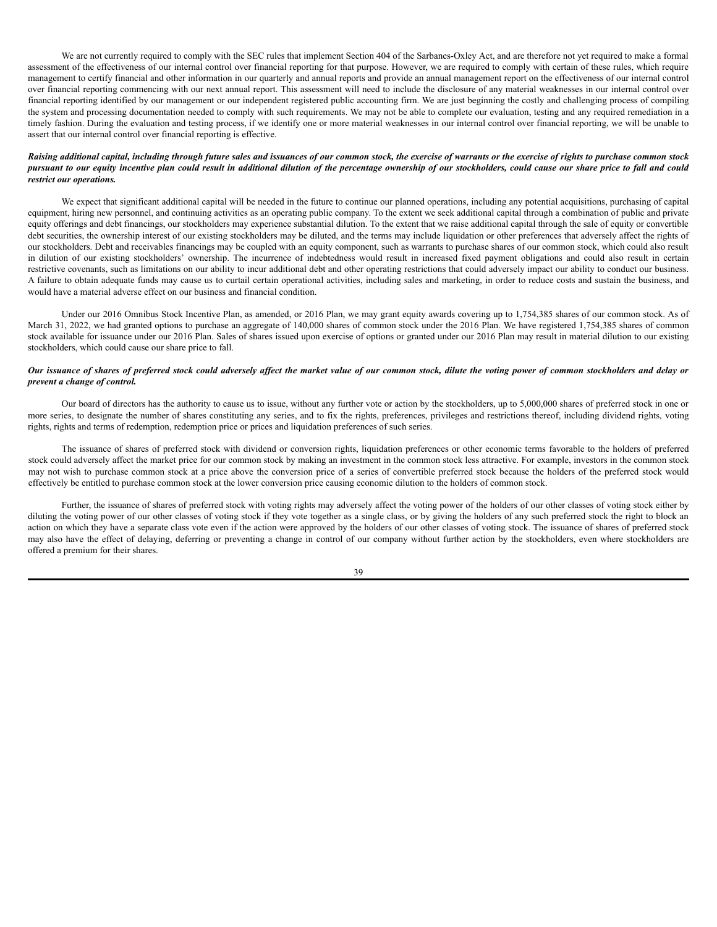We are not currently required to comply with the SEC rules that implement Section 404 of the Sarbanes-Oxley Act, and are therefore not yet required to make a formal assessment of the effectiveness of our internal control over financial reporting for that purpose. However, we are required to comply with certain of these rules, which require management to certify financial and other information in our quarterly and annual reports and provide an annual management report on the effectiveness of our internal control over financial reporting commencing with our next annual report. This assessment will need to include the disclosure of any material weaknesses in our internal control over financial reporting identified by our management or our independent registered public accounting firm. We are just beginning the costly and challenging process of compiling the system and processing documentation needed to comply with such requirements. We may not be able to complete our evaluation, testing and any required remediation in a timely fashion. During the evaluation and testing process, if we identify one or more material weaknesses in our internal control over financial reporting, we will be unable to assert that our internal control over financial reporting is effective.

## Raising additional capital, including through future sales and issuances of our common stock, the exercise of warrants or the exercise of rights to purchase common stock pursuant to our equity incentive plan could result in additional dilution of the percentage ownership of our stockholders, could cause our share price to fall and could *restrict our operations.*

We expect that significant additional capital will be needed in the future to continue our planned operations, including any potential acquisitions, purchasing of capital equipment, hiring new personnel, and continuing activities as an operating public company. To the extent we seek additional capital through a combination of public and private equity offerings and debt financings, our stockholders may experience substantial dilution. To the extent that we raise additional capital through the sale of equity or convertible debt securities, the ownership interest of our existing stockholders may be diluted, and the terms may include liquidation or other preferences that adversely affect the rights of our stockholders. Debt and receivables financings may be coupled with an equity component, such as warrants to purchase shares of our common stock, which could also result in dilution of our existing stockholders' ownership. The incurrence of indebtedness would result in increased fixed payment obligations and could also result in certain restrictive covenants, such as limitations on our ability to incur additional debt and other operating restrictions that could adversely impact our ability to conduct our business. A failure to obtain adequate funds may cause us to curtail certain operational activities, including sales and marketing, in order to reduce costs and sustain the business, and would have a material adverse effect on our business and financial condition.

Under our 2016 Omnibus Stock Incentive Plan, as amended, or 2016 Plan, we may grant equity awards covering up to 1,754,385 shares of our common stock. As of March 31, 2022, we had granted options to purchase an aggregate of 140,000 shares of common stock under the 2016 Plan. We have registered 1,754,385 shares of common stock available for issuance under our 2016 Plan. Sales of shares issued upon exercise of options or granted under our 2016 Plan may result in material dilution to our existing stockholders, which could cause our share price to fall.

## Our issuance of shares of preferred stock could adversely affect the market value of our common stock, dilute the voting power of common stockholders and delay or *prevent a change of control.*

Our board of directors has the authority to cause us to issue, without any further vote or action by the stockholders, up to 5,000,000 shares of preferred stock in one or more series, to designate the number of shares constituting any series, and to fix the rights, preferences, privileges and restrictions thereof, including dividend rights, voting rights, rights and terms of redemption, redemption price or prices and liquidation preferences of such series.

The issuance of shares of preferred stock with dividend or conversion rights, liquidation preferences or other economic terms favorable to the holders of preferred stock could adversely affect the market price for our common stock by making an investment in the common stock less attractive. For example, investors in the common stock may not wish to purchase common stock at a price above the conversion price of a series of convertible preferred stock because the holders of the preferred stock would effectively be entitled to purchase common stock at the lower conversion price causing economic dilution to the holders of common stock.

Further, the issuance of shares of preferred stock with voting rights may adversely affect the voting power of the holders of our other classes of voting stock either by diluting the voting power of our other classes of voting stock if they vote together as a single class, or by giving the holders of any such preferred stock the right to block an action on which they have a separate class vote even if the action were approved by the holders of our other classes of voting stock. The issuance of shares of preferred stock may also have the effect of delaying, deferring or preventing a change in control of our company without further action by the stockholders, even where stockholders are offered a premium for their shares.

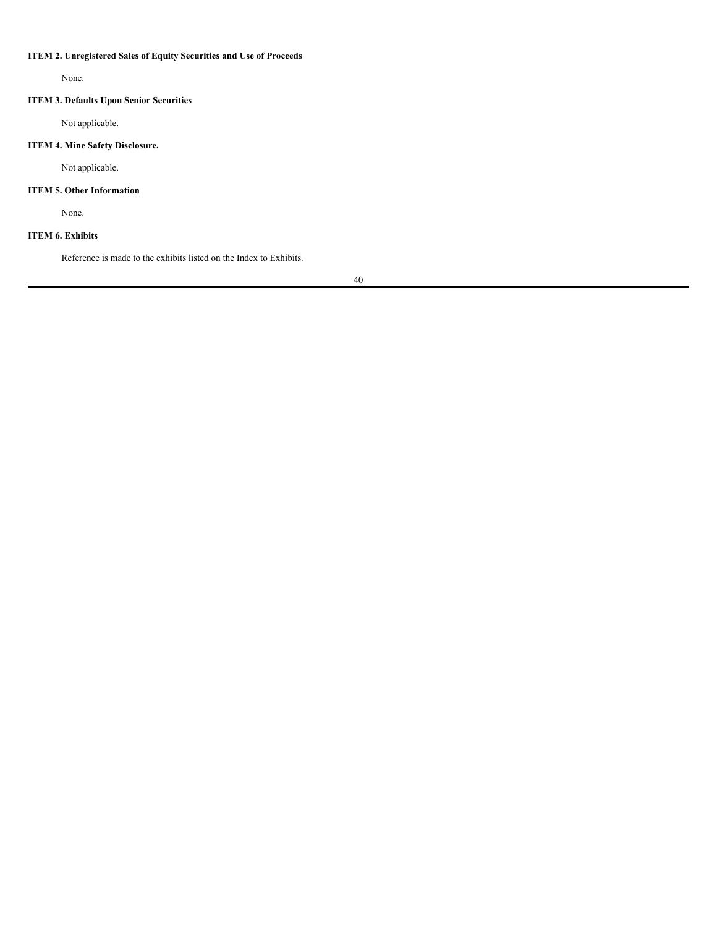# <span id="page-42-0"></span>**ITEM 2. Unregistered Sales of Equity Securities and Use of Proceeds**

None.

# <span id="page-42-1"></span>**ITEM 3. Defaults Upon Senior Securities**

Not applicable.

# <span id="page-42-2"></span>**ITEM 4. Mine Safety Disclosure.**

Not applicable.

# <span id="page-42-3"></span>**ITEM 5. Other Information**

None.

# <span id="page-42-4"></span>**ITEM 6. Exhibits**

Reference is made to the exhibits listed on the Index to Exhibits.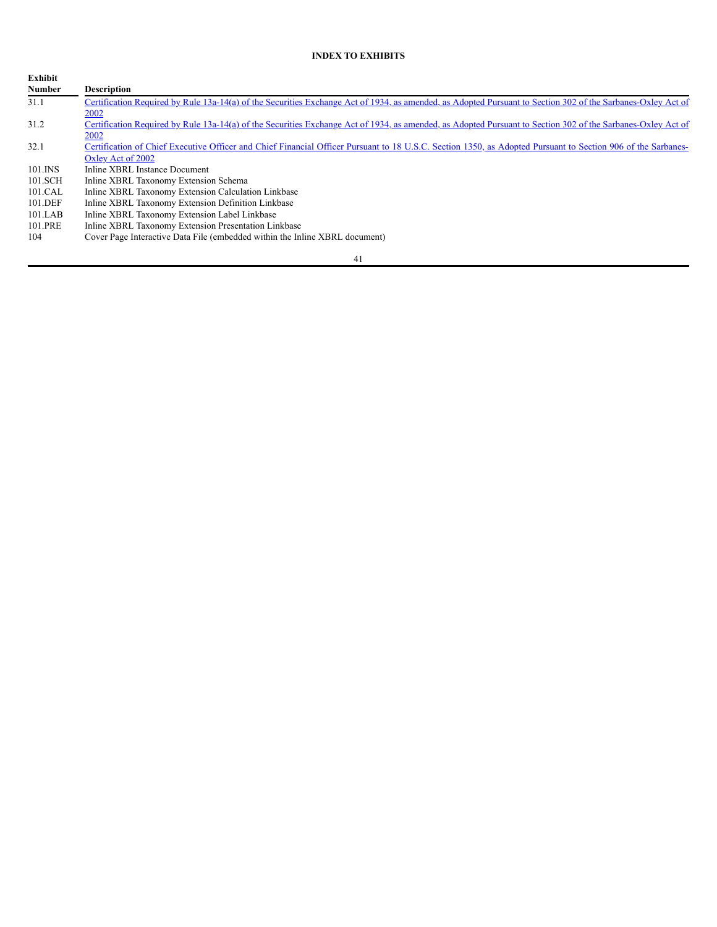# **INDEX TO EXHIBITS**

| Exhibit     |                                                                                                                                                              |
|-------------|--------------------------------------------------------------------------------------------------------------------------------------------------------------|
| Number      | <b>Description</b>                                                                                                                                           |
| 31.1        | Certification Required by Rule 13a-14(a) of the Securities Exchange Act of 1934, as amended, as Adopted Pursuant to Section 302 of the Sarbanes-Oxley Act of |
|             | 2002                                                                                                                                                         |
| 31.2        | Certification Required by Rule 13a-14(a) of the Securities Exchange Act of 1934, as amended, as Adopted Pursuant to Section 302 of the Sarbanes-Oxley Act of |
|             | 2002                                                                                                                                                         |
| 32.1        | Certification of Chief Executive Officer and Chief Financial Officer Pursuant to 18 U.S.C. Section 1350, as Adopted Pursuant to Section 906 of the Sarbanes- |
|             | Oxley Act of 2002                                                                                                                                            |
| $101$ . INS | Inline XBRL Instance Document                                                                                                                                |
| 101.SCH     | Inline XBRL Taxonomy Extension Schema                                                                                                                        |
| 101.CAL     | Inline XBRL Taxonomy Extension Calculation Linkbase                                                                                                          |
| 101.DEF     | Inline XBRL Taxonomy Extension Definition Linkbase                                                                                                           |
| $101$ .LAB  | Inline XBRL Taxonomy Extension Label Linkbase                                                                                                                |
| 101.PRE     | Inline XBRL Taxonomy Extension Presentation Linkbase                                                                                                         |
| 104         | Cover Page Interactive Data File (embedded within the Inline XBRL document)                                                                                  |
|             | 41                                                                                                                                                           |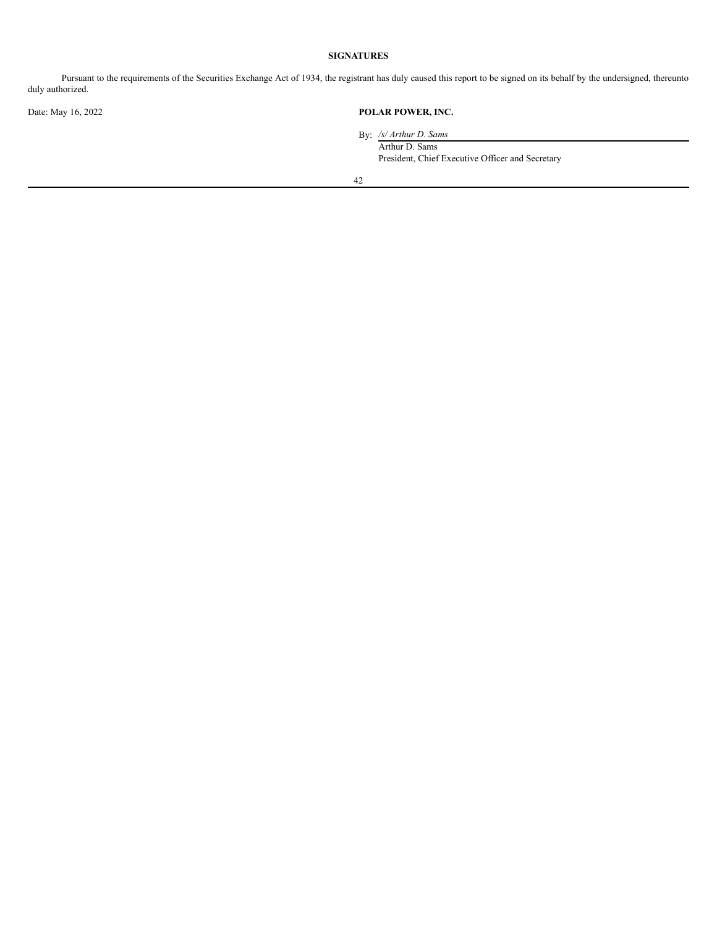# **SIGNATURES**

Pursuant to the requirements of the Securities Exchange Act of 1934, the registrant has duly caused this report to be signed on its behalf by the undersigned, thereunto duly authorized.

Date: May 16, 2022 **POLAR POWER, INC.**

By: */s/ Arthur D. Sams* Arthur D. Sams President, Chief Executive Officer and Secretary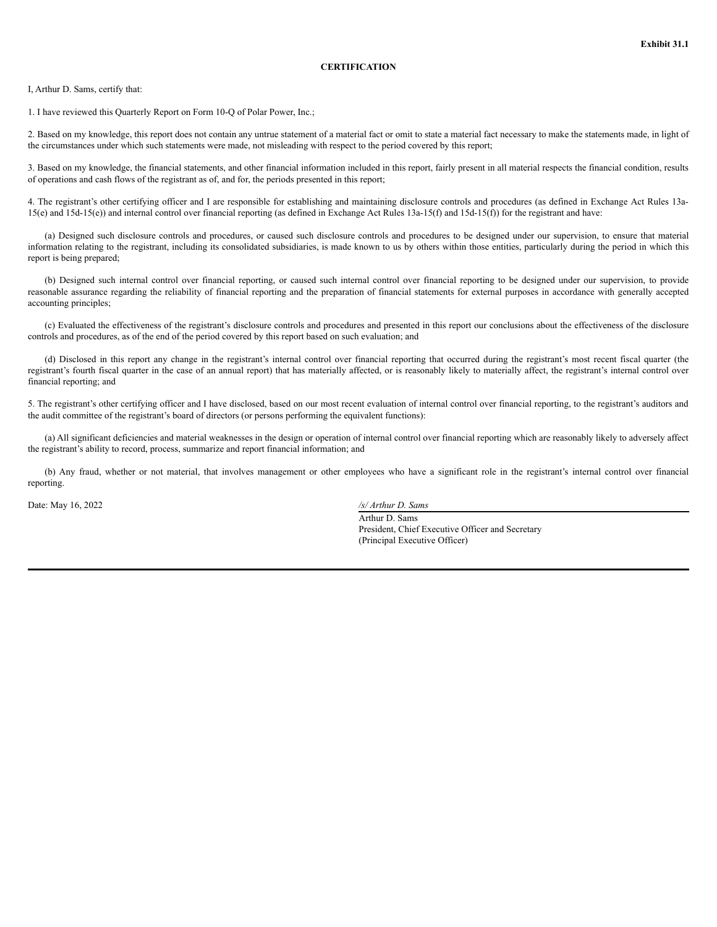#### **CERTIFICATION**

I, Arthur D. Sams, certify that:

1. I have reviewed this Quarterly Report on Form 10-Q of Polar Power, Inc.;

2. Based on my knowledge, this report does not contain any untrue statement of a material fact or omit to state a material fact necessary to make the statements made, in light of the circumstances under which such statements were made, not misleading with respect to the period covered by this report;

3. Based on my knowledge, the financial statements, and other financial information included in this report, fairly present in all material respects the financial condition, results of operations and cash flows of the registrant as of, and for, the periods presented in this report;

4. The registrant's other certifying officer and I are responsible for establishing and maintaining disclosure controls and procedures (as defined in Exchange Act Rules 13a-15(e) and 15d-15(e)) and internal control over financial reporting (as defined in Exchange Act Rules 13a-15(f) and 15d-15(f)) for the registrant and have:

(a) Designed such disclosure controls and procedures, or caused such disclosure controls and procedures to be designed under our supervision, to ensure that material information relating to the registrant, including its consolidated subsidiaries, is made known to us by others within those entities, particularly during the period in which this report is being prepared;

(b) Designed such internal control over financial reporting, or caused such internal control over financial reporting to be designed under our supervision, to provide reasonable assurance regarding the reliability of financial reporting and the preparation of financial statements for external purposes in accordance with generally accepted accounting principles;

(c) Evaluated the effectiveness of the registrant's disclosure controls and procedures and presented in this report our conclusions about the effectiveness of the disclosure controls and procedures, as of the end of the period covered by this report based on such evaluation; and

(d) Disclosed in this report any change in the registrant's internal control over financial reporting that occurred during the registrant's most recent fiscal quarter (the registrant's fourth fiscal quarter in the case of an annual report) that has materially affected, or is reasonably likely to materially affect, the registrant's internal control over financial reporting; and

5. The registrant's other certifying officer and I have disclosed, based on our most recent evaluation of internal control over financial reporting, to the registrant's auditors and the audit committee of the registrant's board of directors (or persons performing the equivalent functions):

(a) All significant deficiencies and material weaknesses in the design or operation of internal control over financial reporting which are reasonably likely to adversely affect the registrant's ability to record, process, summarize and report financial information; and

(b) Any fraud, whether or not material, that involves management or other employees who have a significant role in the registrant's internal control over financial reporting.

Date: May 16, 2022 */s/ Arthur D. Sams*

Arthur D. Sams President, Chief Executive Officer and Secretary (Principal Executive Officer)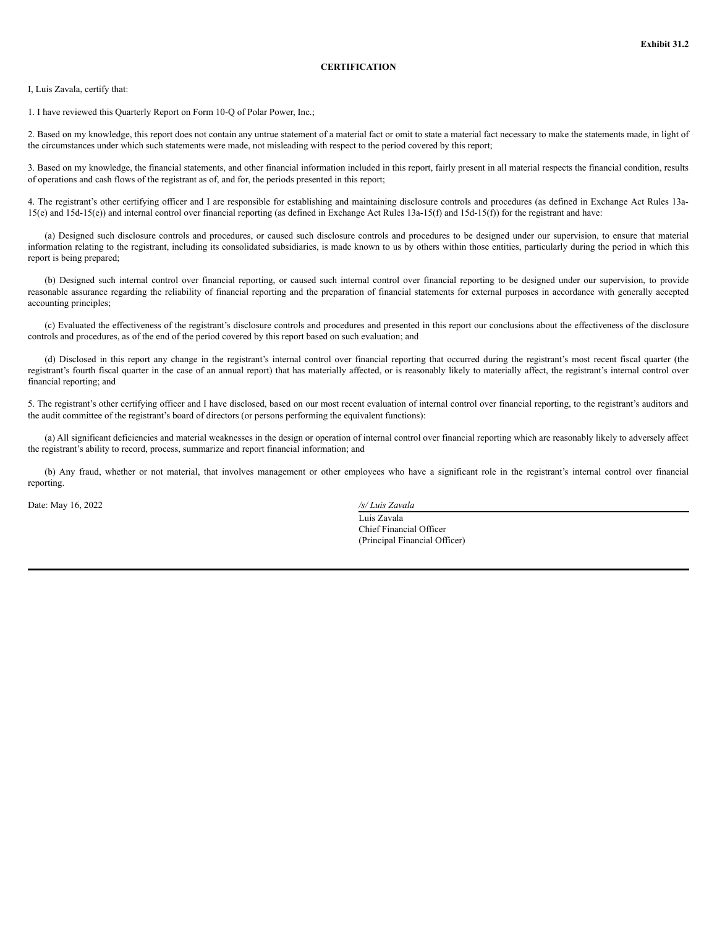#### **CERTIFICATION**

I, Luis Zavala, certify that:

1. I have reviewed this Quarterly Report on Form 10-Q of Polar Power, Inc.;

2. Based on my knowledge, this report does not contain any untrue statement of a material fact or omit to state a material fact necessary to make the statements made, in light of the circumstances under which such statements were made, not misleading with respect to the period covered by this report;

3. Based on my knowledge, the financial statements, and other financial information included in this report, fairly present in all material respects the financial condition, results of operations and cash flows of the registrant as of, and for, the periods presented in this report;

4. The registrant's other certifying officer and I are responsible for establishing and maintaining disclosure controls and procedures (as defined in Exchange Act Rules 13a-15(e) and 15d-15(e)) and internal control over financial reporting (as defined in Exchange Act Rules 13a-15(f) and 15d-15(f)) for the registrant and have:

(a) Designed such disclosure controls and procedures, or caused such disclosure controls and procedures to be designed under our supervision, to ensure that material information relating to the registrant, including its consolidated subsidiaries, is made known to us by others within those entities, particularly during the period in which this report is being prepared;

(b) Designed such internal control over financial reporting, or caused such internal control over financial reporting to be designed under our supervision, to provide reasonable assurance regarding the reliability of financial reporting and the preparation of financial statements for external purposes in accordance with generally accepted accounting principles;

(c) Evaluated the effectiveness of the registrant's disclosure controls and procedures and presented in this report our conclusions about the effectiveness of the disclosure controls and procedures, as of the end of the period covered by this report based on such evaluation; and

(d) Disclosed in this report any change in the registrant's internal control over financial reporting that occurred during the registrant's most recent fiscal quarter (the registrant's fourth fiscal quarter in the case of an annual report) that has materially affected, or is reasonably likely to materially affect, the registrant's internal control over financial reporting; and

5. The registrant's other certifying officer and I have disclosed, based on our most recent evaluation of internal control over financial reporting, to the registrant's auditors and the audit committee of the registrant's board of directors (or persons performing the equivalent functions):

(a) All significant deficiencies and material weaknesses in the design or operation of internal control over financial reporting which are reasonably likely to adversely affect the registrant's ability to record, process, summarize and report financial information; and

(b) Any fraud, whether or not material, that involves management or other employees who have a significant role in the registrant's internal control over financial reporting.

Date: May 16, 2022 */s/ Luis Zavala*

Luis Zavala Chief Financial Officer (Principal Financial Officer)